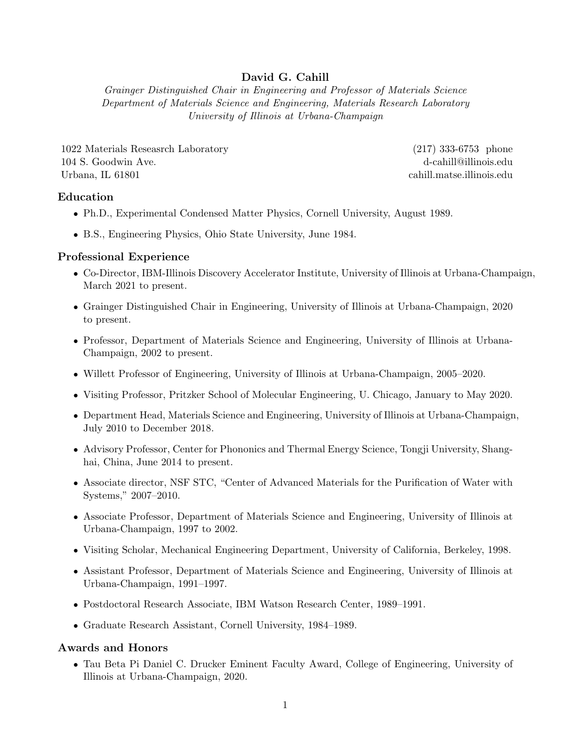## David G. Cahill

Grainger Distinguished Chair in Engineering and Professor of Materials Science Department of Materials Science and Engineering, Materials Research Laboratory University of Illinois at Urbana-Champaign

1022 Materials Reseasrch Laboratory (217) 333-6753 phone 104 S. Goodwin Ave. d-cahill@illinois.edu Urbana, IL 61801 cahill.matse.illinois.edu

## Education

- Ph.D., Experimental Condensed Matter Physics, Cornell University, August 1989.
- B.S., Engineering Physics, Ohio State University, June 1984.

## Professional Experience

- Co-Director, IBM-Illinois Discovery Accelerator Institute, University of Illinois at Urbana-Champaign, March 2021 to present.
- Grainger Distinguished Chair in Engineering, University of Illinois at Urbana-Champaign, 2020 to present.
- Professor, Department of Materials Science and Engineering, University of Illinois at Urbana-Champaign, 2002 to present.
- Willett Professor of Engineering, University of Illinois at Urbana-Champaign, 2005–2020.
- Visiting Professor, Pritzker School of Molecular Engineering, U. Chicago, January to May 2020.
- Department Head, Materials Science and Engineering, University of Illinois at Urbana-Champaign, July 2010 to December 2018.
- Advisory Professor, Center for Phononics and Thermal Energy Science, Tongji University, Shanghai, China, June 2014 to present.
- Associate director, NSF STC, "Center of Advanced Materials for the Purification of Water with Systems," 2007–2010.
- Associate Professor, Department of Materials Science and Engineering, University of Illinois at Urbana-Champaign, 1997 to 2002.
- Visiting Scholar, Mechanical Engineering Department, University of California, Berkeley, 1998.
- Assistant Professor, Department of Materials Science and Engineering, University of Illinois at Urbana-Champaign, 1991–1997.
- Postdoctoral Research Associate, IBM Watson Research Center, 1989–1991.
- Graduate Research Assistant, Cornell University, 1984–1989.

## Awards and Honors

• Tau Beta Pi Daniel C. Drucker Eminent Faculty Award, College of Engineering, University of Illinois at Urbana-Champaign, 2020.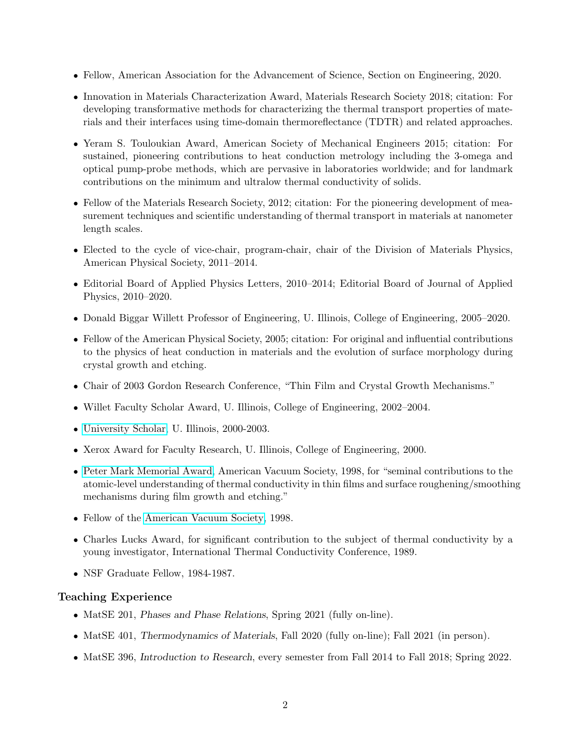- Fellow, American Association for the Advancement of Science, Section on Engineering, 2020.
- Innovation in Materials Characterization Award, Materials Research Society 2018; citation: For developing transformative methods for characterizing the thermal transport properties of materials and their interfaces using time-domain thermoreflectance (TDTR) and related approaches.
- Yeram S. Touloukian Award, American Society of Mechanical Engineers 2015; citation: For sustained, pioneering contributions to heat conduction metrology including the 3-omega and optical pump-probe methods, which are pervasive in laboratories worldwide; and for landmark contributions on the minimum and ultralow thermal conductivity of solids.
- Fellow of the Materials Research Society, 2012; citation: For the pioneering development of measurement techniques and scientific understanding of thermal transport in materials at nanometer length scales.
- Elected to the cycle of vice-chair, program-chair, chair of the Division of Materials Physics, American Physical Society, 2011–2014.
- Editorial Board of Applied Physics Letters, 2010–2014; Editorial Board of Journal of Applied Physics, 2010–2020.
- Donald Biggar Willett Professor of Engineering, U. Illinois, College of Engineering, 2005–2020.
- Fellow of the American Physical Society, 2005; citation: For original and influential contributions to the physics of heat conduction in materials and the evolution of surface morphology during crystal growth and etching.
- Chair of 2003 Gordon Research Conference, "Thin Film and Crystal Growth Mechanisms."
- Willet Faculty Scholar Award, U. Illinois, College of Engineering, 2002–2004.
- [University Scholar,](http://www.research.uiuc.edu/usp/index.asp) U. Illinois, 2000-2003.
- Xerox Award for Faculty Research, U. Illinois, College of Engineering, 2000.
- [Peter Mark Memorial Award,](http://www.avs.org/awards/descriptions/mark.html) American Vacuum Society, 1998, for "seminal contributions to the atomic-level understanding of thermal conductivity in thin films and surface roughening/smoothing mechanisms during film growth and etching."
- Fellow of the [American Vacuum Society,](http://www.avs.org) 1998.
- Charles Lucks Award, for significant contribution to the subject of thermal conductivity by a young investigator, International Thermal Conductivity Conference, 1989.
- NSF Graduate Fellow, 1984-1987.

## Teaching Experience

- MatSE 201, *Phases and Phase Relations*, *Spring 2021* (fully on-line).
- MatSE 401, Thermodynamics of Materials, Fall 2020 (fully on-line); Fall 2021 (in person).
- MatSE 396, Introduction to Research, every semester from Fall 2014 to Fall 2018; Spring 2022.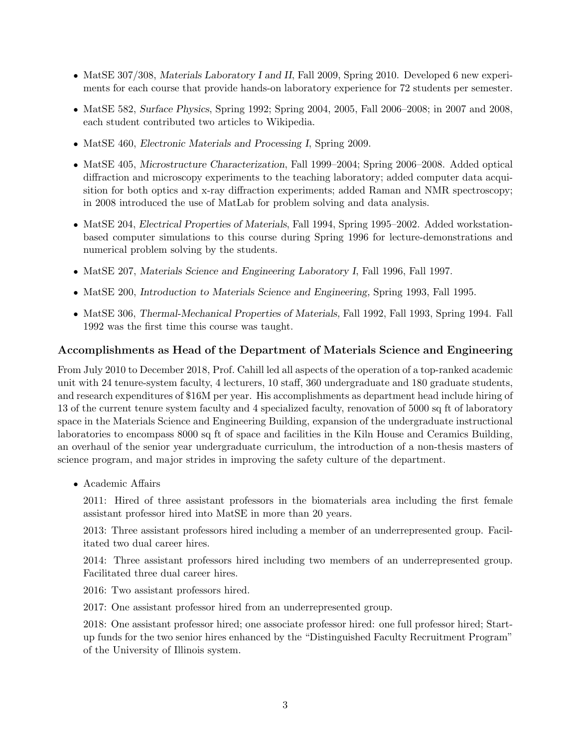- MatSE 307/308, Materials Laboratory I and II, Fall 2009, Spring 2010. Developed 6 new experiments for each course that provide hands-on laboratory experience for 72 students per semester.
- MatSE 582, Surface Physics, Spring 1992; Spring 2004, 2005, Fall 2006–2008; in 2007 and 2008, each student contributed two articles to Wikipedia.
- MatSE 460, Electronic Materials and Processing I, Spring 2009.
- MatSE 405, Microstructure Characterization, Fall 1999–2004; Spring 2006–2008. Added optical diffraction and microscopy experiments to the teaching laboratory; added computer data acquisition for both optics and x-ray diffraction experiments; added Raman and NMR spectroscopy; in 2008 introduced the use of MatLab for problem solving and data analysis.
- MatSE 204, Electrical Properties of Materials, Fall 1994, Spring 1995–2002. Added workstationbased computer simulations to this course during Spring 1996 for lecture-demonstrations and numerical problem solving by the students.
- MatSE 207, Materials Science and Engineering Laboratory I, Fall 1996, Fall 1997.
- MatSE 200, Introduction to Materials Science and Engineering, Spring 1993, Fall 1995.
- MatSE 306, Thermal-Mechanical Properties of Materials, Fall 1992, Fall 1993, Spring 1994. Fall 1992 was the first time this course was taught.

### Accomplishments as Head of the Department of Materials Science and Engineering

From July 2010 to December 2018, Prof. Cahill led all aspects of the operation of a top-ranked academic unit with 24 tenure-system faculty, 4 lecturers, 10 staff, 360 undergraduate and 180 graduate students, and research expenditures of \$16M per year. His accomplishments as department head include hiring of 13 of the current tenure system faculty and 4 specialized faculty, renovation of 5000 sq ft of laboratory space in the Materials Science and Engineering Building, expansion of the undergraduate instructional laboratories to encompass 8000 sq ft of space and facilities in the Kiln House and Ceramics Building, an overhaul of the senior year undergraduate curriculum, the introduction of a non-thesis masters of science program, and major strides in improving the safety culture of the department.

• Academic Affairs

2011: Hired of three assistant professors in the biomaterials area including the first female assistant professor hired into MatSE in more than 20 years.

2013: Three assistant professors hired including a member of an underrepresented group. Facilitated two dual career hires.

2014: Three assistant professors hired including two members of an underrepresented group. Facilitated three dual career hires.

2016: Two assistant professors hired.

2017: One assistant professor hired from an underrepresented group.

2018: One assistant professor hired; one associate professor hired: one full professor hired; Startup funds for the two senior hires enhanced by the "Distinguished Faculty Recruitment Program" of the University of Illinois system.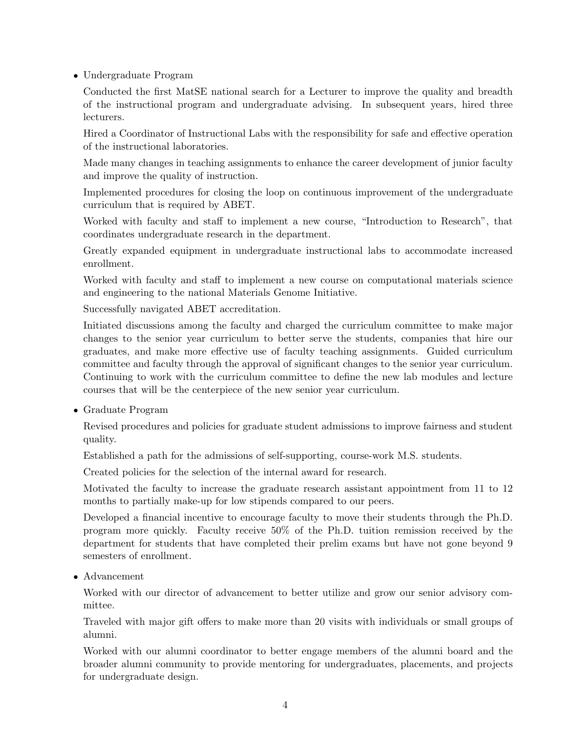• Undergraduate Program

Conducted the first MatSE national search for a Lecturer to improve the quality and breadth of the instructional program and undergraduate advising. In subsequent years, hired three lecturers.

Hired a Coordinator of Instructional Labs with the responsibility for safe and effective operation of the instructional laboratories.

Made many changes in teaching assignments to enhance the career development of junior faculty and improve the quality of instruction.

Implemented procedures for closing the loop on continuous improvement of the undergraduate curriculum that is required by ABET.

Worked with faculty and staff to implement a new course, "Introduction to Research", that coordinates undergraduate research in the department.

Greatly expanded equipment in undergraduate instructional labs to accommodate increased enrollment.

Worked with faculty and staff to implement a new course on computational materials science and engineering to the national Materials Genome Initiative.

Successfully navigated ABET accreditation.

Initiated discussions among the faculty and charged the curriculum committee to make major changes to the senior year curriculum to better serve the students, companies that hire our graduates, and make more effective use of faculty teaching assignments. Guided curriculum committee and faculty through the approval of significant changes to the senior year curriculum. Continuing to work with the curriculum committee to define the new lab modules and lecture courses that will be the centerpiece of the new senior year curriculum.

• Graduate Program

Revised procedures and policies for graduate student admissions to improve fairness and student quality.

Established a path for the admissions of self-supporting, course-work M.S. students.

Created policies for the selection of the internal award for research.

Motivated the faculty to increase the graduate research assistant appointment from 11 to 12 months to partially make-up for low stipends compared to our peers.

Developed a financial incentive to encourage faculty to move their students through the Ph.D. program more quickly. Faculty receive 50% of the Ph.D. tuition remission received by the department for students that have completed their prelim exams but have not gone beyond 9 semesters of enrollment.

• Advancement

Worked with our director of advancement to better utilize and grow our senior advisory committee.

Traveled with major gift offers to make more than 20 visits with individuals or small groups of alumni.

Worked with our alumni coordinator to better engage members of the alumni board and the broader alumni community to provide mentoring for undergraduates, placements, and projects for undergraduate design.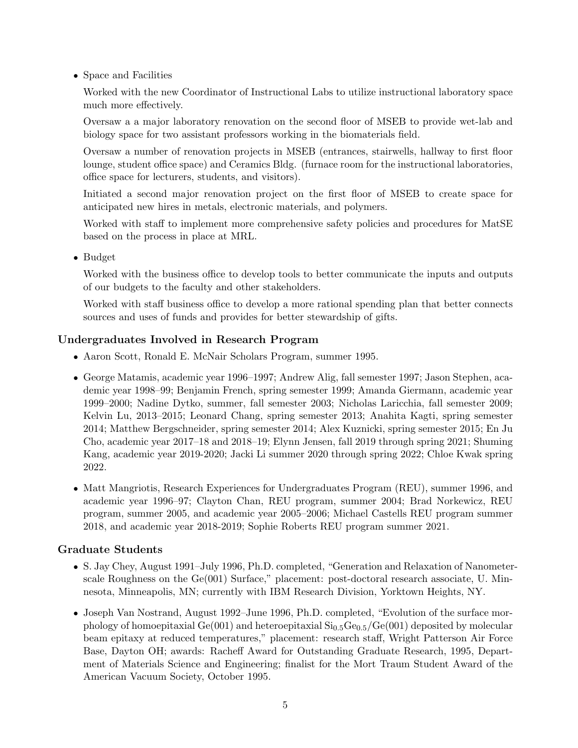• Space and Facilities

Worked with the new Coordinator of Instructional Labs to utilize instructional laboratory space much more effectively.

Oversaw a a major laboratory renovation on the second floor of MSEB to provide wet-lab and biology space for two assistant professors working in the biomaterials field.

Oversaw a number of renovation projects in MSEB (entrances, stairwells, hallway to first floor lounge, student office space) and Ceramics Bldg. (furnace room for the instructional laboratories, office space for lecturers, students, and visitors).

Initiated a second major renovation project on the first floor of MSEB to create space for anticipated new hires in metals, electronic materials, and polymers.

Worked with staff to implement more comprehensive safety policies and procedures for MatSE based on the process in place at MRL.

• Budget

Worked with the business office to develop tools to better communicate the inputs and outputs of our budgets to the faculty and other stakeholders.

Worked with staff business office to develop a more rational spending plan that better connects sources and uses of funds and provides for better stewardship of gifts.

# Undergraduates Involved in Research Program

- Aaron Scott, Ronald E. McNair Scholars Program, summer 1995.
- George Matamis, academic year 1996–1997; Andrew Alig, fall semester 1997; Jason Stephen, academic year 1998–99; Benjamin French, spring semester 1999; Amanda Giermann, academic year 1999–2000; Nadine Dytko, summer, fall semester 2003; Nicholas Laricchia, fall semester 2009; Kelvin Lu, 2013–2015; Leonard Chang, spring semester 2013; Anahita Kagti, spring semester 2014; Matthew Bergschneider, spring semester 2014; Alex Kuznicki, spring semester 2015; En Ju Cho, academic year 2017–18 and 2018–19; Elynn Jensen, fall 2019 through spring 2021; Shuming Kang, academic year 2019-2020; Jacki Li summer 2020 through spring 2022; Chloe Kwak spring 2022.
- Matt Mangriotis, Research Experiences for Undergraduates Program (REU), summer 1996, and academic year 1996–97; Clayton Chan, REU program, summer 2004; Brad Norkewicz, REU program, summer 2005, and academic year 2005–2006; Michael Castells REU program summer 2018, and academic year 2018-2019; Sophie Roberts REU program summer 2021.

## Graduate Students

- S. Jay Chey, August 1991–July 1996, Ph.D. completed, "Generation and Relaxation of Nanometerscale Roughness on the Ge(001) Surface," placement: post-doctoral research associate, U. Minnesota, Minneapolis, MN; currently with IBM Research Division, Yorktown Heights, NY.
- Joseph Van Nostrand, August 1992–June 1996, Ph.D. completed, "Evolution of the surface morphology of homoepitaxial  $Ge(001)$  and heteroepitaxial  $Si<sub>0.5</sub>Ge<sub>0.5</sub>/Ge(001)$  deposited by molecular beam epitaxy at reduced temperatures," placement: research staff, Wright Patterson Air Force Base, Dayton OH; awards: Racheff Award for Outstanding Graduate Research, 1995, Department of Materials Science and Engineering; finalist for the Mort Traum Student Award of the American Vacuum Society, October 1995.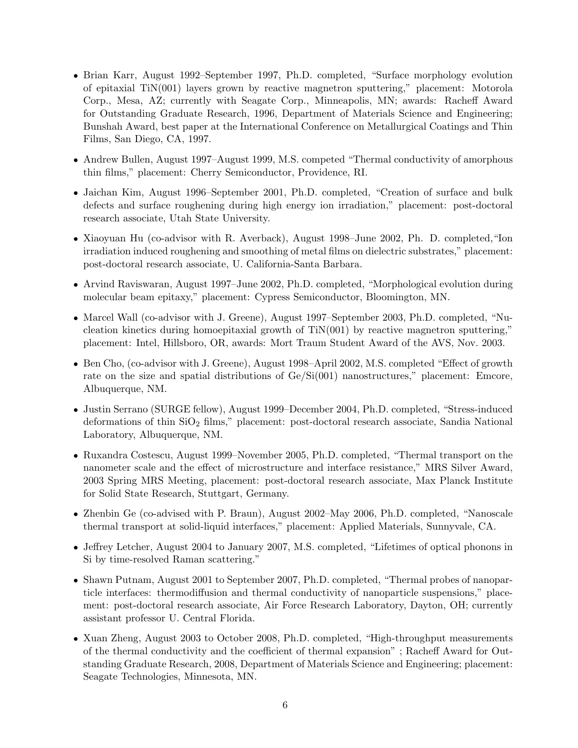- Brian Karr, August 1992–September 1997, Ph.D. completed, "Surface morphology evolution of epitaxial TiN(001) layers grown by reactive magnetron sputtering," placement: Motorola Corp., Mesa, AZ; currently with Seagate Corp., Minneapolis, MN; awards: Racheff Award for Outstanding Graduate Research, 1996, Department of Materials Science and Engineering; Bunshah Award, best paper at the International Conference on Metallurgical Coatings and Thin Films, San Diego, CA, 1997.
- Andrew Bullen, August 1997–August 1999, M.S. competed "Thermal conductivity of amorphous thin films," placement: Cherry Semiconductor, Providence, RI.
- Jaichan Kim, August 1996–September 2001, Ph.D. completed, "Creation of surface and bulk defects and surface roughening during high energy ion irradiation," placement: post-doctoral research associate, Utah State University.
- Xiaoyuan Hu (co-advisor with R. Averback), August 1998–June 2002, Ph. D. completed,"Ion irradiation induced roughening and smoothing of metal films on dielectric substrates," placement: post-doctoral research associate, U. California-Santa Barbara.
- Arvind Raviswaran, August 1997–June 2002, Ph.D. completed, "Morphological evolution during molecular beam epitaxy," placement: Cypress Semiconductor, Bloomington, MN.
- Marcel Wall (co-advisor with J. Greene), August 1997–September 2003, Ph.D. completed, "Nucleation kinetics during homoepitaxial growth of TiN(001) by reactive magnetron sputtering," placement: Intel, Hillsboro, OR, awards: Mort Traum Student Award of the AVS, Nov. 2003.
- Ben Cho, (co-advisor with J. Greene), August 1998–April 2002, M.S. completed "Effect of growth rate on the size and spatial distributions of Ge/Si(001) nanostructures," placement: Emcore, Albuquerque, NM.
- Justin Serrano (SURGE fellow), August 1999–December 2004, Ph.D. completed, "Stress-induced deformations of thin  $SiO<sub>2</sub>$  films," placement: post-doctoral research associate, Sandia National Laboratory, Albuquerque, NM.
- Ruxandra Costescu, August 1999–November 2005, Ph.D. completed, "Thermal transport on the nanometer scale and the effect of microstructure and interface resistance," MRS Silver Award, 2003 Spring MRS Meeting, placement: post-doctoral research associate, Max Planck Institute for Solid State Research, Stuttgart, Germany.
- Zhenbin Ge (co-advised with P. Braun), August 2002–May 2006, Ph.D. completed, "Nanoscale thermal transport at solid-liquid interfaces," placement: Applied Materials, Sunnyvale, CA.
- Jeffrey Letcher, August 2004 to January 2007, M.S. completed, "Lifetimes of optical phonons in Si by time-resolved Raman scattering."
- Shawn Putnam, August 2001 to September 2007, Ph.D. completed, "Thermal probes of nanoparticle interfaces: thermodiffusion and thermal conductivity of nanoparticle suspensions," placement: post-doctoral research associate, Air Force Research Laboratory, Dayton, OH; currently assistant professor U. Central Florida.
- Xuan Zheng, August 2003 to October 2008, Ph.D. completed, "High-throughput measurements of the thermal conductivity and the coefficient of thermal expansion" ; Racheff Award for Outstanding Graduate Research, 2008, Department of Materials Science and Engineering; placement: Seagate Technologies, Minnesota, MN.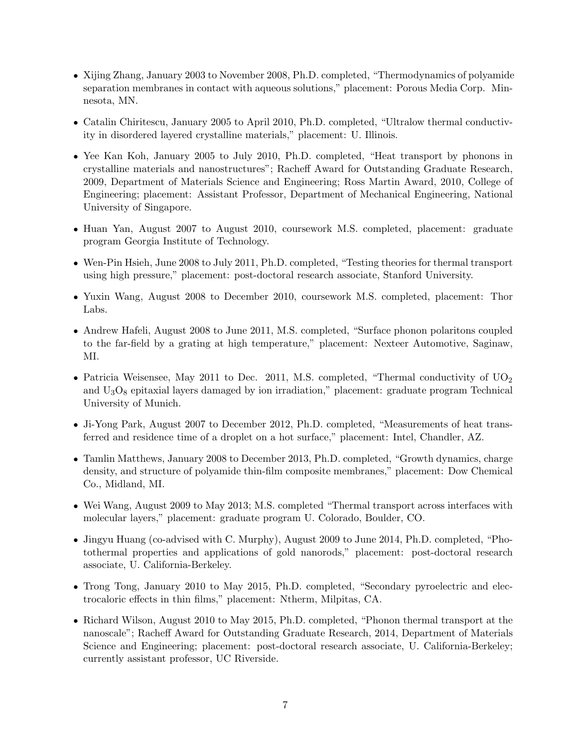- Xijing Zhang, January 2003 to November 2008, Ph.D. completed, "Thermodynamics of polyamide separation membranes in contact with aqueous solutions," placement: Porous Media Corp. Minnesota, MN.
- Catalin Chiritescu, January 2005 to April 2010, Ph.D. completed, "Ultralow thermal conductivity in disordered layered crystalline materials," placement: U. Illinois.
- Yee Kan Koh, January 2005 to July 2010, Ph.D. completed, "Heat transport by phonons in crystalline materials and nanostructures"; Racheff Award for Outstanding Graduate Research, 2009, Department of Materials Science and Engineering; Ross Martin Award, 2010, College of Engineering; placement: Assistant Professor, Department of Mechanical Engineering, National University of Singapore.
- Huan Yan, August 2007 to August 2010, coursework M.S. completed, placement: graduate program Georgia Institute of Technology.
- Wen-Pin Hsieh, June 2008 to July 2011, Ph.D. completed, "Testing theories for thermal transport using high pressure," placement: post-doctoral research associate, Stanford University.
- Yuxin Wang, August 2008 to December 2010, coursework M.S. completed, placement: Thor Labs.
- Andrew Hafeli, August 2008 to June 2011, M.S. completed, "Surface phonon polaritons coupled to the far-field by a grating at high temperature," placement: Nexteer Automotive, Saginaw, MI.
- Patricia Weisensee, May 2011 to Dec. 2011, M.S. completed, "Thermal conductivity of  $UO<sub>2</sub>$ and  $U_3O_8$  epitaxial layers damaged by ion irradiation," placement: graduate program Technical University of Munich.
- Ji-Yong Park, August 2007 to December 2012, Ph.D. completed, "Measurements of heat transferred and residence time of a droplet on a hot surface," placement: Intel, Chandler, AZ.
- Tamlin Matthews, January 2008 to December 2013, Ph.D. completed, "Growth dynamics, charge density, and structure of polyamide thin-film composite membranes," placement: Dow Chemical Co., Midland, MI.
- Wei Wang, August 2009 to May 2013; M.S. completed "Thermal transport across interfaces with molecular layers," placement: graduate program U. Colorado, Boulder, CO.
- Jingyu Huang (co-advised with C. Murphy), August 2009 to June 2014, Ph.D. completed, "Photothermal properties and applications of gold nanorods," placement: post-doctoral research associate, U. California-Berkeley.
- Trong Tong, January 2010 to May 2015, Ph.D. completed, "Secondary pyroelectric and electrocaloric effects in thin films," placement: Ntherm, Milpitas, CA.
- Richard Wilson, August 2010 to May 2015, Ph.D. completed, "Phonon thermal transport at the nanoscale"; Racheff Award for Outstanding Graduate Research, 2014, Department of Materials Science and Engineering; placement: post-doctoral research associate, U. California-Berkeley; currently assistant professor, UC Riverside.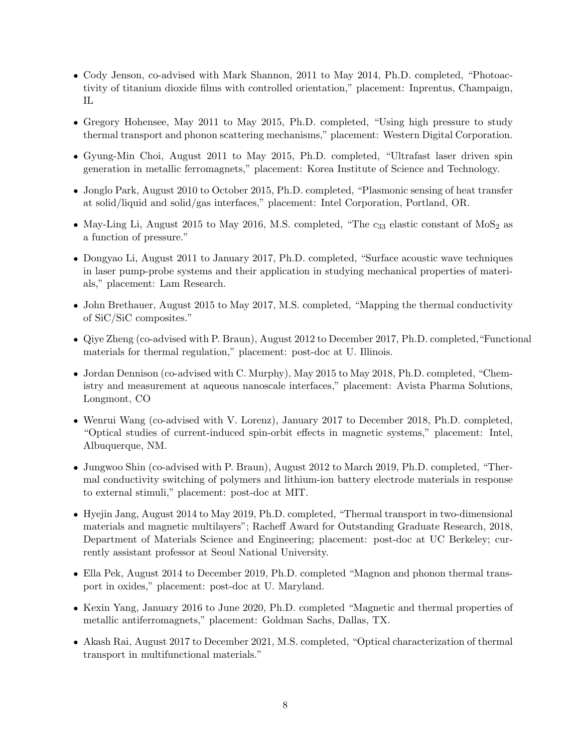- Cody Jenson, co-advised with Mark Shannon, 2011 to May 2014, Ph.D. completed, "Photoactivity of titanium dioxide films with controlled orientation," placement: Inprentus, Champaign, IL
- Gregory Hohensee, May 2011 to May 2015, Ph.D. completed, "Using high pressure to study thermal transport and phonon scattering mechanisms," placement: Western Digital Corporation.
- Gyung-Min Choi, August 2011 to May 2015, Ph.D. completed, "Ultrafast laser driven spin generation in metallic ferromagnets," placement: Korea Institute of Science and Technology.
- Jonglo Park, August 2010 to October 2015, Ph.D. completed, "Plasmonic sensing of heat transfer at solid/liquid and solid/gas interfaces," placement: Intel Corporation, Portland, OR.
- May-Ling Li, August 2015 to May 2016, M.S. completed, "The  $c_{33}$  elastic constant of MoS<sub>2</sub> as a function of pressure."
- Dongyao Li, August 2011 to January 2017, Ph.D. completed, "Surface acoustic wave techniques in laser pump-probe systems and their application in studying mechanical properties of materials," placement: Lam Research.
- John Brethauer, August 2015 to May 2017, M.S. completed, "Mapping the thermal conductivity of SiC/SiC composites."
- Qiye Zheng (co-advised with P. Braun), August 2012 to December 2017, Ph.D. completed,"Functional materials for thermal regulation," placement: post-doc at U. Illinois.
- Jordan Dennison (co-advised with C. Murphy), May 2015 to May 2018, Ph.D. completed, "Chemistry and measurement at aqueous nanoscale interfaces," placement: Avista Pharma Solutions, Longmont, CO
- Wenrui Wang (co-advised with V. Lorenz), January 2017 to December 2018, Ph.D. completed, "Optical studies of current-induced spin-orbit effects in magnetic systems," placement: Intel, Albuquerque, NM.
- Jungwoo Shin (co-advised with P. Braun), August 2012 to March 2019, Ph.D. completed, "Thermal conductivity switching of polymers and lithium-ion battery electrode materials in response to external stimuli," placement: post-doc at MIT.
- Hyejin Jang, August 2014 to May 2019, Ph.D. completed, "Thermal transport in two-dimensional materials and magnetic multilayers"; Racheff Award for Outstanding Graduate Research, 2018, Department of Materials Science and Engineering; placement: post-doc at UC Berkeley; currently assistant professor at Seoul National University.
- Ella Pek, August 2014 to December 2019, Ph.D. completed "Magnon and phonon thermal transport in oxides," placement: post-doc at U. Maryland.
- Kexin Yang, January 2016 to June 2020, Ph.D. completed "Magnetic and thermal properties of metallic antiferromagnets," placement: Goldman Sachs, Dallas, TX.
- Akash Rai, August 2017 to December 2021, M.S. completed, "Optical characterization of thermal transport in multifunctional materials."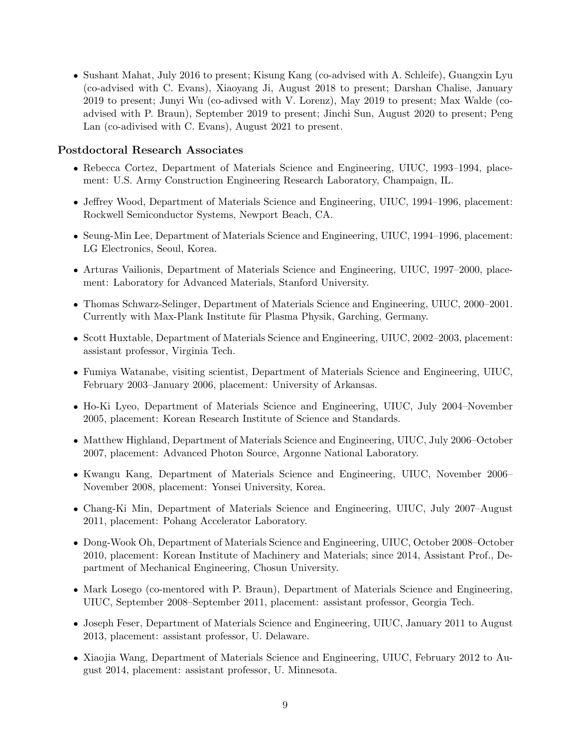• Sushant Mahat, July 2016 to present; Kisung Kang (co-advised with A. Schleife), Guangxin Lyu (co-advised with C. Evans), Xiaoyang Ji, August 2018 to present; Darshan Chalise, January 2019 to present; Junyi Wu (co-adivsed with V. Lorenz), May 2019 to present; Max Walde (coadvised with P. Braun), September 2019 to present; Jinchi Sun, August 2020 to present; Peng Lan (co-adivised with C. Evans), August 2021 to present.

### Postdoctoral Research Associates

- Rebecca Cortez, Department of Materials Science and Engineering, UIUC, 1993–1994, placement: U.S. Army Construction Engineering Research Laboratory, Champaign, IL.
- Jeffrey Wood, Department of Materials Science and Engineering, UIUC, 1994–1996, placement: Rockwell Semiconductor Systems, Newport Beach, CA.
- Seung-Min Lee, Department of Materials Science and Engineering, UIUC, 1994–1996, placement: LG Electronics, Seoul, Korea.
- Arturas Vailionis, Department of Materials Science and Engineering, UIUC, 1997–2000, placement: Laboratory for Advanced Materials, Stanford University.
- Thomas Schwarz-Selinger, Department of Materials Science and Engineering, UIUC, 2000–2001. Currently with Max-Plank Institute für Plasma Physik, Garching, Germany.
- Scott Huxtable, Department of Materials Science and Engineering, UIUC, 2002–2003, placement: assistant professor, Virginia Tech.
- Fumiya Watanabe, visiting scientist, Department of Materials Science and Engineering, UIUC, February 2003–January 2006, placement: University of Arkansas.
- Ho-Ki Lyeo, Department of Materials Science and Engineering, UIUC, July 2004–November 2005, placement: Korean Research Institute of Science and Standards.
- Matthew Highland, Department of Materials Science and Engineering, UIUC, July 2006–October 2007, placement: Advanced Photon Source, Argonne National Laboratory.
- Kwangu Kang, Department of Materials Science and Engineering, UIUC, November 2006– November 2008, placement: Yonsei University, Korea.
- Chang-Ki Min, Department of Materials Science and Engineering, UIUC, July 2007–August 2011, placement: Pohang Accelerator Laboratory.
- Dong-Wook Oh, Department of Materials Science and Engineering, UIUC, October 2008–October 2010, placement: Korean Institute of Machinery and Materials; since 2014, Assistant Prof., Department of Mechanical Engineering, Chosun University.
- Mark Losego (co-mentored with P. Braun), Department of Materials Science and Engineering, UIUC, September 2008–September 2011, placement: assistant professor, Georgia Tech.
- Joseph Feser, Department of Materials Science and Engineering, UIUC, January 2011 to August 2013, placement: assistant professor, U. Delaware.
- Xiaojia Wang, Department of Materials Science and Engineering, UIUC, February 2012 to August 2014, placement: assistant professor, U. Minnesota.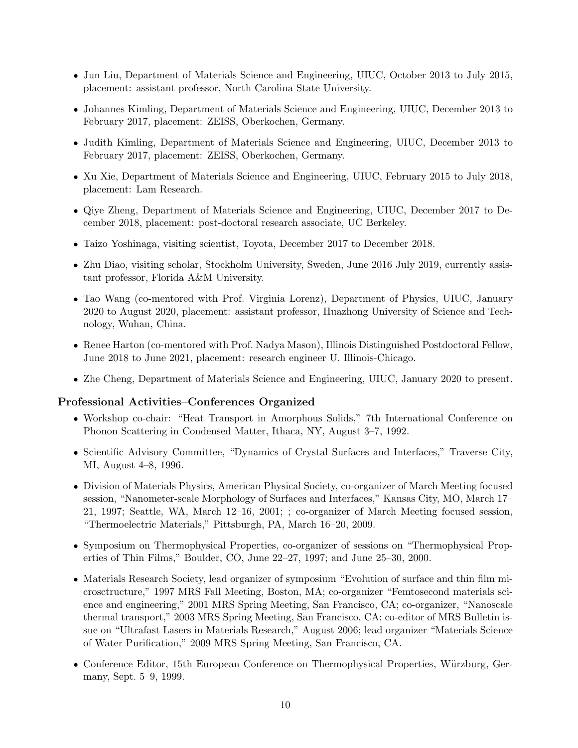- Jun Liu, Department of Materials Science and Engineering, UIUC, October 2013 to July 2015, placement: assistant professor, North Carolina State University.
- Johannes Kimling, Department of Materials Science and Engineering, UIUC, December 2013 to February 2017, placement: ZEISS, Oberkochen, Germany.
- Judith Kimling, Department of Materials Science and Engineering, UIUC, December 2013 to February 2017, placement: ZEISS, Oberkochen, Germany.
- Xu Xie, Department of Materials Science and Engineering, UIUC, February 2015 to July 2018, placement: Lam Research.
- Qiye Zheng, Department of Materials Science and Engineering, UIUC, December 2017 to December 2018, placement: post-doctoral research associate, UC Berkeley.
- Taizo Yoshinaga, visiting scientist, Toyota, December 2017 to December 2018.
- Zhu Diao, visiting scholar, Stockholm University, Sweden, June 2016 July 2019, currently assistant professor, Florida A&M University.
- Tao Wang (co-mentored with Prof. Virginia Lorenz), Department of Physics, UIUC, January 2020 to August 2020, placement: assistant professor, Huazhong University of Science and Technology, Wuhan, China.
- Renee Harton (co-mentored with Prof. Nadya Mason), Illinois Distinguished Postdoctoral Fellow, June 2018 to June 2021, placement: research engineer U. Illinois-Chicago.
- Zhe Cheng, Department of Materials Science and Engineering, UIUC, January 2020 to present.

### Professional Activities–Conferences Organized

- Workshop co-chair: "Heat Transport in Amorphous Solids," 7th International Conference on Phonon Scattering in Condensed Matter, Ithaca, NY, August 3–7, 1992.
- Scientific Advisory Committee, "Dynamics of Crystal Surfaces and Interfaces," Traverse City, MI, August 4–8, 1996.
- Division of Materials Physics, American Physical Society, co-organizer of March Meeting focused session, "Nanometer-scale Morphology of Surfaces and Interfaces," Kansas City, MO, March 17– 21, 1997; Seattle, WA, March 12–16, 2001; ; co-organizer of March Meeting focused session, "Thermoelectric Materials," Pittsburgh, PA, March 16–20, 2009.
- Symposium on Thermophysical Properties, co-organizer of sessions on "Thermophysical Properties of Thin Films," Boulder, CO, June 22–27, 1997; and June 25–30, 2000.
- Materials Research Society, lead organizer of symposium "Evolution of surface and thin film microsctructure," 1997 MRS Fall Meeting, Boston, MA; co-organizer "Femtosecond materials science and engineering," 2001 MRS Spring Meeting, San Francisco, CA; co-organizer, "Nanoscale thermal transport," 2003 MRS Spring Meeting, San Francisco, CA; co-editor of MRS Bulletin issue on "Ultrafast Lasers in Materials Research," August 2006; lead organizer "Materials Science of Water Purification," 2009 MRS Spring Meeting, San Francisco, CA.
- Conference Editor, 15th European Conference on Thermophysical Properties, Würzburg, Germany, Sept. 5–9, 1999.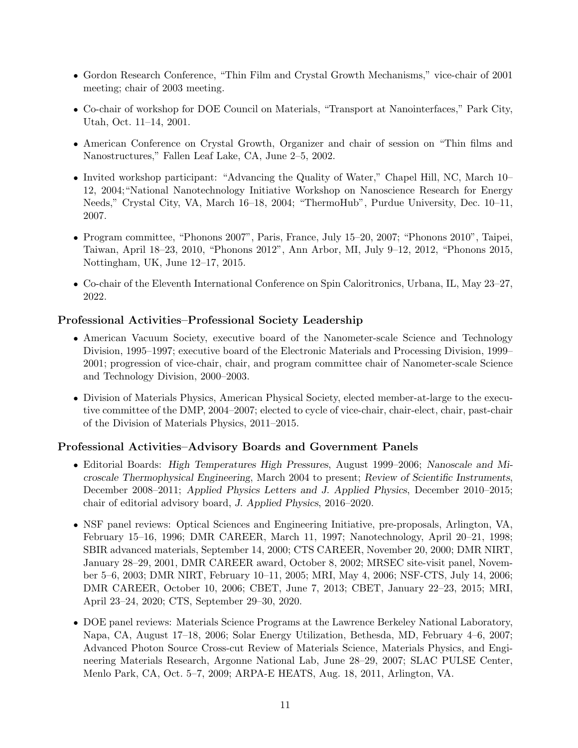- Gordon Research Conference, "Thin Film and Crystal Growth Mechanisms," vice-chair of 2001 meeting; chair of 2003 meeting.
- Co-chair of workshop for DOE Council on Materials, "Transport at Nanointerfaces," Park City, Utah, Oct. 11–14, 2001.
- American Conference on Crystal Growth, Organizer and chair of session on "Thin films and Nanostructures," Fallen Leaf Lake, CA, June 2–5, 2002.
- Invited workshop participant: "Advancing the Quality of Water," Chapel Hill, NC, March 10– 12, 2004;"National Nanotechnology Initiative Workshop on Nanoscience Research for Energy Needs," Crystal City, VA, March 16–18, 2004; "ThermoHub", Purdue University, Dec. 10–11, 2007.
- Program committee, "Phonons 2007", Paris, France, July 15–20, 2007; "Phonons 2010", Taipei, Taiwan, April 18–23, 2010, "Phonons 2012", Ann Arbor, MI, July 9–12, 2012, "Phonons 2015, Nottingham, UK, June 12–17, 2015.
- Co-chair of the Eleventh International Conference on Spin Caloritronics, Urbana, IL, May 23–27, 2022.

## Professional Activities–Professional Society Leadership

- American Vacuum Society, executive board of the Nanometer-scale Science and Technology Division, 1995–1997; executive board of the Electronic Materials and Processing Division, 1999– 2001; progression of vice-chair, chair, and program committee chair of Nanometer-scale Science and Technology Division, 2000–2003.
- Division of Materials Physics, American Physical Society, elected member-at-large to the executive committee of the DMP, 2004–2007; elected to cycle of vice-chair, chair-elect, chair, past-chair of the Division of Materials Physics, 2011–2015.

# Professional Activities–Advisory Boards and Government Panels

- Editorial Boards: High Temperatures High Pressures, August 1999–2006; Nanoscale and Microscale Thermophysical Engineering, March 2004 to present; Review of Scientific Instruments, December 2008–2011; Applied Physics Letters and J. Applied Physics, December 2010–2015; chair of editorial advisory board, J. Applied Physics, 2016–2020.
- NSF panel reviews: Optical Sciences and Engineering Initiative, pre-proposals, Arlington, VA, February 15–16, 1996; DMR CAREER, March 11, 1997; Nanotechnology, April 20–21, 1998; SBIR advanced materials, September 14, 2000; CTS CAREER, November 20, 2000; DMR NIRT, January 28–29, 2001, DMR CAREER award, October 8, 2002; MRSEC site-visit panel, November 5–6, 2003; DMR NIRT, February 10–11, 2005; MRI, May 4, 2006; NSF-CTS, July 14, 2006; DMR CAREER, October 10, 2006; CBET, June 7, 2013; CBET, January 22–23, 2015; MRI, April 23–24, 2020; CTS, September 29–30, 2020.
- DOE panel reviews: Materials Science Programs at the Lawrence Berkeley National Laboratory, Napa, CA, August 17–18, 2006; Solar Energy Utilization, Bethesda, MD, February 4–6, 2007; Advanced Photon Source Cross-cut Review of Materials Science, Materials Physics, and Engineering Materials Research, Argonne National Lab, June 28–29, 2007; SLAC PULSE Center, Menlo Park, CA, Oct. 5–7, 2009; ARPA-E HEATS, Aug. 18, 2011, Arlington, VA.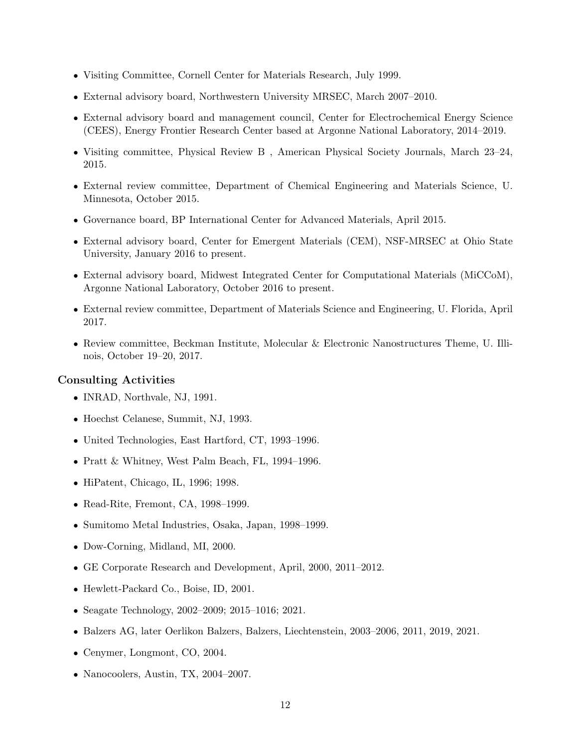- Visiting Committee, Cornell Center for Materials Research, July 1999.
- External advisory board, Northwestern University MRSEC, March 2007–2010.
- External advisory board and management council, Center for Electrochemical Energy Science (CEES), Energy Frontier Research Center based at Argonne National Laboratory, 2014–2019.
- Visiting committee, Physical Review B , American Physical Society Journals, March 23–24, 2015.
- External review committee, Department of Chemical Engineering and Materials Science, U. Minnesota, October 2015.
- Governance board, BP International Center for Advanced Materials, April 2015.
- External advisory board, Center for Emergent Materials (CEM), NSF-MRSEC at Ohio State University, January 2016 to present.
- External advisory board, Midwest Integrated Center for Computational Materials (MiCCoM), Argonne National Laboratory, October 2016 to present.
- External review committee, Department of Materials Science and Engineering, U. Florida, April 2017.
- Review committee, Beckman Institute, Molecular & Electronic Nanostructures Theme, U. Illinois, October 19–20, 2017.

### Consulting Activities

- INRAD, Northvale, NJ, 1991.
- Hoechst Celanese, Summit, NJ, 1993.
- United Technologies, East Hartford, CT, 1993–1996.
- Pratt & Whitney, West Palm Beach, FL, 1994–1996.
- HiPatent, Chicago, IL, 1996; 1998.
- Read-Rite, Fremont, CA, 1998–1999.
- Sumitomo Metal Industries, Osaka, Japan, 1998–1999.
- Dow-Corning, Midland, MI, 2000.
- GE Corporate Research and Development, April, 2000, 2011–2012.
- Hewlett-Packard Co., Boise, ID, 2001.
- Seagate Technology, 2002–2009; 2015–1016; 2021.
- Balzers AG, later Oerlikon Balzers, Balzers, Liechtenstein, 2003–2006, 2011, 2019, 2021.
- Cenymer, Longmont, CO, 2004.
- Nanocoolers, Austin, TX, 2004–2007.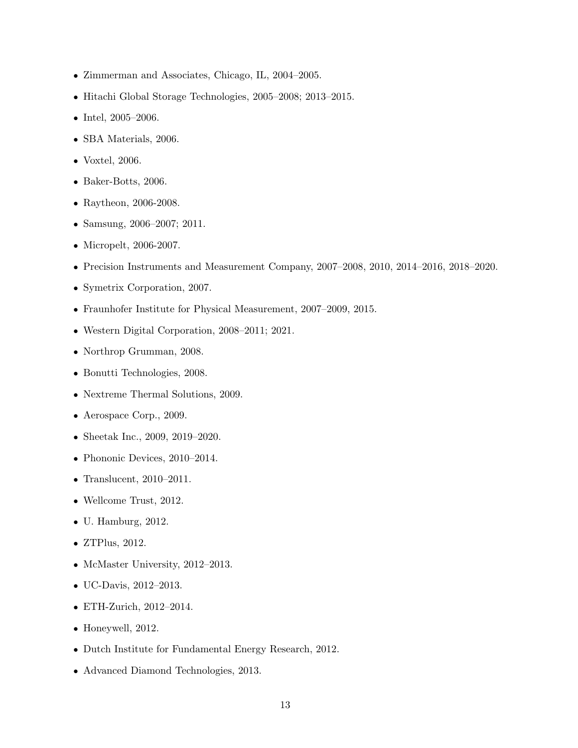- Zimmerman and Associates, Chicago, IL, 2004–2005.
- Hitachi Global Storage Technologies, 2005–2008; 2013–2015.
- Intel, 2005–2006.
- SBA Materials, 2006.
- Voxtel, 2006.
- Baker-Botts, 2006.
- Raytheon, 2006-2008.
- Samsung, 2006–2007; 2011.
- Micropelt, 2006-2007.
- Precision Instruments and Measurement Company, 2007–2008, 2010, 2014–2016, 2018–2020.
- Symetrix Corporation, 2007.
- Fraunhofer Institute for Physical Measurement, 2007–2009, 2015.
- Western Digital Corporation, 2008–2011; 2021.
- Northrop Grumman, 2008.
- Bonutti Technologies, 2008.
- Nextreme Thermal Solutions, 2009.
- Aerospace Corp., 2009.
- Sheetak Inc., 2009, 2019–2020.
- Phononic Devices, 2010–2014.
- Translucent, 2010–2011.
- Wellcome Trust, 2012.
- U. Hamburg, 2012.
- ZTPlus, 2012.
- McMaster University, 2012–2013.
- UC-Davis, 2012–2013.
- ETH-Zurich, 2012–2014.
- Honeywell, 2012.
- Dutch Institute for Fundamental Energy Research, 2012.
- Advanced Diamond Technologies, 2013.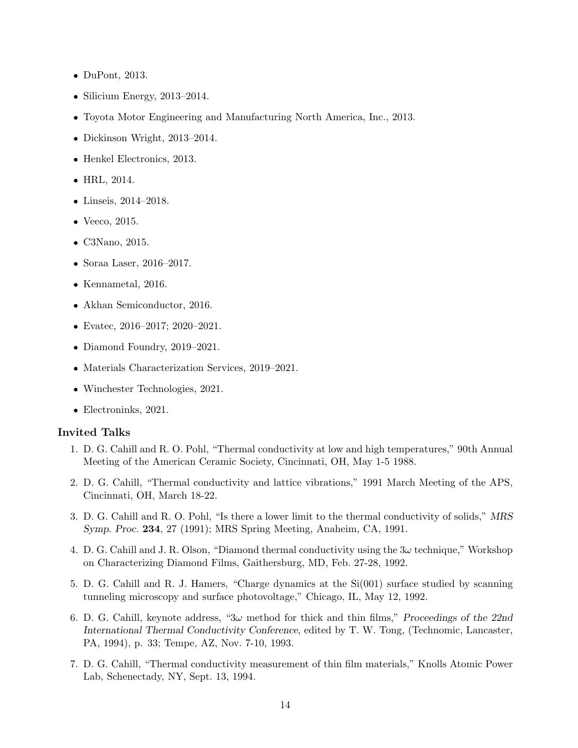- DuPont, 2013.
- Silicium Energy, 2013–2014.
- Toyota Motor Engineering and Manufacturing North America, Inc., 2013.
- Dickinson Wright, 2013–2014.
- Henkel Electronics, 2013.
- HRL, 2014.
- Linseis, 2014–2018.
- Veeco, 2015.
- C3Nano, 2015.
- Soraa Laser, 2016–2017.
- Kennametal, 2016.
- Akhan Semiconductor, 2016.
- Evatec, 2016–2017; 2020–2021.
- Diamond Foundry, 2019–2021.
- Materials Characterization Services, 2019–2021.
- Winchester Technologies, 2021.
- Electroninks, 2021.

#### Invited Talks

- 1. D. G. Cahill and R. O. Pohl, "Thermal conductivity at low and high temperatures," 90th Annual Meeting of the American Ceramic Society, Cincinnati, OH, May 1-5 1988.
- 2. D. G. Cahill, "Thermal conductivity and lattice vibrations," 1991 March Meeting of the APS, Cincinnati, OH, March 18-22.
- 3. D. G. Cahill and R. O. Pohl, "Is there a lower limit to the thermal conductivity of solids," MRS Symp. Proc. 234, 27 (1991); MRS Spring Meeting, Anaheim, CA, 1991.
- 4. D. G. Cahill and J. R. Olson, "Diamond thermal conductivity using the  $3\omega$  technique," Workshop on Characterizing Diamond Films, Gaithersburg, MD, Feb. 27-28, 1992.
- 5. D. G. Cahill and R. J. Hamers, "Charge dynamics at the Si(001) surface studied by scanning tunneling microscopy and surface photovoltage," Chicago, IL, May 12, 1992.
- 6. D. G. Cahill, keynote address, "3 $\omega$  method for thick and thin films," Proceedings of the 22nd International Thermal Conductivity Conference, edited by T. W. Tong, (Technomic, Lancaster, PA, 1994), p. 33; Tempe, AZ, Nov. 7-10, 1993.
- 7. D. G. Cahill, "Thermal conductivity measurement of thin film materials," Knolls Atomic Power Lab, Schenectady, NY, Sept. 13, 1994.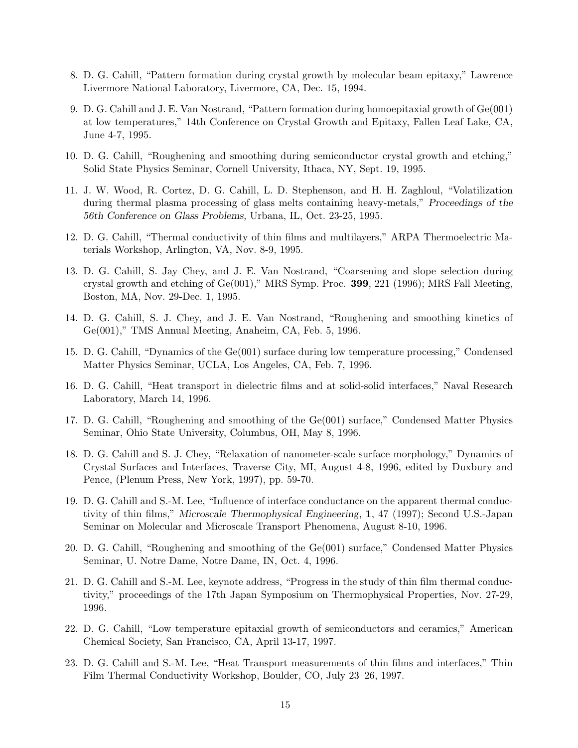- 8. D. G. Cahill, "Pattern formation during crystal growth by molecular beam epitaxy," Lawrence Livermore National Laboratory, Livermore, CA, Dec. 15, 1994.
- 9. D. G. Cahill and J. E. Van Nostrand, "Pattern formation during homoepitaxial growth of Ge(001) at low temperatures," 14th Conference on Crystal Growth and Epitaxy, Fallen Leaf Lake, CA, June 4-7, 1995.
- 10. D. G. Cahill, "Roughening and smoothing during semiconductor crystal growth and etching," Solid State Physics Seminar, Cornell University, Ithaca, NY, Sept. 19, 1995.
- 11. J. W. Wood, R. Cortez, D. G. Cahill, L. D. Stephenson, and H. H. Zaghloul, "Volatilization during thermal plasma processing of glass melts containing heavy-metals," Proceedings of the 56th Conference on Glass Problems, Urbana, IL, Oct. 23-25, 1995.
- 12. D. G. Cahill, "Thermal conductivity of thin films and multilayers," ARPA Thermoelectric Materials Workshop, Arlington, VA, Nov. 8-9, 1995.
- 13. D. G. Cahill, S. Jay Chey, and J. E. Van Nostrand, "Coarsening and slope selection during crystal growth and etching of  $Ge(001)$ ," MRS Symp. Proc. **399**, 221 (1996); MRS Fall Meeting, Boston, MA, Nov. 29-Dec. 1, 1995.
- 14. D. G. Cahill, S. J. Chey, and J. E. Van Nostrand, "Roughening and smoothing kinetics of Ge(001)," TMS Annual Meeting, Anaheim, CA, Feb. 5, 1996.
- 15. D. G. Cahill, "Dynamics of the Ge(001) surface during low temperature processing," Condensed Matter Physics Seminar, UCLA, Los Angeles, CA, Feb. 7, 1996.
- 16. D. G. Cahill, "Heat transport in dielectric films and at solid-solid interfaces," Naval Research Laboratory, March 14, 1996.
- 17. D. G. Cahill, "Roughening and smoothing of the Ge(001) surface," Condensed Matter Physics Seminar, Ohio State University, Columbus, OH, May 8, 1996.
- 18. D. G. Cahill and S. J. Chey, "Relaxation of nanometer-scale surface morphology," Dynamics of Crystal Surfaces and Interfaces, Traverse City, MI, August 4-8, 1996, edited by Duxbury and Pence, (Plenum Press, New York, 1997), pp. 59-70.
- 19. D. G. Cahill and S.-M. Lee, "Influence of interface conductance on the apparent thermal conductivity of thin films," Microscale Thermophysical Engineering, 1, 47 (1997); Second U.S.-Japan Seminar on Molecular and Microscale Transport Phenomena, August 8-10, 1996.
- 20. D. G. Cahill, "Roughening and smoothing of the Ge(001) surface," Condensed Matter Physics Seminar, U. Notre Dame, Notre Dame, IN, Oct. 4, 1996.
- 21. D. G. Cahill and S.-M. Lee, keynote address, "Progress in the study of thin film thermal conductivity," proceedings of the 17th Japan Symposium on Thermophysical Properties, Nov. 27-29, 1996.
- 22. D. G. Cahill, "Low temperature epitaxial growth of semiconductors and ceramics," American Chemical Society, San Francisco, CA, April 13-17, 1997.
- 23. D. G. Cahill and S.-M. Lee, "Heat Transport measurements of thin films and interfaces," Thin Film Thermal Conductivity Workshop, Boulder, CO, July 23–26, 1997.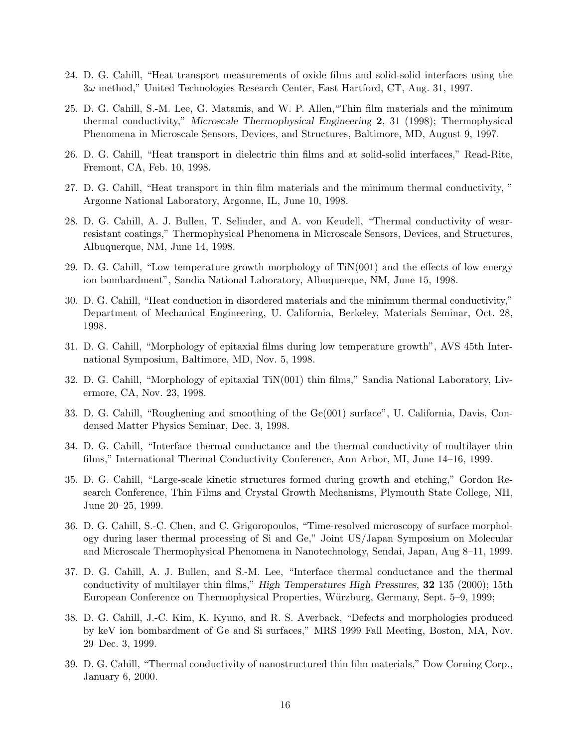- 24. D. G. Cahill, "Heat transport measurements of oxide films and solid-solid interfaces using the 3ω method," United Technologies Research Center, East Hartford, CT, Aug. 31, 1997.
- 25. D. G. Cahill, S.-M. Lee, G. Matamis, and W. P. Allen,"Thin film materials and the minimum thermal conductivity," Microscale Thermophysical Engineering 2, 31 (1998); Thermophysical Phenomena in Microscale Sensors, Devices, and Structures, Baltimore, MD, August 9, 1997.
- 26. D. G. Cahill, "Heat transport in dielectric thin films and at solid-solid interfaces," Read-Rite, Fremont, CA, Feb. 10, 1998.
- 27. D. G. Cahill, "Heat transport in thin film materials and the minimum thermal conductivity, " Argonne National Laboratory, Argonne, IL, June 10, 1998.
- 28. D. G. Cahill, A. J. Bullen, T. Selinder, and A. von Keudell, "Thermal conductivity of wearresistant coatings," Thermophysical Phenomena in Microscale Sensors, Devices, and Structures, Albuquerque, NM, June 14, 1998.
- 29. D. G. Cahill, "Low temperature growth morphology of TiN(001) and the effects of low energy ion bombardment", Sandia National Laboratory, Albuquerque, NM, June 15, 1998.
- 30. D. G. Cahill, "Heat conduction in disordered materials and the minimum thermal conductivity," Department of Mechanical Engineering, U. California, Berkeley, Materials Seminar, Oct. 28, 1998.
- 31. D. G. Cahill, "Morphology of epitaxial films during low temperature growth", AVS 45th International Symposium, Baltimore, MD, Nov. 5, 1998.
- 32. D. G. Cahill, "Morphology of epitaxial TiN(001) thin films," Sandia National Laboratory, Livermore, CA, Nov. 23, 1998.
- 33. D. G. Cahill, "Roughening and smoothing of the Ge(001) surface", U. California, Davis, Condensed Matter Physics Seminar, Dec. 3, 1998.
- 34. D. G. Cahill, "Interface thermal conductance and the thermal conductivity of multilayer thin films," International Thermal Conductivity Conference, Ann Arbor, MI, June 14–16, 1999.
- 35. D. G. Cahill, "Large-scale kinetic structures formed during growth and etching," Gordon Research Conference, Thin Films and Crystal Growth Mechanisms, Plymouth State College, NH, June 20–25, 1999.
- 36. D. G. Cahill, S.-C. Chen, and C. Grigoropoulos, "Time-resolved microscopy of surface morphology during laser thermal processing of Si and Ge," Joint US/Japan Symposium on Molecular and Microscale Thermophysical Phenomena in Nanotechnology, Sendai, Japan, Aug 8–11, 1999.
- 37. D. G. Cahill, A. J. Bullen, and S.-M. Lee, "Interface thermal conductance and the thermal conductivity of multilayer thin films," High Temperatures High Pressures, 32 135 (2000); 15th European Conference on Thermophysical Properties, W¨urzburg, Germany, Sept. 5–9, 1999;
- 38. D. G. Cahill, J.-C. Kim, K. Kyuno, and R. S. Averback, "Defects and morphologies produced by keV ion bombardment of Ge and Si surfaces," MRS 1999 Fall Meeting, Boston, MA, Nov. 29–Dec. 3, 1999.
- 39. D. G. Cahill, "Thermal conductivity of nanostructured thin film materials," Dow Corning Corp., January 6, 2000.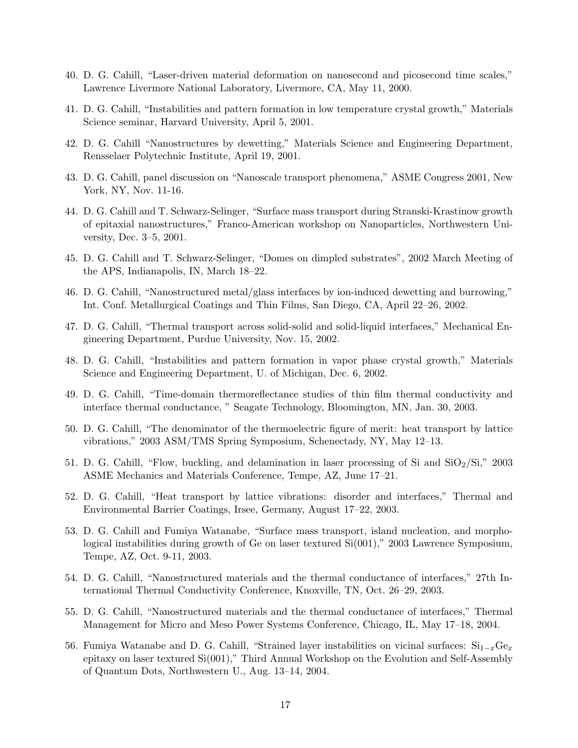- 40. D. G. Cahill, "Laser-driven material deformation on nanosecond and picosecond time scales," Lawrence Livermore National Laboratory, Livermore, CA, May 11, 2000.
- 41. D. G. Cahill, "Instabilities and pattern formation in low temperature crystal growth," Materials Science seminar, Harvard University, April 5, 2001.
- 42. D. G. Cahill "Nanostructures by dewetting," Materials Science and Engineering Department, Rensselaer Polytechnic Institute, April 19, 2001.
- 43. D. G. Cahill, panel discussion on "Nanoscale transport phenomena," ASME Congress 2001, New York, NY, Nov. 11-16.
- 44. D. G. Cahill and T. Schwarz-Selinger, "Surface mass transport during Stranski-Krastinow growth of epitaxial nanostructures," Franco-American workshop on Nanoparticles, Northwestern University, Dec. 3–5, 2001.
- 45. D. G. Cahill and T. Schwarz-Selinger, "Domes on dimpled substrates", 2002 March Meeting of the APS, Indianapolis, IN, March 18–22.
- 46. D. G. Cahill, "Nanostructured metal/glass interfaces by ion-induced dewetting and burrowing," Int. Conf. Metallurgical Coatings and Thin Films, San Diego, CA, April 22–26, 2002.
- 47. D. G. Cahill, "Thermal transport across solid-solid and solid-liquid interfaces," Mechanical Engineering Department, Purdue University, Nov. 15, 2002.
- 48. D. G. Cahill, "Instabilities and pattern formation in vapor phase crystal growth," Materials Science and Engineering Department, U. of Michigan, Dec. 6, 2002.
- 49. D. G. Cahill, "Time-domain thermoreflectance studies of thin film thermal conductivity and interface thermal conductance, " Seagate Technology, Bloomington, MN, Jan. 30, 2003.
- 50. D. G. Cahill, "The denominator of the thermoelectric figure of merit: heat transport by lattice vibrations," 2003 ASM/TMS Spring Symposium, Schenectady, NY, May 12–13.
- 51. D. G. Cahill, "Flow, buckling, and delamination in laser processing of Si and  $SiO<sub>2</sub>/Si$ ," 2003 ASME Mechanics and Materials Conference, Tempe, AZ, June 17–21.
- 52. D. G. Cahill, "Heat transport by lattice vibrations: disorder and interfaces," Thermal and Environmental Barrier Coatings, Irsee, Germany, August 17–22, 2003.
- 53. D. G. Cahill and Fumiya Watanabe, "Surface mass transport, island nucleation, and morphological instabilities during growth of Ge on laser textured  $Si(001)$ ," 2003 Lawrence Symposium, Tempe, AZ, Oct. 9-11, 2003.
- 54. D. G. Cahill, "Nanostructured materials and the thermal conductance of interfaces," 27th International Thermal Conductivity Conference, Knoxville, TN, Oct. 26–29, 2003.
- 55. D. G. Cahill, "Nanostructured materials and the thermal conductance of interfaces," Thermal Management for Micro and Meso Power Systems Conference, Chicago, IL, May 17–18, 2004.
- 56. Fumiya Watanabe and D. G. Cahill, "Strained layer instabilities on vicinal surfaces:  $Si_{1-x}Ge_x$ epitaxy on laser textured Si(001)," Third Annual Workshop on the Evolution and Self-Assembly of Quantum Dots, Northwestern U., Aug. 13–14, 2004.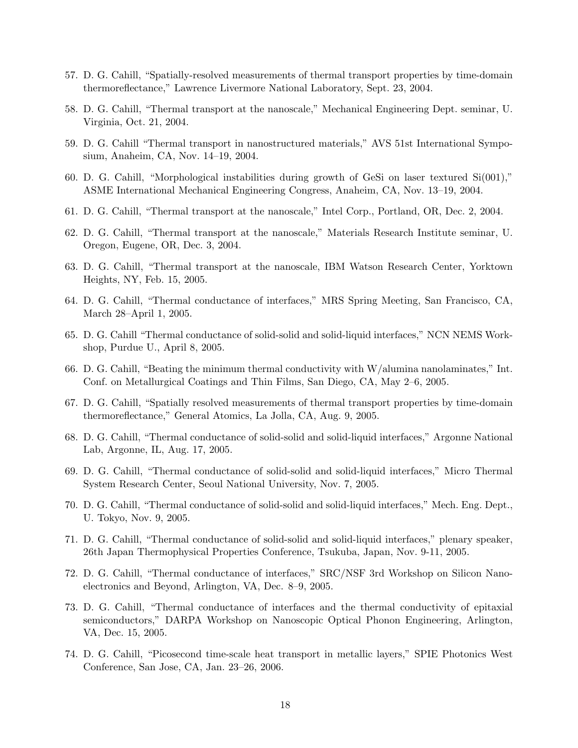- 57. D. G. Cahill, "Spatially-resolved measurements of thermal transport properties by time-domain thermoreflectance," Lawrence Livermore National Laboratory, Sept. 23, 2004.
- 58. D. G. Cahill, "Thermal transport at the nanoscale," Mechanical Engineering Dept. seminar, U. Virginia, Oct. 21, 2004.
- 59. D. G. Cahill "Thermal transport in nanostructured materials," AVS 51st International Symposium, Anaheim, CA, Nov. 14–19, 2004.
- 60. D. G. Cahill, "Morphological instabilities during growth of GeSi on laser textured Si(001)," ASME International Mechanical Engineering Congress, Anaheim, CA, Nov. 13–19, 2004.
- 61. D. G. Cahill, "Thermal transport at the nanoscale," Intel Corp., Portland, OR, Dec. 2, 2004.
- 62. D. G. Cahill, "Thermal transport at the nanoscale," Materials Research Institute seminar, U. Oregon, Eugene, OR, Dec. 3, 2004.
- 63. D. G. Cahill, "Thermal transport at the nanoscale, IBM Watson Research Center, Yorktown Heights, NY, Feb. 15, 2005.
- 64. D. G. Cahill, "Thermal conductance of interfaces," MRS Spring Meeting, San Francisco, CA, March 28–April 1, 2005.
- 65. D. G. Cahill "Thermal conductance of solid-solid and solid-liquid interfaces," NCN NEMS Workshop, Purdue U., April 8, 2005.
- 66. D. G. Cahill, "Beating the minimum thermal conductivity with W/alumina nanolaminates," Int. Conf. on Metallurgical Coatings and Thin Films, San Diego, CA, May 2–6, 2005.
- 67. D. G. Cahill, "Spatially resolved measurements of thermal transport properties by time-domain thermoreflectance," General Atomics, La Jolla, CA, Aug. 9, 2005.
- 68. D. G. Cahill, "Thermal conductance of solid-solid and solid-liquid interfaces," Argonne National Lab, Argonne, IL, Aug. 17, 2005.
- 69. D. G. Cahill, "Thermal conductance of solid-solid and solid-liquid interfaces," Micro Thermal System Research Center, Seoul National University, Nov. 7, 2005.
- 70. D. G. Cahill, "Thermal conductance of solid-solid and solid-liquid interfaces," Mech. Eng. Dept., U. Tokyo, Nov. 9, 2005.
- 71. D. G. Cahill, "Thermal conductance of solid-solid and solid-liquid interfaces," plenary speaker, 26th Japan Thermophysical Properties Conference, Tsukuba, Japan, Nov. 9-11, 2005.
- 72. D. G. Cahill, "Thermal conductance of interfaces," SRC/NSF 3rd Workshop on Silicon Nanoelectronics and Beyond, Arlington, VA, Dec. 8–9, 2005.
- 73. D. G. Cahill, "Thermal conductance of interfaces and the thermal conductivity of epitaxial semiconductors," DARPA Workshop on Nanoscopic Optical Phonon Engineering, Arlington, VA, Dec. 15, 2005.
- 74. D. G. Cahill, "Picosecond time-scale heat transport in metallic layers," SPIE Photonics West Conference, San Jose, CA, Jan. 23–26, 2006.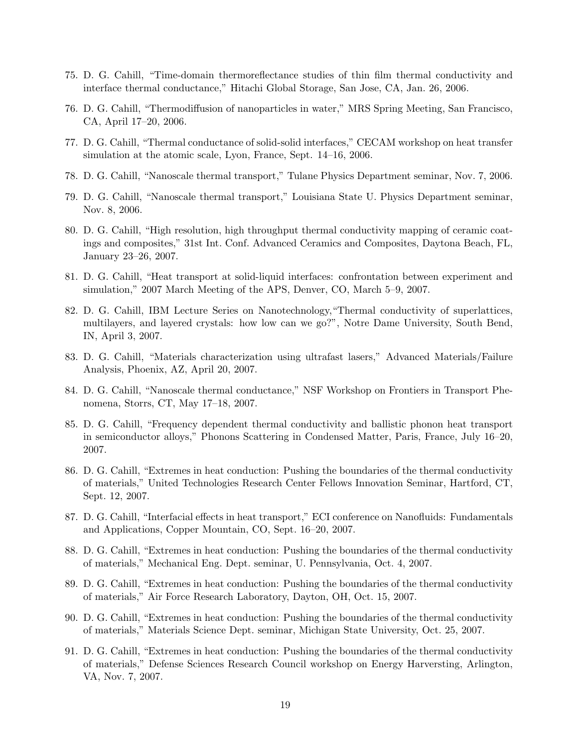- 75. D. G. Cahill, "Time-domain thermoreflectance studies of thin film thermal conductivity and interface thermal conductance," Hitachi Global Storage, San Jose, CA, Jan. 26, 2006.
- 76. D. G. Cahill, "Thermodiffusion of nanoparticles in water," MRS Spring Meeting, San Francisco, CA, April 17–20, 2006.
- 77. D. G. Cahill, "Thermal conductance of solid-solid interfaces," CECAM workshop on heat transfer simulation at the atomic scale, Lyon, France, Sept. 14–16, 2006.
- 78. D. G. Cahill, "Nanoscale thermal transport," Tulane Physics Department seminar, Nov. 7, 2006.
- 79. D. G. Cahill, "Nanoscale thermal transport," Louisiana State U. Physics Department seminar, Nov. 8, 2006.
- 80. D. G. Cahill, "High resolution, high throughput thermal conductivity mapping of ceramic coatings and composites," 31st Int. Conf. Advanced Ceramics and Composites, Daytona Beach, FL, January 23–26, 2007.
- 81. D. G. Cahill, "Heat transport at solid-liquid interfaces: confrontation between experiment and simulation," 2007 March Meeting of the APS, Denver, CO, March 5–9, 2007.
- 82. D. G. Cahill, IBM Lecture Series on Nanotechnology,"Thermal conductivity of superlattices, multilayers, and layered crystals: how low can we go?", Notre Dame University, South Bend, IN, April 3, 2007.
- 83. D. G. Cahill, "Materials characterization using ultrafast lasers," Advanced Materials/Failure Analysis, Phoenix, AZ, April 20, 2007.
- 84. D. G. Cahill, "Nanoscale thermal conductance," NSF Workshop on Frontiers in Transport Phenomena, Storrs, CT, May 17–18, 2007.
- 85. D. G. Cahill, "Frequency dependent thermal conductivity and ballistic phonon heat transport in semiconductor alloys," Phonons Scattering in Condensed Matter, Paris, France, July 16–20, 2007.
- 86. D. G. Cahill, "Extremes in heat conduction: Pushing the boundaries of the thermal conductivity of materials," United Technologies Research Center Fellows Innovation Seminar, Hartford, CT, Sept. 12, 2007.
- 87. D. G. Cahill, "Interfacial effects in heat transport," ECI conference on Nanofluids: Fundamentals and Applications, Copper Mountain, CO, Sept. 16–20, 2007.
- 88. D. G. Cahill, "Extremes in heat conduction: Pushing the boundaries of the thermal conductivity of materials," Mechanical Eng. Dept. seminar, U. Pennsylvania, Oct. 4, 2007.
- 89. D. G. Cahill, "Extremes in heat conduction: Pushing the boundaries of the thermal conductivity of materials," Air Force Research Laboratory, Dayton, OH, Oct. 15, 2007.
- 90. D. G. Cahill, "Extremes in heat conduction: Pushing the boundaries of the thermal conductivity of materials," Materials Science Dept. seminar, Michigan State University, Oct. 25, 2007.
- 91. D. G. Cahill, "Extremes in heat conduction: Pushing the boundaries of the thermal conductivity of materials," Defense Sciences Research Council workshop on Energy Harversting, Arlington, VA, Nov. 7, 2007.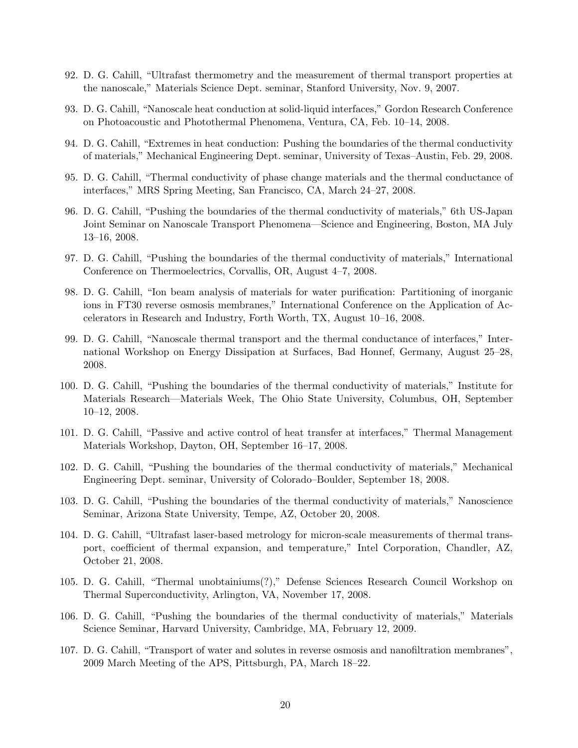- 92. D. G. Cahill, "Ultrafast thermometry and the measurement of thermal transport properties at the nanoscale," Materials Science Dept. seminar, Stanford University, Nov. 9, 2007.
- 93. D. G. Cahill, "Nanoscale heat conduction at solid-liquid interfaces," Gordon Research Conference on Photoacoustic and Photothermal Phenomena, Ventura, CA, Feb. 10–14, 2008.
- 94. D. G. Cahill, "Extremes in heat conduction: Pushing the boundaries of the thermal conductivity of materials," Mechanical Engineering Dept. seminar, University of Texas–Austin, Feb. 29, 2008.
- 95. D. G. Cahill, "Thermal conductivity of phase change materials and the thermal conductance of interfaces," MRS Spring Meeting, San Francisco, CA, March 24–27, 2008.
- 96. D. G. Cahill, "Pushing the boundaries of the thermal conductivity of materials," 6th US-Japan Joint Seminar on Nanoscale Transport Phenomena—Science and Engineering, Boston, MA July 13–16, 2008.
- 97. D. G. Cahill, "Pushing the boundaries of the thermal conductivity of materials," International Conference on Thermoelectrics, Corvallis, OR, August 4–7, 2008.
- 98. D. G. Cahill, "Ion beam analysis of materials for water purification: Partitioning of inorganic ions in FT30 reverse osmosis membranes," International Conference on the Application of Accelerators in Research and Industry, Forth Worth, TX, August 10–16, 2008.
- 99. D. G. Cahill, "Nanoscale thermal transport and the thermal conductance of interfaces," International Workshop on Energy Dissipation at Surfaces, Bad Honnef, Germany, August 25–28, 2008.
- 100. D. G. Cahill, "Pushing the boundaries of the thermal conductivity of materials," Institute for Materials Research—Materials Week, The Ohio State University, Columbus, OH, September 10–12, 2008.
- 101. D. G. Cahill, "Passive and active control of heat transfer at interfaces," Thermal Management Materials Workshop, Dayton, OH, September 16–17, 2008.
- 102. D. G. Cahill, "Pushing the boundaries of the thermal conductivity of materials," Mechanical Engineering Dept. seminar, University of Colorado–Boulder, September 18, 2008.
- 103. D. G. Cahill, "Pushing the boundaries of the thermal conductivity of materials," Nanoscience Seminar, Arizona State University, Tempe, AZ, October 20, 2008.
- 104. D. G. Cahill, "Ultrafast laser-based metrology for micron-scale measurements of thermal transport, coefficient of thermal expansion, and temperature," Intel Corporation, Chandler, AZ, October 21, 2008.
- 105. D. G. Cahill, "Thermal unobtainiums(?)," Defense Sciences Research Council Workshop on Thermal Superconductivity, Arlington, VA, November 17, 2008.
- 106. D. G. Cahill, "Pushing the boundaries of the thermal conductivity of materials," Materials Science Seminar, Harvard University, Cambridge, MA, February 12, 2009.
- 107. D. G. Cahill, "Transport of water and solutes in reverse osmosis and nanofiltration membranes", 2009 March Meeting of the APS, Pittsburgh, PA, March 18–22.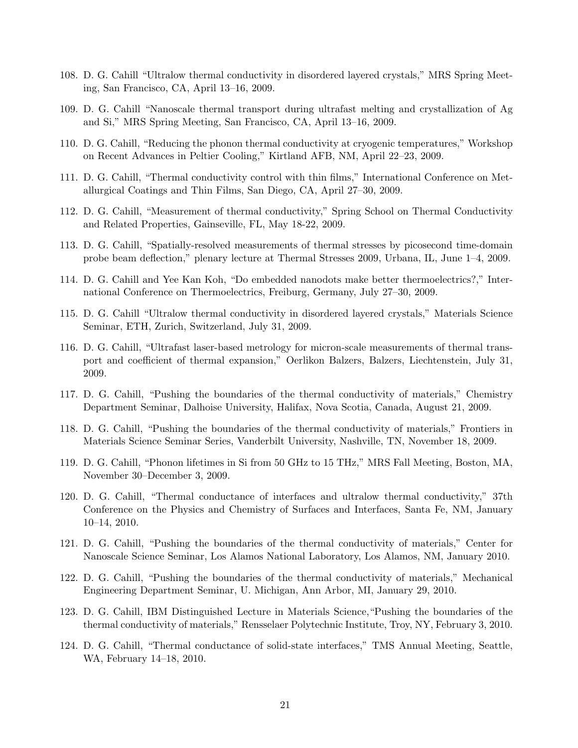- 108. D. G. Cahill "Ultralow thermal conductivity in disordered layered crystals," MRS Spring Meeting, San Francisco, CA, April 13–16, 2009.
- 109. D. G. Cahill "Nanoscale thermal transport during ultrafast melting and crystallization of Ag and Si," MRS Spring Meeting, San Francisco, CA, April 13–16, 2009.
- 110. D. G. Cahill, "Reducing the phonon thermal conductivity at cryogenic temperatures," Workshop on Recent Advances in Peltier Cooling," Kirtland AFB, NM, April 22–23, 2009.
- 111. D. G. Cahill, "Thermal conductivity control with thin films," International Conference on Metallurgical Coatings and Thin Films, San Diego, CA, April 27–30, 2009.
- 112. D. G. Cahill, "Measurement of thermal conductivity," Spring School on Thermal Conductivity and Related Properties, Gainseville, FL, May 18-22, 2009.
- 113. D. G. Cahill, "Spatially-resolved measurements of thermal stresses by picosecond time-domain probe beam deflection," plenary lecture at Thermal Stresses 2009, Urbana, IL, June 1–4, 2009.
- 114. D. G. Cahill and Yee Kan Koh, "Do embedded nanodots make better thermoelectrics?," International Conference on Thermoelectrics, Freiburg, Germany, July 27–30, 2009.
- 115. D. G. Cahill "Ultralow thermal conductivity in disordered layered crystals," Materials Science Seminar, ETH, Zurich, Switzerland, July 31, 2009.
- 116. D. G. Cahill, "Ultrafast laser-based metrology for micron-scale measurements of thermal transport and coefficient of thermal expansion," Oerlikon Balzers, Balzers, Liechtenstein, July 31, 2009.
- 117. D. G. Cahill, "Pushing the boundaries of the thermal conductivity of materials," Chemistry Department Seminar, Dalhoise University, Halifax, Nova Scotia, Canada, August 21, 2009.
- 118. D. G. Cahill, "Pushing the boundaries of the thermal conductivity of materials," Frontiers in Materials Science Seminar Series, Vanderbilt University, Nashville, TN, November 18, 2009.
- 119. D. G. Cahill, "Phonon lifetimes in Si from 50 GHz to 15 THz," MRS Fall Meeting, Boston, MA, November 30–December 3, 2009.
- 120. D. G. Cahill, "Thermal conductance of interfaces and ultralow thermal conductivity," 37th Conference on the Physics and Chemistry of Surfaces and Interfaces, Santa Fe, NM, January 10–14, 2010.
- 121. D. G. Cahill, "Pushing the boundaries of the thermal conductivity of materials," Center for Nanoscale Science Seminar, Los Alamos National Laboratory, Los Alamos, NM, January 2010.
- 122. D. G. Cahill, "Pushing the boundaries of the thermal conductivity of materials," Mechanical Engineering Department Seminar, U. Michigan, Ann Arbor, MI, January 29, 2010.
- 123. D. G. Cahill, IBM Distinguished Lecture in Materials Science,"Pushing the boundaries of the thermal conductivity of materials," Rensselaer Polytechnic Institute, Troy, NY, February 3, 2010.
- 124. D. G. Cahill, "Thermal conductance of solid-state interfaces," TMS Annual Meeting, Seattle, WA, February 14–18, 2010.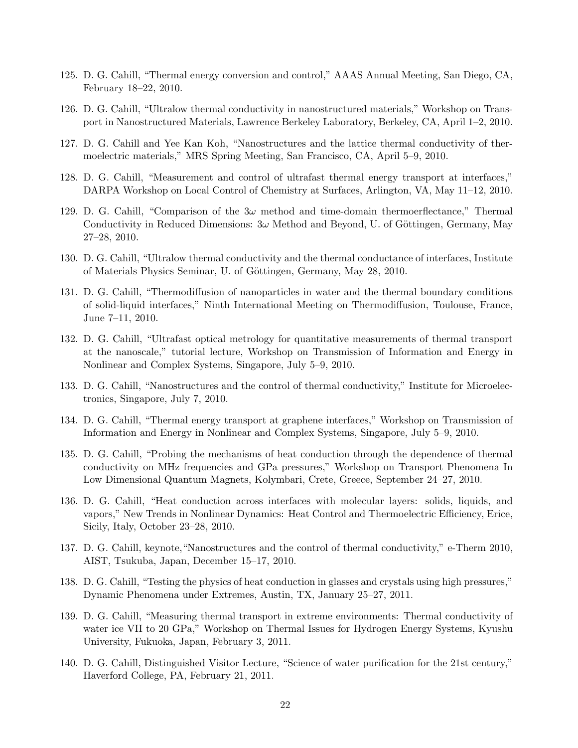- 125. D. G. Cahill, "Thermal energy conversion and control," AAAS Annual Meeting, San Diego, CA, February 18–22, 2010.
- 126. D. G. Cahill, "Ultralow thermal conductivity in nanostructured materials," Workshop on Transport in Nanostructured Materials, Lawrence Berkeley Laboratory, Berkeley, CA, April 1–2, 2010.
- 127. D. G. Cahill and Yee Kan Koh, "Nanostructures and the lattice thermal conductivity of thermoelectric materials," MRS Spring Meeting, San Francisco, CA, April 5–9, 2010.
- 128. D. G. Cahill, "Measurement and control of ultrafast thermal energy transport at interfaces," DARPA Workshop on Local Control of Chemistry at Surfaces, Arlington, VA, May 11–12, 2010.
- 129. D. G. Cahill, "Comparison of the  $3\omega$  method and time-domain thermoerflectance," Thermal Conductivity in Reduced Dimensions:  $3\omega$  Method and Beyond, U. of Göttingen, Germany, May 27–28, 2010.
- 130. D. G. Cahill, "Ultralow thermal conductivity and the thermal conductance of interfaces, Institute of Materials Physics Seminar, U. of Göttingen, Germany, May 28, 2010.
- 131. D. G. Cahill, "Thermodiffusion of nanoparticles in water and the thermal boundary conditions of solid-liquid interfaces," Ninth International Meeting on Thermodiffusion, Toulouse, France, June 7–11, 2010.
- 132. D. G. Cahill, "Ultrafast optical metrology for quantitative measurements of thermal transport at the nanoscale," tutorial lecture, Workshop on Transmission of Information and Energy in Nonlinear and Complex Systems, Singapore, July 5–9, 2010.
- 133. D. G. Cahill, "Nanostructures and the control of thermal conductivity," Institute for Microelectronics, Singapore, July 7, 2010.
- 134. D. G. Cahill, "Thermal energy transport at graphene interfaces," Workshop on Transmission of Information and Energy in Nonlinear and Complex Systems, Singapore, July 5–9, 2010.
- 135. D. G. Cahill, "Probing the mechanisms of heat conduction through the dependence of thermal conductivity on MHz frequencies and GPa pressures," Workshop on Transport Phenomena In Low Dimensional Quantum Magnets, Kolymbari, Crete, Greece, September 24–27, 2010.
- 136. D. G. Cahill, "Heat conduction across interfaces with molecular layers: solids, liquids, and vapors," New Trends in Nonlinear Dynamics: Heat Control and Thermoelectric Efficiency, Erice, Sicily, Italy, October 23–28, 2010.
- 137. D. G. Cahill, keynote,"Nanostructures and the control of thermal conductivity," e-Therm 2010, AIST, Tsukuba, Japan, December 15–17, 2010.
- 138. D. G. Cahill, "Testing the physics of heat conduction in glasses and crystals using high pressures," Dynamic Phenomena under Extremes, Austin, TX, January 25–27, 2011.
- 139. D. G. Cahill, "Measuring thermal transport in extreme environments: Thermal conductivity of water ice VII to 20 GPa," Workshop on Thermal Issues for Hydrogen Energy Systems, Kyushu University, Fukuoka, Japan, February 3, 2011.
- 140. D. G. Cahill, Distinguished Visitor Lecture, "Science of water purification for the 21st century," Haverford College, PA, February 21, 2011.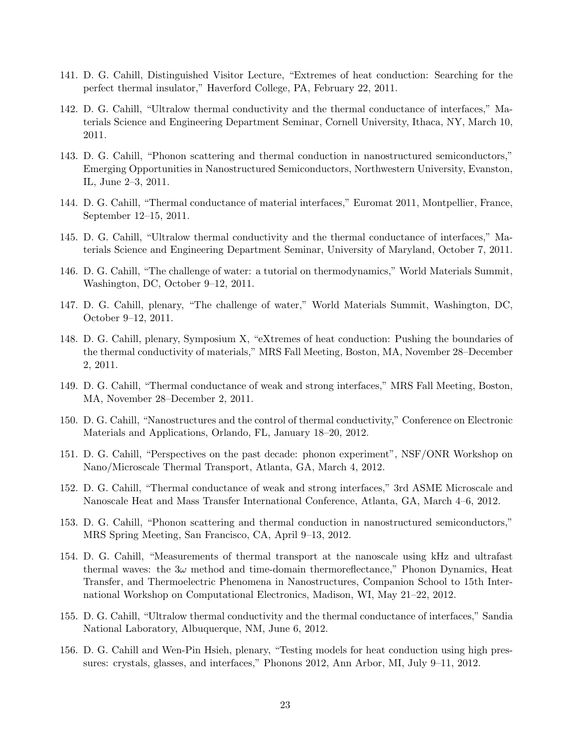- 141. D. G. Cahill, Distinguished Visitor Lecture, "Extremes of heat conduction: Searching for the perfect thermal insulator," Haverford College, PA, February 22, 2011.
- 142. D. G. Cahill, "Ultralow thermal conductivity and the thermal conductance of interfaces," Materials Science and Engineering Department Seminar, Cornell University, Ithaca, NY, March 10, 2011.
- 143. D. G. Cahill, "Phonon scattering and thermal conduction in nanostructured semiconductors," Emerging Opportunities in Nanostructured Semiconductors, Northwestern University, Evanston, IL, June 2–3, 2011.
- 144. D. G. Cahill, "Thermal conductance of material interfaces," Euromat 2011, Montpellier, France, September 12–15, 2011.
- 145. D. G. Cahill, "Ultralow thermal conductivity and the thermal conductance of interfaces," Materials Science and Engineering Department Seminar, University of Maryland, October 7, 2011.
- 146. D. G. Cahill, "The challenge of water: a tutorial on thermodynamics," World Materials Summit, Washington, DC, October 9–12, 2011.
- 147. D. G. Cahill, plenary, "The challenge of water," World Materials Summit, Washington, DC, October 9–12, 2011.
- 148. D. G. Cahill, plenary, Symposium X, "eXtremes of heat conduction: Pushing the boundaries of the thermal conductivity of materials," MRS Fall Meeting, Boston, MA, November 28–December 2, 2011.
- 149. D. G. Cahill, "Thermal conductance of weak and strong interfaces," MRS Fall Meeting, Boston, MA, November 28–December 2, 2011.
- 150. D. G. Cahill, "Nanostructures and the control of thermal conductivity," Conference on Electronic Materials and Applications, Orlando, FL, January 18–20, 2012.
- 151. D. G. Cahill, "Perspectives on the past decade: phonon experiment", NSF/ONR Workshop on Nano/Microscale Thermal Transport, Atlanta, GA, March 4, 2012.
- 152. D. G. Cahill, "Thermal conductance of weak and strong interfaces," 3rd ASME Microscale and Nanoscale Heat and Mass Transfer International Conference, Atlanta, GA, March 4–6, 2012.
- 153. D. G. Cahill, "Phonon scattering and thermal conduction in nanostructured semiconductors," MRS Spring Meeting, San Francisco, CA, April 9–13, 2012.
- 154. D. G. Cahill, "Measurements of thermal transport at the nanoscale using kHz and ultrafast thermal waves: the  $3\omega$  method and time-domain thermoreflectance," Phonon Dynamics, Heat Transfer, and Thermoelectric Phenomena in Nanostructures, Companion School to 15th International Workshop on Computational Electronics, Madison, WI, May 21–22, 2012.
- 155. D. G. Cahill, "Ultralow thermal conductivity and the thermal conductance of interfaces," Sandia National Laboratory, Albuquerque, NM, June 6, 2012.
- 156. D. G. Cahill and Wen-Pin Hsieh, plenary, "Testing models for heat conduction using high pressures: crystals, glasses, and interfaces," Phonons 2012, Ann Arbor, MI, July 9–11, 2012.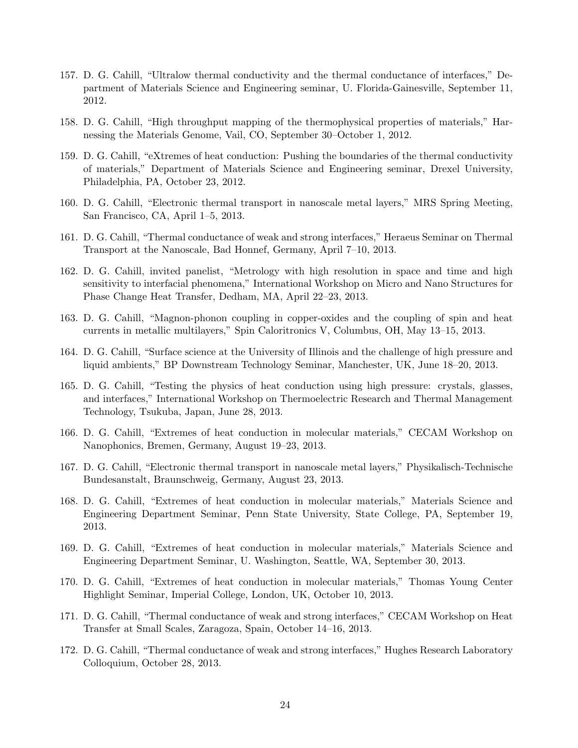- 157. D. G. Cahill, "Ultralow thermal conductivity and the thermal conductance of interfaces," Department of Materials Science and Engineering seminar, U. Florida-Gainesville, September 11, 2012.
- 158. D. G. Cahill, "High throughput mapping of the thermophysical properties of materials," Harnessing the Materials Genome, Vail, CO, September 30–October 1, 2012.
- 159. D. G. Cahill, "eXtremes of heat conduction: Pushing the boundaries of the thermal conductivity of materials," Department of Materials Science and Engineering seminar, Drexel University, Philadelphia, PA, October 23, 2012.
- 160. D. G. Cahill, "Electronic thermal transport in nanoscale metal layers," MRS Spring Meeting, San Francisco, CA, April 1–5, 2013.
- 161. D. G. Cahill, "Thermal conductance of weak and strong interfaces," Heraeus Seminar on Thermal Transport at the Nanoscale, Bad Honnef, Germany, April 7–10, 2013.
- 162. D. G. Cahill, invited panelist, "Metrology with high resolution in space and time and high sensitivity to interfacial phenomena," International Workshop on Micro and Nano Structures for Phase Change Heat Transfer, Dedham, MA, April 22–23, 2013.
- 163. D. G. Cahill, "Magnon-phonon coupling in copper-oxides and the coupling of spin and heat currents in metallic multilayers," Spin Caloritronics V, Columbus, OH, May 13–15, 2013.
- 164. D. G. Cahill, "Surface science at the University of Illinois and the challenge of high pressure and liquid ambients," BP Downstream Technology Seminar, Manchester, UK, June 18–20, 2013.
- 165. D. G. Cahill, "Testing the physics of heat conduction using high pressure: crystals, glasses, and interfaces," International Workshop on Thermoelectric Research and Thermal Management Technology, Tsukuba, Japan, June 28, 2013.
- 166. D. G. Cahill, "Extremes of heat conduction in molecular materials," CECAM Workshop on Nanophonics, Bremen, Germany, August 19–23, 2013.
- 167. D. G. Cahill, "Electronic thermal transport in nanoscale metal layers," Physikalisch-Technische Bundesanstalt, Braunschweig, Germany, August 23, 2013.
- 168. D. G. Cahill, "Extremes of heat conduction in molecular materials," Materials Science and Engineering Department Seminar, Penn State University, State College, PA, September 19, 2013.
- 169. D. G. Cahill, "Extremes of heat conduction in molecular materials," Materials Science and Engineering Department Seminar, U. Washington, Seattle, WA, September 30, 2013.
- 170. D. G. Cahill, "Extremes of heat conduction in molecular materials," Thomas Young Center Highlight Seminar, Imperial College, London, UK, October 10, 2013.
- 171. D. G. Cahill, "Thermal conductance of weak and strong interfaces," CECAM Workshop on Heat Transfer at Small Scales, Zaragoza, Spain, October 14–16, 2013.
- 172. D. G. Cahill, "Thermal conductance of weak and strong interfaces," Hughes Research Laboratory Colloquium, October 28, 2013.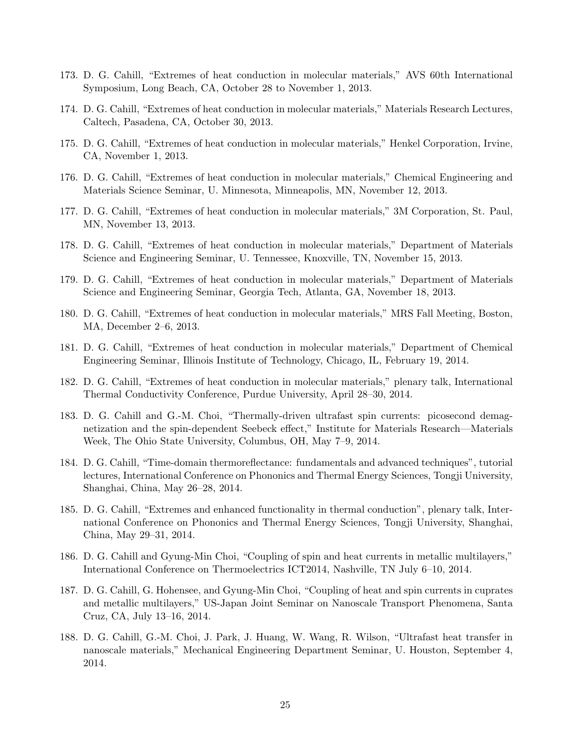- 173. D. G. Cahill, "Extremes of heat conduction in molecular materials," AVS 60th International Symposium, Long Beach, CA, October 28 to November 1, 2013.
- 174. D. G. Cahill, "Extremes of heat conduction in molecular materials," Materials Research Lectures, Caltech, Pasadena, CA, October 30, 2013.
- 175. D. G. Cahill, "Extremes of heat conduction in molecular materials," Henkel Corporation, Irvine, CA, November 1, 2013.
- 176. D. G. Cahill, "Extremes of heat conduction in molecular materials," Chemical Engineering and Materials Science Seminar, U. Minnesota, Minneapolis, MN, November 12, 2013.
- 177. D. G. Cahill, "Extremes of heat conduction in molecular materials," 3M Corporation, St. Paul, MN, November 13, 2013.
- 178. D. G. Cahill, "Extremes of heat conduction in molecular materials," Department of Materials Science and Engineering Seminar, U. Tennessee, Knoxville, TN, November 15, 2013.
- 179. D. G. Cahill, "Extremes of heat conduction in molecular materials," Department of Materials Science and Engineering Seminar, Georgia Tech, Atlanta, GA, November 18, 2013.
- 180. D. G. Cahill, "Extremes of heat conduction in molecular materials," MRS Fall Meeting, Boston, MA, December 2–6, 2013.
- 181. D. G. Cahill, "Extremes of heat conduction in molecular materials," Department of Chemical Engineering Seminar, Illinois Institute of Technology, Chicago, IL, February 19, 2014.
- 182. D. G. Cahill, "Extremes of heat conduction in molecular materials," plenary talk, International Thermal Conductivity Conference, Purdue University, April 28–30, 2014.
- 183. D. G. Cahill and G.-M. Choi, "Thermally-driven ultrafast spin currents: picosecond demagnetization and the spin-dependent Seebeck effect," Institute for Materials Research—Materials Week, The Ohio State University, Columbus, OH, May 7–9, 2014.
- 184. D. G. Cahill, "Time-domain thermoreflectance: fundamentals and advanced techniques", tutorial lectures, International Conference on Phononics and Thermal Energy Sciences, Tongji University, Shanghai, China, May 26–28, 2014.
- 185. D. G. Cahill, "Extremes and enhanced functionality in thermal conduction", plenary talk, International Conference on Phononics and Thermal Energy Sciences, Tongji University, Shanghai, China, May 29–31, 2014.
- 186. D. G. Cahill and Gyung-Min Choi, "Coupling of spin and heat currents in metallic multilayers," International Conference on Thermoelectrics ICT2014, Nashville, TN July 6–10, 2014.
- 187. D. G. Cahill, G. Hohensee, and Gyung-Min Choi, "Coupling of heat and spin currents in cuprates and metallic multilayers," US-Japan Joint Seminar on Nanoscale Transport Phenomena, Santa Cruz, CA, July 13–16, 2014.
- 188. D. G. Cahill, G.-M. Choi, J. Park, J. Huang, W. Wang, R. Wilson, "Ultrafast heat transfer in nanoscale materials," Mechanical Engineering Department Seminar, U. Houston, September 4, 2014.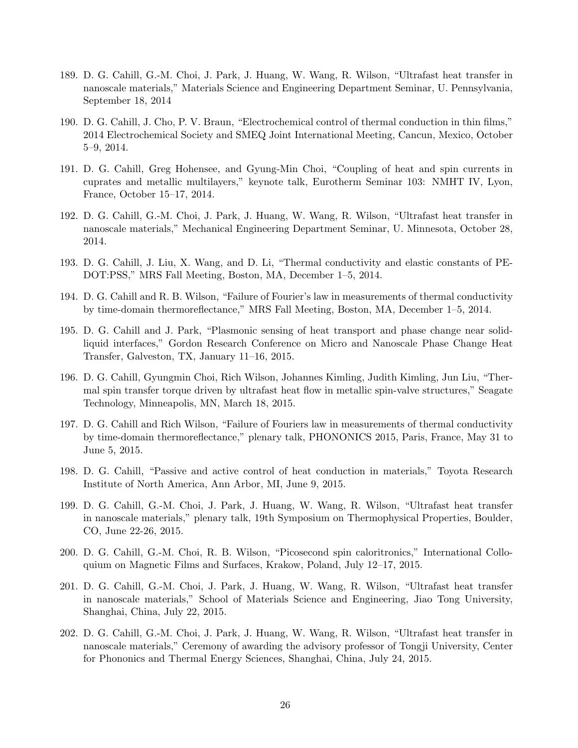- 189. D. G. Cahill, G.-M. Choi, J. Park, J. Huang, W. Wang, R. Wilson, "Ultrafast heat transfer in nanoscale materials," Materials Science and Engineering Department Seminar, U. Pennsylvania, September 18, 2014
- 190. D. G. Cahill, J. Cho, P. V. Braun, "Electrochemical control of thermal conduction in thin films," 2014 Electrochemical Society and SMEQ Joint International Meeting, Cancun, Mexico, October 5–9, 2014.
- 191. D. G. Cahill, Greg Hohensee, and Gyung-Min Choi, "Coupling of heat and spin currents in cuprates and metallic multilayers," keynote talk, Eurotherm Seminar 103: NMHT IV, Lyon, France, October 15–17, 2014.
- 192. D. G. Cahill, G.-M. Choi, J. Park, J. Huang, W. Wang, R. Wilson, "Ultrafast heat transfer in nanoscale materials," Mechanical Engineering Department Seminar, U. Minnesota, October 28, 2014.
- 193. D. G. Cahill, J. Liu, X. Wang, and D. Li, "Thermal conductivity and elastic constants of PE-DOT:PSS," MRS Fall Meeting, Boston, MA, December 1–5, 2014.
- 194. D. G. Cahill and R. B. Wilson, "Failure of Fourier's law in measurements of thermal conductivity by time-domain thermoreflectance," MRS Fall Meeting, Boston, MA, December 1–5, 2014.
- 195. D. G. Cahill and J. Park, "Plasmonic sensing of heat transport and phase change near solidliquid interfaces," Gordon Research Conference on Micro and Nanoscale Phase Change Heat Transfer, Galveston, TX, January 11–16, 2015.
- 196. D. G. Cahill, Gyungmin Choi, Rich Wilson, Johannes Kimling, Judith Kimling, Jun Liu, "Thermal spin transfer torque driven by ultrafast heat flow in metallic spin-valve structures," Seagate Technology, Minneapolis, MN, March 18, 2015.
- 197. D. G. Cahill and Rich Wilson, "Failure of Fouriers law in measurements of thermal conductivity by time-domain thermoreflectance," plenary talk, PHONONICS 2015, Paris, France, May 31 to June 5, 2015.
- 198. D. G. Cahill, "Passive and active control of heat conduction in materials," Toyota Research Institute of North America, Ann Arbor, MI, June 9, 2015.
- 199. D. G. Cahill, G.-M. Choi, J. Park, J. Huang, W. Wang, R. Wilson, "Ultrafast heat transfer in nanoscale materials," plenary talk, 19th Symposium on Thermophysical Properties, Boulder, CO, June 22-26, 2015.
- 200. D. G. Cahill, G.-M. Choi, R. B. Wilson, "Picosecond spin caloritronics," International Colloquium on Magnetic Films and Surfaces, Krakow, Poland, July 12–17, 2015.
- 201. D. G. Cahill, G.-M. Choi, J. Park, J. Huang, W. Wang, R. Wilson, "Ultrafast heat transfer in nanoscale materials," School of Materials Science and Engineering, Jiao Tong University, Shanghai, China, July 22, 2015.
- 202. D. G. Cahill, G.-M. Choi, J. Park, J. Huang, W. Wang, R. Wilson, "Ultrafast heat transfer in nanoscale materials," Ceremony of awarding the advisory professor of Tongji University, Center for Phononics and Thermal Energy Sciences, Shanghai, China, July 24, 2015.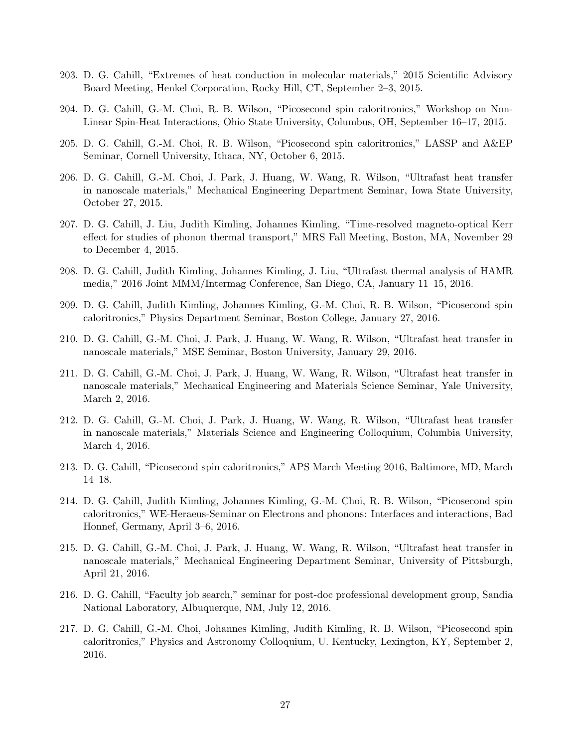- 203. D. G. Cahill, "Extremes of heat conduction in molecular materials," 2015 Scientific Advisory Board Meeting, Henkel Corporation, Rocky Hill, CT, September 2–3, 2015.
- 204. D. G. Cahill, G.-M. Choi, R. B. Wilson, "Picosecond spin caloritronics," Workshop on Non-Linear Spin-Heat Interactions, Ohio State University, Columbus, OH, September 16–17, 2015.
- 205. D. G. Cahill, G.-M. Choi, R. B. Wilson, "Picosecond spin caloritronics," LASSP and A&EP Seminar, Cornell University, Ithaca, NY, October 6, 2015.
- 206. D. G. Cahill, G.-M. Choi, J. Park, J. Huang, W. Wang, R. Wilson, "Ultrafast heat transfer in nanoscale materials," Mechanical Engineering Department Seminar, Iowa State University, October 27, 2015.
- 207. D. G. Cahill, J. Liu, Judith Kimling, Johannes Kimling, "Time-resolved magneto-optical Kerr effect for studies of phonon thermal transport," MRS Fall Meeting, Boston, MA, November 29 to December 4, 2015.
- 208. D. G. Cahill, Judith Kimling, Johannes Kimling, J. Liu, "Ultrafast thermal analysis of HAMR media," 2016 Joint MMM/Intermag Conference, San Diego, CA, January 11–15, 2016.
- 209. D. G. Cahill, Judith Kimling, Johannes Kimling, G.-M. Choi, R. B. Wilson, "Picosecond spin caloritronics," Physics Department Seminar, Boston College, January 27, 2016.
- 210. D. G. Cahill, G.-M. Choi, J. Park, J. Huang, W. Wang, R. Wilson, "Ultrafast heat transfer in nanoscale materials," MSE Seminar, Boston University, January 29, 2016.
- 211. D. G. Cahill, G.-M. Choi, J. Park, J. Huang, W. Wang, R. Wilson, "Ultrafast heat transfer in nanoscale materials," Mechanical Engineering and Materials Science Seminar, Yale University, March 2, 2016.
- 212. D. G. Cahill, G.-M. Choi, J. Park, J. Huang, W. Wang, R. Wilson, "Ultrafast heat transfer in nanoscale materials," Materials Science and Engineering Colloquium, Columbia University, March 4, 2016.
- 213. D. G. Cahill, "Picosecond spin caloritronics," APS March Meeting 2016, Baltimore, MD, March 14–18.
- 214. D. G. Cahill, Judith Kimling, Johannes Kimling, G.-M. Choi, R. B. Wilson, "Picosecond spin caloritronics," WE-Heraeus-Seminar on Electrons and phonons: Interfaces and interactions, Bad Honnef, Germany, April 3–6, 2016.
- 215. D. G. Cahill, G.-M. Choi, J. Park, J. Huang, W. Wang, R. Wilson, "Ultrafast heat transfer in nanoscale materials," Mechanical Engineering Department Seminar, University of Pittsburgh, April 21, 2016.
- 216. D. G. Cahill, "Faculty job search," seminar for post-doc professional development group, Sandia National Laboratory, Albuquerque, NM, July 12, 2016.
- 217. D. G. Cahill, G.-M. Choi, Johannes Kimling, Judith Kimling, R. B. Wilson, "Picosecond spin caloritronics," Physics and Astronomy Colloquium, U. Kentucky, Lexington, KY, September 2, 2016.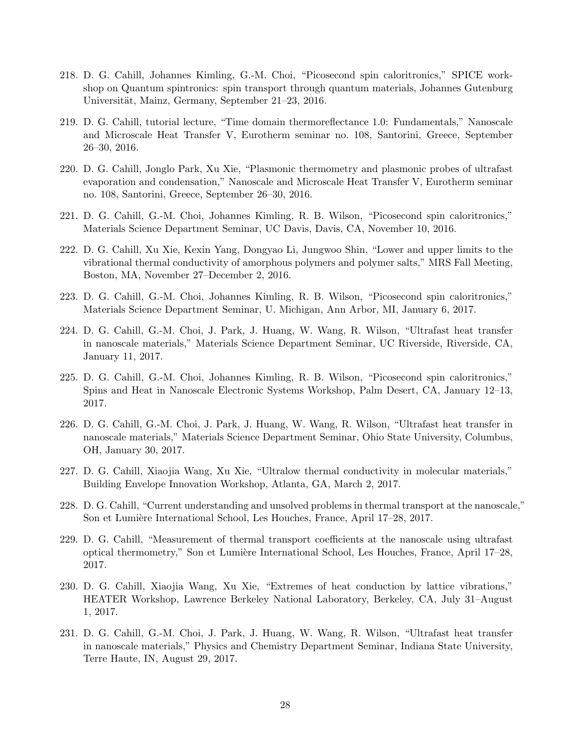- 218. D. G. Cahill, Johannes Kimling, G.-M. Choi, "Picosecond spin caloritronics," SPICE workshop on Quantum spintronics: spin transport through quantum materials, Johannes Gutenburg Universität, Mainz, Germany, September 21–23, 2016.
- 219. D. G. Cahill, tutorial lecture, "Time domain thermoreflectance 1.0: Fundamentals," Nanoscale and Microscale Heat Transfer V, Eurotherm seminar no. 108, Santorini, Greece, September 26–30, 2016.
- 220. D. G. Cahill, Jonglo Park, Xu Xie, "Plasmonic thermometry and plasmonic probes of ultrafast evaporation and condensation," Nanoscale and Microscale Heat Transfer V, Eurotherm seminar no. 108, Santorini, Greece, September 26–30, 2016.
- 221. D. G. Cahill, G.-M. Choi, Johannes Kimling, R. B. Wilson, "Picosecond spin caloritronics," Materials Science Department Seminar, UC Davis, Davis, CA, November 10, 2016.
- 222. D. G. Cahill, Xu Xie, Kexin Yang, Dongyao Li, Jungwoo Shin, "Lower and upper limits to the vibrational thermal conductivity of amorphous polymers and polymer salts," MRS Fall Meeting, Boston, MA, November 27–December 2, 2016.
- 223. D. G. Cahill, G.-M. Choi, Johannes Kimling, R. B. Wilson, "Picosecond spin caloritronics," Materials Science Department Seminar, U. Michigan, Ann Arbor, MI, January 6, 2017.
- 224. D. G. Cahill, G.-M. Choi, J. Park, J. Huang, W. Wang, R. Wilson, "Ultrafast heat transfer in nanoscale materials," Materials Science Department Seminar, UC Riverside, Riverside, CA, January 11, 2017.
- 225. D. G. Cahill, G.-M. Choi, Johannes Kimling, R. B. Wilson, "Picosecond spin caloritronics," Spins and Heat in Nanoscale Electronic Systems Workshop, Palm Desert, CA, January 12–13, 2017.
- 226. D. G. Cahill, G.-M. Choi, J. Park, J. Huang, W. Wang, R. Wilson, "Ultrafast heat transfer in nanoscale materials," Materials Science Department Seminar, Ohio State University, Columbus, OH, January 30, 2017.
- 227. D. G. Cahill, Xiaojia Wang, Xu Xie, "Ultralow thermal conductivity in molecular materials," Building Envelope Innovation Workshop, Atlanta, GA, March 2, 2017.
- 228. D. G. Cahill, "Current understanding and unsolved problems in thermal transport at the nanoscale," Son et Lumière International School, Les Houches, France, April 17–28, 2017.
- 229. D. G. Cahill, "Measurement of thermal transport coefficients at the nanoscale using ultrafast optical thermometry," Son et Lumière International School, Les Houches, France, April 17–28, 2017.
- 230. D. G. Cahill, Xiaojia Wang, Xu Xie, "Extremes of heat conduction by lattice vibrations," HEATER Workshop, Lawrence Berkeley National Laboratory, Berkeley, CA, July 31–August 1, 2017.
- 231. D. G. Cahill, G.-M. Choi, J. Park, J. Huang, W. Wang, R. Wilson, "Ultrafast heat transfer in nanoscale materials," Physics and Chemistry Department Seminar, Indiana State University, Terre Haute, IN, August 29, 2017.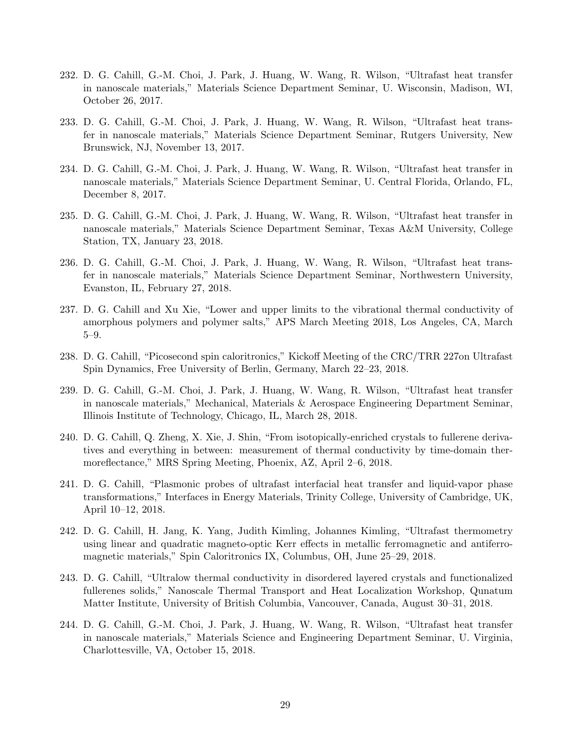- 232. D. G. Cahill, G.-M. Choi, J. Park, J. Huang, W. Wang, R. Wilson, "Ultrafast heat transfer in nanoscale materials," Materials Science Department Seminar, U. Wisconsin, Madison, WI, October 26, 2017.
- 233. D. G. Cahill, G.-M. Choi, J. Park, J. Huang, W. Wang, R. Wilson, "Ultrafast heat transfer in nanoscale materials," Materials Science Department Seminar, Rutgers University, New Brunswick, NJ, November 13, 2017.
- 234. D. G. Cahill, G.-M. Choi, J. Park, J. Huang, W. Wang, R. Wilson, "Ultrafast heat transfer in nanoscale materials," Materials Science Department Seminar, U. Central Florida, Orlando, FL, December 8, 2017.
- 235. D. G. Cahill, G.-M. Choi, J. Park, J. Huang, W. Wang, R. Wilson, "Ultrafast heat transfer in nanoscale materials," Materials Science Department Seminar, Texas A&M University, College Station, TX, January 23, 2018.
- 236. D. G. Cahill, G.-M. Choi, J. Park, J. Huang, W. Wang, R. Wilson, "Ultrafast heat transfer in nanoscale materials," Materials Science Department Seminar, Northwestern University, Evanston, IL, February 27, 2018.
- 237. D. G. Cahill and Xu Xie, "Lower and upper limits to the vibrational thermal conductivity of amorphous polymers and polymer salts," APS March Meeting 2018, Los Angeles, CA, March 5–9.
- 238. D. G. Cahill, "Picosecond spin caloritronics," Kickoff Meeting of the CRC/TRR 227on Ultrafast Spin Dynamics, Free University of Berlin, Germany, March 22–23, 2018.
- 239. D. G. Cahill, G.-M. Choi, J. Park, J. Huang, W. Wang, R. Wilson, "Ultrafast heat transfer in nanoscale materials," Mechanical, Materials & Aerospace Engineering Department Seminar, Illinois Institute of Technology, Chicago, IL, March 28, 2018.
- 240. D. G. Cahill, Q. Zheng, X. Xie, J. Shin, "From isotopically-enriched crystals to fullerene derivatives and everything in between: measurement of thermal conductivity by time-domain thermoreflectance," MRS Spring Meeting, Phoenix, AZ, April 2–6, 2018.
- 241. D. G. Cahill, "Plasmonic probes of ultrafast interfacial heat transfer and liquid-vapor phase transformations," Interfaces in Energy Materials, Trinity College, University of Cambridge, UK, April 10–12, 2018.
- 242. D. G. Cahill, H. Jang, K. Yang, Judith Kimling, Johannes Kimling, "Ultrafast thermometry using linear and quadratic magneto-optic Kerr effects in metallic ferromagnetic and antiferromagnetic materials," Spin Caloritronics IX, Columbus, OH, June 25–29, 2018.
- 243. D. G. Cahill, "Ultralow thermal conductivity in disordered layered crystals and functionalized fullerenes solids," Nanoscale Thermal Transport and Heat Localization Workshop, Qunatum Matter Institute, University of British Columbia, Vancouver, Canada, August 30–31, 2018.
- 244. D. G. Cahill, G.-M. Choi, J. Park, J. Huang, W. Wang, R. Wilson, "Ultrafast heat transfer in nanoscale materials," Materials Science and Engineering Department Seminar, U. Virginia, Charlottesville, VA, October 15, 2018.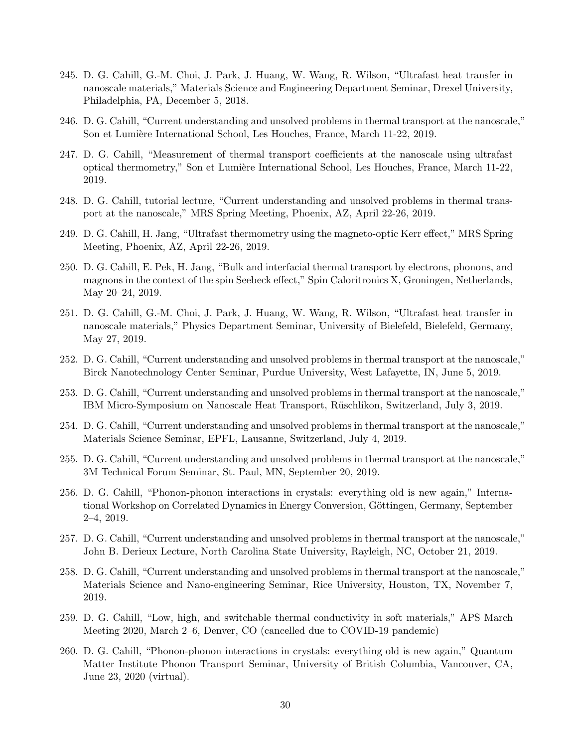- 245. D. G. Cahill, G.-M. Choi, J. Park, J. Huang, W. Wang, R. Wilson, "Ultrafast heat transfer in nanoscale materials," Materials Science and Engineering Department Seminar, Drexel University, Philadelphia, PA, December 5, 2018.
- 246. D. G. Cahill, "Current understanding and unsolved problems in thermal transport at the nanoscale," Son et Lumière International School, Les Houches, France, March 11-22, 2019.
- 247. D. G. Cahill, "Measurement of thermal transport coefficients at the nanoscale using ultrafast optical thermometry," Son et Lumière International School, Les Houches, France, March 11-22, 2019.
- 248. D. G. Cahill, tutorial lecture, "Current understanding and unsolved problems in thermal transport at the nanoscale," MRS Spring Meeting, Phoenix, AZ, April 22-26, 2019.
- 249. D. G. Cahill, H. Jang, "Ultrafast thermometry using the magneto-optic Kerr effect," MRS Spring Meeting, Phoenix, AZ, April 22-26, 2019.
- 250. D. G. Cahill, E. Pek, H. Jang, "Bulk and interfacial thermal transport by electrons, phonons, and magnons in the context of the spin Seebeck effect," Spin Caloritronics X, Groningen, Netherlands, May 20–24, 2019.
- 251. D. G. Cahill, G.-M. Choi, J. Park, J. Huang, W. Wang, R. Wilson, "Ultrafast heat transfer in nanoscale materials," Physics Department Seminar, University of Bielefeld, Bielefeld, Germany, May 27, 2019.
- 252. D. G. Cahill, "Current understanding and unsolved problems in thermal transport at the nanoscale," Birck Nanotechnology Center Seminar, Purdue University, West Lafayette, IN, June 5, 2019.
- 253. D. G. Cahill, "Current understanding and unsolved problems in thermal transport at the nanoscale," IBM Micro-Symposium on Nanoscale Heat Transport, Rüschlikon, Switzerland, July 3, 2019.
- 254. D. G. Cahill, "Current understanding and unsolved problems in thermal transport at the nanoscale," Materials Science Seminar, EPFL, Lausanne, Switzerland, July 4, 2019.
- 255. D. G. Cahill, "Current understanding and unsolved problems in thermal transport at the nanoscale," 3M Technical Forum Seminar, St. Paul, MN, September 20, 2019.
- 256. D. G. Cahill, "Phonon-phonon interactions in crystals: everything old is new again," International Workshop on Correlated Dynamics in Energy Conversion, Göttingen, Germany, September 2–4, 2019.
- 257. D. G. Cahill, "Current understanding and unsolved problems in thermal transport at the nanoscale," John B. Derieux Lecture, North Carolina State University, Rayleigh, NC, October 21, 2019.
- 258. D. G. Cahill, "Current understanding and unsolved problems in thermal transport at the nanoscale," Materials Science and Nano-engineering Seminar, Rice University, Houston, TX, November 7, 2019.
- 259. D. G. Cahill, "Low, high, and switchable thermal conductivity in soft materials," APS March Meeting 2020, March 2–6, Denver, CO (cancelled due to COVID-19 pandemic)
- 260. D. G. Cahill, "Phonon-phonon interactions in crystals: everything old is new again," Quantum Matter Institute Phonon Transport Seminar, University of British Columbia, Vancouver, CA, June 23, 2020 (virtual).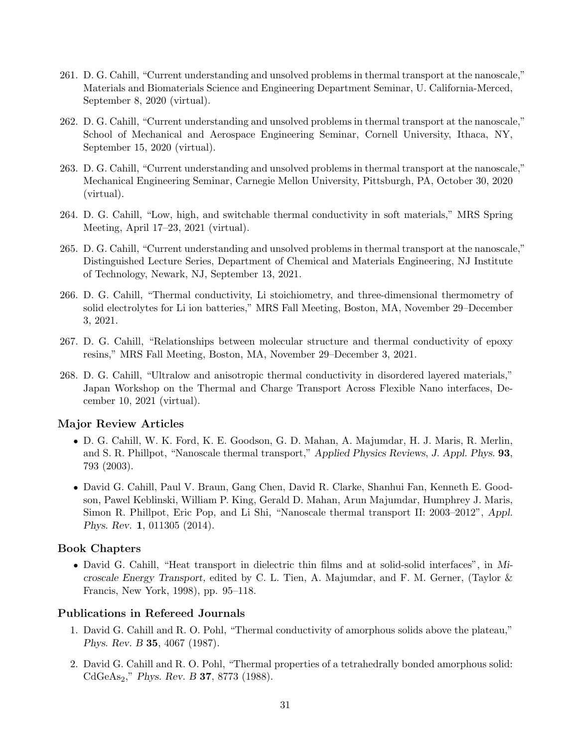- 261. D. G. Cahill, "Current understanding and unsolved problems in thermal transport at the nanoscale," Materials and Biomaterials Science and Engineering Department Seminar, U. California-Merced, September 8, 2020 (virtual).
- 262. D. G. Cahill, "Current understanding and unsolved problems in thermal transport at the nanoscale," School of Mechanical and Aerospace Engineering Seminar, Cornell University, Ithaca, NY, September 15, 2020 (virtual).
- 263. D. G. Cahill, "Current understanding and unsolved problems in thermal transport at the nanoscale," Mechanical Engineering Seminar, Carnegie Mellon University, Pittsburgh, PA, October 30, 2020 (virtual).
- 264. D. G. Cahill, "Low, high, and switchable thermal conductivity in soft materials," MRS Spring Meeting, April 17–23, 2021 (virtual).
- 265. D. G. Cahill, "Current understanding and unsolved problems in thermal transport at the nanoscale," Distinguished Lecture Series, Department of Chemical and Materials Engineering, NJ Institute of Technology, Newark, NJ, September 13, 2021.
- 266. D. G. Cahill, "Thermal conductivity, Li stoichiometry, and three-dimensional thermometry of solid electrolytes for Li ion batteries," MRS Fall Meeting, Boston, MA, November 29–December 3, 2021.
- 267. D. G. Cahill, "Relationships between molecular structure and thermal conductivity of epoxy resins," MRS Fall Meeting, Boston, MA, November 29–December 3, 2021.
- 268. D. G. Cahill, "Ultralow and anisotropic thermal conductivity in disordered layered materials," Japan Workshop on the Thermal and Charge Transport Across Flexible Nano interfaces, December 10, 2021 (virtual).

### Major Review Articles

- D. G. Cahill, W. K. Ford, K. E. Goodson, G. D. Mahan, A. Majumdar, H. J. Maris, R. Merlin, and S. R. Phillpot, "Nanoscale thermal transport," Applied Physics Reviews, J. Appl. Phys. 93, 793 (2003).
- David G. Cahill, Paul V. Braun, Gang Chen, David R. Clarke, Shanhui Fan, Kenneth E. Goodson, Pawel Keblinski, William P. King, Gerald D. Mahan, Arun Majumdar, Humphrey J. Maris, Simon R. Phillpot, Eric Pop, and Li Shi, "Nanoscale thermal transport II: 2003–2012", Appl. Phys. Rev. 1, 011305 (2014).

#### Book Chapters

• David G. Cahill, "Heat transport in dielectric thin films and at solid-solid interfaces", in Microscale Energy Transport, edited by C. L. Tien, A. Majumdar, and F. M. Gerner, (Taylor & Francis, New York, 1998), pp. 95–118.

#### Publications in Refereed Journals

- 1. David G. Cahill and R. O. Pohl, "Thermal conductivity of amorphous solids above the plateau," Phys. Rev. B 35, 4067 (1987).
- 2. David G. Cahill and R. O. Pohl, "Thermal properties of a tetrahedrally bonded amorphous solid: CdGeAs<sub>2</sub>," Phys. Rev. B **37**, 8773 (1988).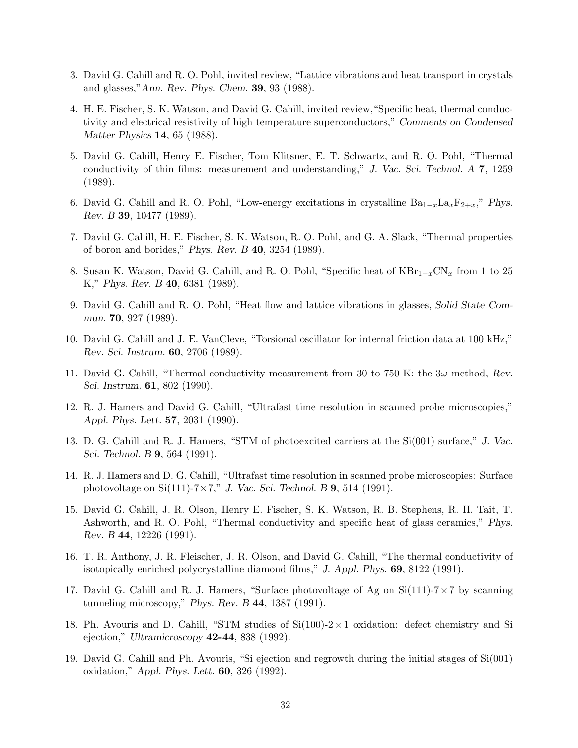- 3. David G. Cahill and R. O. Pohl, invited review, "Lattice vibrations and heat transport in crystals and glasses,"Ann. Rev. Phys. Chem. 39, 93 (1988).
- 4. H. E. Fischer, S. K. Watson, and David G. Cahill, invited review,"Specific heat, thermal conductivity and electrical resistivity of high temperature superconductors," Comments on Condensed Matter Physics 14, 65 (1988).
- 5. David G. Cahill, Henry E. Fischer, Tom Klitsner, E. T. Schwartz, and R. O. Pohl, "Thermal conductivity of thin films: measurement and understanding," J. Vac. Sci. Technol. A 7, 1259 (1989).
- 6. David G. Cahill and R. O. Pohl, "Low-energy excitations in crystalline  $Ba_{1-x}La_xF_{2+x}$ ," Phys. Rev. B 39, 10477 (1989).
- 7. David G. Cahill, H. E. Fischer, S. K. Watson, R. O. Pohl, and G. A. Slack, "Thermal properties of boron and borides," Phys. Rev. B 40, 3254 (1989).
- 8. Susan K. Watson, David G. Cahill, and R. O. Pohl, "Specific heat of  $KBr_{1-x}CN_x$  from 1 to 25 K," Phys. Rev. B 40, 6381 (1989).
- 9. David G. Cahill and R. O. Pohl, "Heat flow and lattice vibrations in glasses, Solid State Commun. 70, 927 (1989).
- 10. David G. Cahill and J. E. VanCleve, "Torsional oscillator for internal friction data at 100 kHz," Rev. Sci. Instrum. 60, 2706 (1989).
- 11. David G. Cahill, "Thermal conductivity measurement from 30 to 750 K: the  $3\omega$  method, Rev. Sci. Instrum. 61, 802 (1990).
- 12. R. J. Hamers and David G. Cahill, "Ultrafast time resolution in scanned probe microscopies," Appl. Phys. Lett. 57, 2031 (1990).
- 13. D. G. Cahill and R. J. Hamers, "STM of photoexcited carriers at the Si(001) surface," J. Vac. Sci. Technol. B 9, 564 (1991).
- 14. R. J. Hamers and D. G. Cahill, "Ultrafast time resolution in scanned probe microscopies: Surface photovoltage on Si $(111)$ -7×7," J. Vac. Sci. Technol. B 9, 514 (1991).
- 15. David G. Cahill, J. R. Olson, Henry E. Fischer, S. K. Watson, R. B. Stephens, R. H. Tait, T. Ashworth, and R. O. Pohl, "Thermal conductivity and specific heat of glass ceramics," Phys. Rev. B 44, 12226 (1991).
- 16. T. R. Anthony, J. R. Fleischer, J. R. Olson, and David G. Cahill, "The thermal conductivity of isotopically enriched polycrystalline diamond films," J. Appl. Phys. 69, 8122 (1991).
- 17. David G. Cahill and R. J. Hamers, "Surface photovoltage of Ag on  $Si(111)-7\times7$  by scanning tunneling microscopy," Phys. Rev. B 44, 1387 (1991).
- 18. Ph. Avouris and D. Cahill, "STM studies of  $Si(100)-2\times1$  oxidation: defect chemistry and Si ejection," Ultramicroscopy 42-44, 838 (1992).
- 19. David G. Cahill and Ph. Avouris, "Si ejection and regrowth during the initial stages of Si(001) oxidation," Appl. Phys. Lett. 60, 326 (1992).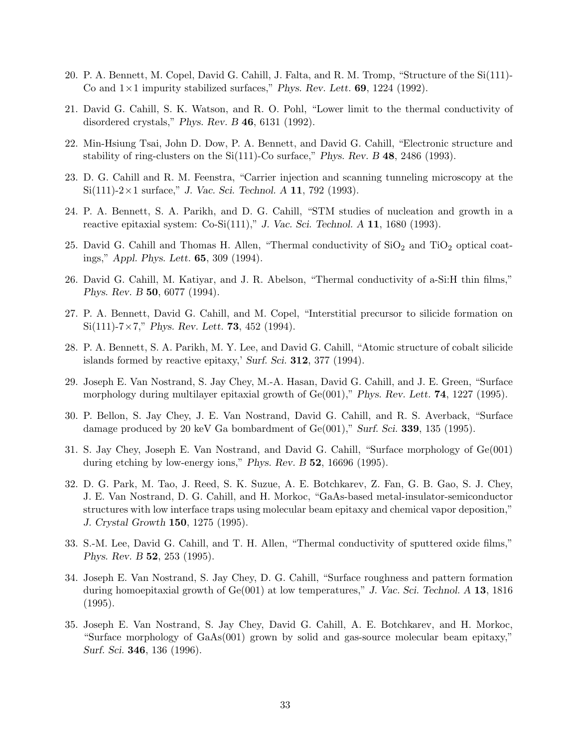- 20. P. A. Bennett, M. Copel, David G. Cahill, J. Falta, and R. M. Tromp, "Structure of the Si(111)- Co and  $1 \times 1$  impurity stabilized surfaces," Phys. Rev. Lett. **69**, 1224 (1992).
- 21. David G. Cahill, S. K. Watson, and R. O. Pohl, "Lower limit to the thermal conductivity of disordered crystals," Phys. Rev. B 46, 6131 (1992).
- 22. Min-Hsiung Tsai, John D. Dow, P. A. Bennett, and David G. Cahill, "Electronic structure and stability of ring-clusters on the Si(111)-Co surface," Phys. Rev. B 48, 2486 (1993).
- 23. D. G. Cahill and R. M. Feenstra, "Carrier injection and scanning tunneling microscopy at the  $Si(111)-2\times1$  surface," J. Vac. Sci. Technol. A 11, 792 (1993).
- 24. P. A. Bennett, S. A. Parikh, and D. G. Cahill, "STM studies of nucleation and growth in a reactive epitaxial system: Co-Si(111)," J. Vac. Sci. Technol. A  $11$ , 1680 (1993).
- 25. David G. Cahill and Thomas H. Allen, "Thermal conductivity of  $SiO<sub>2</sub>$  and  $TiO<sub>2</sub>$  optical coatings," Appl. Phys. Lett. 65, 309 (1994).
- 26. David G. Cahill, M. Katiyar, and J. R. Abelson, "Thermal conductivity of a-Si:H thin films," Phys. Rev. B 50, 6077 (1994).
- 27. P. A. Bennett, David G. Cahill, and M. Copel, "Interstitial precursor to silicide formation on  $Si(111)$ -7×7," Phys. Rev. Lett. **73**, 452 (1994).
- 28. P. A. Bennett, S. A. Parikh, M. Y. Lee, and David G. Cahill, "Atomic structure of cobalt silicide islands formed by reactive epitaxy,' Surf. Sci. 312, 377 (1994).
- 29. Joseph E. Van Nostrand, S. Jay Chey, M.-A. Hasan, David G. Cahill, and J. E. Green, "Surface morphology during multilayer epitaxial growth of  $Ge(001)$ ," Phys. Rev. Lett. **74**, 1227 (1995).
- 30. P. Bellon, S. Jay Chey, J. E. Van Nostrand, David G. Cahill, and R. S. Averback, "Surface damage produced by 20 keV Ga bombardment of  $Ge(001)$ ," Surf. Sci. 339, 135 (1995).
- 31. S. Jay Chey, Joseph E. Van Nostrand, and David G. Cahill, "Surface morphology of Ge(001) during etching by low-energy ions," Phys. Rev. B 52, 16696 (1995).
- 32. D. G. Park, M. Tao, J. Reed, S. K. Suzue, A. E. Botchkarev, Z. Fan, G. B. Gao, S. J. Chey, J. E. Van Nostrand, D. G. Cahill, and H. Morkoc, "GaAs-based metal-insulator-semiconductor structures with low interface traps using molecular beam epitaxy and chemical vapor deposition," J. Crystal Growth 150, 1275 (1995).
- 33. S.-M. Lee, David G. Cahill, and T. H. Allen, "Thermal conductivity of sputtered oxide films," Phys. Rev. B 52, 253 (1995).
- 34. Joseph E. Van Nostrand, S. Jay Chey, D. G. Cahill, "Surface roughness and pattern formation during homoepitaxial growth of  $Ge(001)$  at low temperatures," J. Vac. Sci. Technol. A 13, 1816 (1995).
- 35. Joseph E. Van Nostrand, S. Jay Chey, David G. Cahill, A. E. Botchkarev, and H. Morkoc, "Surface morphology of GaAs(001) grown by solid and gas-source molecular beam epitaxy," Surf. Sci. 346, 136 (1996).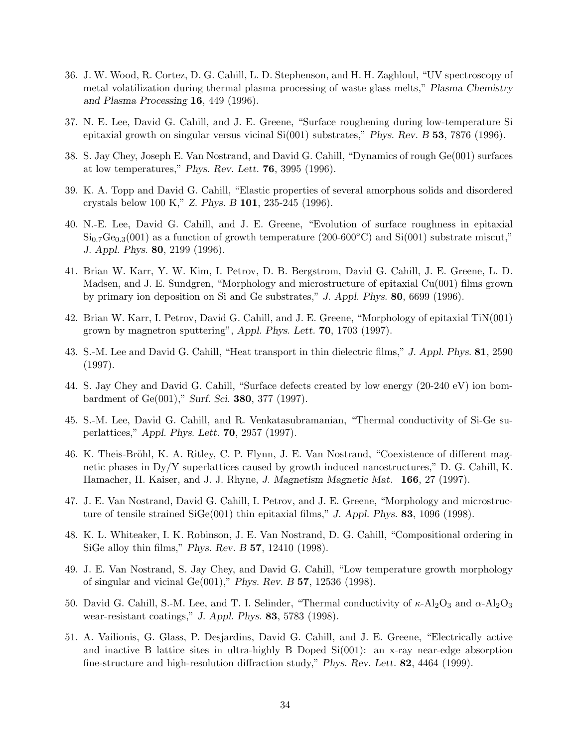- 36. J. W. Wood, R. Cortez, D. G. Cahill, L. D. Stephenson, and H. H. Zaghloul, "UV spectroscopy of metal volatilization during thermal plasma processing of waste glass melts," Plasma Chemistry and Plasma Processing 16, 449 (1996).
- 37. N. E. Lee, David G. Cahill, and J. E. Greene, "Surface roughening during low-temperature Si epitaxial growth on singular versus vicinal Si(001) substrates," Phys. Rev. B 53, 7876 (1996).
- 38. S. Jay Chey, Joseph E. Van Nostrand, and David G. Cahill, "Dynamics of rough Ge(001) surfaces at low temperatures," Phys. Rev. Lett. 76, 3995 (1996).
- 39. K. A. Topp and David G. Cahill, "Elastic properties of several amorphous solids and disordered crystals below 100 K," Z. Phys. B 101, 235-245 (1996).
- 40. N.-E. Lee, David G. Cahill, and J. E. Greene, "Evolution of surface roughness in epitaxial  $\mathrm{Si}_{0.7}\mathrm{Ge}_{0.3}(001)$  as a function of growth temperature (200-600°C) and  $\mathrm{Si}(001)$  substrate miscut," J. Appl. Phys. 80, 2199 (1996).
- 41. Brian W. Karr, Y. W. Kim, I. Petrov, D. B. Bergstrom, David G. Cahill, J. E. Greene, L. D. Madsen, and J. E. Sundgren, "Morphology and microstructure of epitaxial Cu(001) films grown by primary ion deposition on Si and Ge substrates," J. Appl. Phys. 80, 6699 (1996).
- 42. Brian W. Karr, I. Petrov, David G. Cahill, and J. E. Greene, "Morphology of epitaxial TiN(001) grown by magnetron sputtering", Appl. Phys. Lett. 70, 1703 (1997).
- 43. S.-M. Lee and David G. Cahill, "Heat transport in thin dielectric films," J. Appl. Phys. 81, 2590 (1997).
- 44. S. Jay Chey and David G. Cahill, "Surface defects created by low energy (20-240 eV) ion bombardment of Ge(001)," Surf. Sci. 380, 377 (1997).
- 45. S.-M. Lee, David G. Cahill, and R. Venkatasubramanian, "Thermal conductivity of Si-Ge superlattices," Appl. Phys. Lett. 70, 2957 (1997).
- 46. K. Theis-Bröhl, K. A. Ritley, C. P. Flynn, J. E. Van Nostrand, "Coexistence of different magnetic phases in Dy/Y superlattices caused by growth induced nanostructures," D. G. Cahill, K. Hamacher, H. Kaiser, and J. J. Rhyne, J. Magnetism Magnetic Mat. 166, 27 (1997).
- 47. J. E. Van Nostrand, David G. Cahill, I. Petrov, and J. E. Greene, "Morphology and microstructure of tensile strained SiGe(001) thin epitaxial films," J. Appl. Phys. 83, 1096 (1998).
- 48. K. L. Whiteaker, I. K. Robinson, J. E. Van Nostrand, D. G. Cahill, "Compositional ordering in SiGe alloy thin films," Phys. Rev. B 57, 12410 (1998).
- 49. J. E. Van Nostrand, S. Jay Chey, and David G. Cahill, "Low temperature growth morphology of singular and vicinal Ge(001)," Phys. Rev. B 57, 12536 (1998).
- 50. David G. Cahill, S.-M. Lee, and T. I. Selinder, "Thermal conductivity of  $\kappa$ -Al<sub>2</sub>O<sub>3</sub> and  $\alpha$ -Al<sub>2</sub>O<sub>3</sub> wear-resistant coatings," J. Appl. Phys. 83, 5783 (1998).
- 51. A. Vailionis, G. Glass, P. Desjardins, David G. Cahill, and J. E. Greene, "Electrically active and inactive B lattice sites in ultra-highly B Doped Si(001): an x-ray near-edge absorption fine-structure and high-resolution diffraction study," Phys. Rev. Lett. 82, 4464 (1999).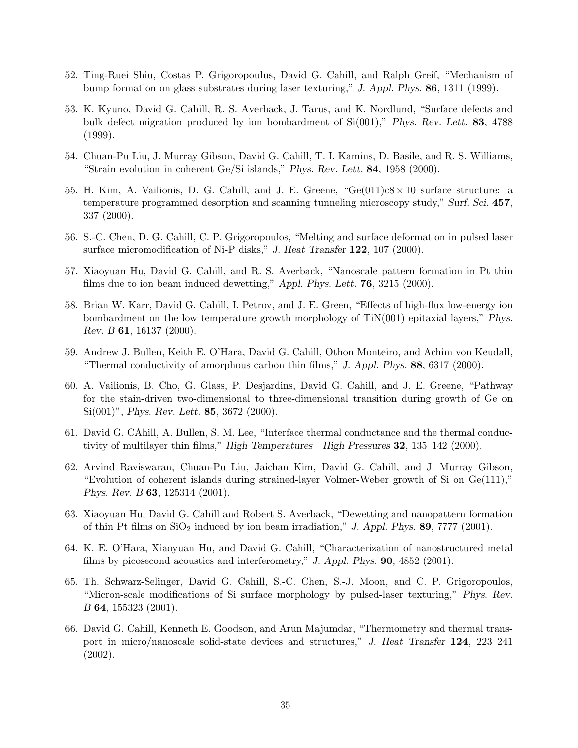- 52. Ting-Ruei Shiu, Costas P. Grigoropoulus, David G. Cahill, and Ralph Greif, "Mechanism of bump formation on glass substrates during laser texturing," J. Appl. Phys. 86, 1311 (1999).
- 53. K. Kyuno, David G. Cahill, R. S. Averback, J. Tarus, and K. Nordlund, "Surface defects and bulk defect migration produced by ion bombardment of Si(001)," Phys. Rev. Lett. 83, 4788 (1999).
- 54. Chuan-Pu Liu, J. Murray Gibson, David G. Cahill, T. I. Kamins, D. Basile, and R. S. Williams, "Strain evolution in coherent Ge/Si islands," Phys. Rev. Lett.  $84$ , 1958 (2000).
- 55. H. Kim, A. Vailionis, D. G. Cahill, and J. E. Greene, " $Ge(011)c8 \times 10$  surface structure: a temperature programmed desorption and scanning tunneling microscopy study," Surf. Sci. 457, 337 (2000).
- 56. S.-C. Chen, D. G. Cahill, C. P. Grigoropoulos, "Melting and surface deformation in pulsed laser surface micromodification of Ni-P disks," J. Heat Transfer 122, 107 (2000).
- 57. Xiaoyuan Hu, David G. Cahill, and R. S. Averback, "Nanoscale pattern formation in Pt thin films due to ion beam induced dewetting," Appl. Phys. Lett. 76, 3215 (2000).
- 58. Brian W. Karr, David G. Cahill, I. Petrov, and J. E. Green, "Effects of high-flux low-energy ion bombardment on the low temperature growth morphology of TiN(001) epitaxial layers," Phys. Rev. B 61, 16137 (2000).
- 59. Andrew J. Bullen, Keith E. O'Hara, David G. Cahill, Othon Monteiro, and Achim von Keudall, "Thermal conductivity of amorphous carbon thin films,"  $J.$  Appl. Phys. 88, 6317 (2000).
- 60. A. Vailionis, B. Cho, G. Glass, P. Desjardins, David G. Cahill, and J. E. Greene, "Pathway for the stain-driven two-dimensional to three-dimensional transition during growth of Ge on Si(001)", *Phys. Rev. Lett.* **85**, 3672 (2000).
- 61. David G. CAhill, A. Bullen, S. M. Lee, "Interface thermal conductance and the thermal conductivity of multilayer thin films," High Temperatures—High Pressures 32, 135–142 (2000).
- 62. Arvind Raviswaran, Chuan-Pu Liu, Jaichan Kim, David G. Cahill, and J. Murray Gibson, "Evolution of coherent islands during strained-layer Volmer-Weber growth of Si on Ge(111)," Phys. Rev. B 63, 125314 (2001).
- 63. Xiaoyuan Hu, David G. Cahill and Robert S. Averback, "Dewetting and nanopattern formation of thin Pt films on  $SiO<sub>2</sub>$  induced by ion beam irradiation," J. Appl. Phys. 89, 7777 (2001).
- 64. K. E. O'Hara, Xiaoyuan Hu, and David G. Cahill, "Characterization of nanostructured metal films by picosecond acoustics and interferometry," J. Appl. Phys. 90, 4852 (2001).
- 65. Th. Schwarz-Selinger, David G. Cahill, S.-C. Chen, S.-J. Moon, and C. P. Grigoropoulos, "Micron-scale modifications of Si surface morphology by pulsed-laser texturing," Phys. Rev. B 64, 155323 (2001).
- 66. David G. Cahill, Kenneth E. Goodson, and Arun Majumdar, "Thermometry and thermal transport in micro/nanoscale solid-state devices and structures," J. Heat Transfer 124, 223–241 (2002).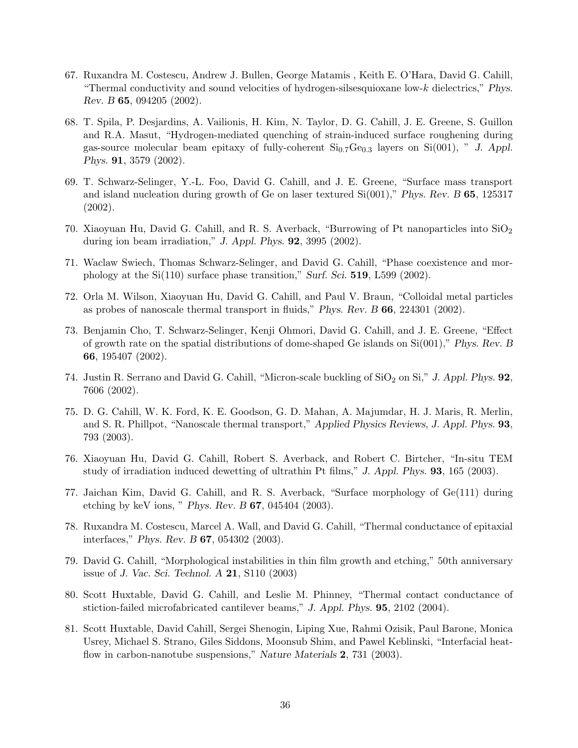- 67. Ruxandra M. Costescu, Andrew J. Bullen, George Matamis , Keith E. O'Hara, David G. Cahill, "Thermal conductivity and sound velocities of hydrogen-silsesquioxane low-k dielectrics," Phys. Rev. B 65, 094205 (2002).
- 68. T. Spila, P. Desjardins, A. Vailionis, H. Kim, N. Taylor, D. G. Cahill, J. E. Greene, S. Guillon and R.A. Masut, "Hydrogen-mediated quenching of strain-induced surface roughening during gas-source molecular beam epitaxy of fully-coherent  $Si_{0.7}Ge_{0.3}$  layers on  $Si(001)$ , " J. Appl. Phys. 91, 3579 (2002).
- 69. T. Schwarz-Selinger, Y.-L. Foo, David G. Cahill, and J. E. Greene, "Surface mass transport and island nucleation during growth of Ge on laser textured  $Si(001)$ ," Phys. Rev. B 65, 125317 (2002).
- 70. Xiaoyuan Hu, David G. Cahill, and R. S. Averback, "Burrowing of Pt nanoparticles into  $SiO<sub>2</sub>$ during ion beam irradiation," J. Appl. Phys. 92, 3995 (2002).
- 71. Waclaw Swiech, Thomas Schwarz-Selinger, and David G. Cahill, "Phase coexistence and morphology at the Si(110) surface phase transition," Surf. Sci. 519, L599 (2002).
- 72. Orla M. Wilson, Xiaoyuan Hu, David G. Cahill, and Paul V. Braun, "Colloidal metal particles as probes of nanoscale thermal transport in fluids," Phys. Rev. B 66, 224301 (2002).
- 73. Benjamin Cho, T. Schwarz-Selinger, Kenji Ohmori, David G. Cahill, and J. E. Greene, "Effect of growth rate on the spatial distributions of dome-shaped Ge islands on Si(001)," Phys. Rev. B 66, 195407 (2002).
- 74. Justin R. Serrano and David G. Cahill, "Micron-scale buckling of  $SiO<sub>2</sub>$  on  $Si$ ", J. Appl. Phys. 92, 7606 (2002).
- 75. D. G. Cahill, W. K. Ford, K. E. Goodson, G. D. Mahan, A. Majumdar, H. J. Maris, R. Merlin, and S. R. Phillpot, "Nanoscale thermal transport," Applied Physics Reviews, J. Appl. Phys. 93, 793 (2003).
- 76. Xiaoyuan Hu, David G. Cahill, Robert S. Averback, and Robert C. Birtcher, "In-situ TEM study of irradiation induced dewetting of ultrathin Pt films," J. Appl. Phys. 93, 165 (2003).
- 77. Jaichan Kim, David G. Cahill, and R. S. Averback, "Surface morphology of Ge(111) during etching by keV ions, " Phys. Rev. B 67, 045404 (2003).
- 78. Ruxandra M. Costescu, Marcel A. Wall, and David G. Cahill, "Thermal conductance of epitaxial interfaces," Phys. Rev. B 67, 054302 (2003).
- 79. David G. Cahill, "Morphological instabilities in thin film growth and etching," 50th anniversary issue of J. Vac. Sci. Technol. A 21, S110 (2003)
- 80. Scott Huxtable, David G. Cahill, and Leslie M. Phinney, "Thermal contact conductance of stiction-failed microfabricated cantilever beams," J. Appl. Phys. 95, 2102 (2004).
- 81. Scott Huxtable, David Cahill, Sergei Shenogin, Liping Xue, Rahmi Ozisik, Paul Barone, Monica Usrey, Michael S. Strano, Giles Siddons, Moonsub Shim, and Pawel Keblinski, "Interfacial heatflow in carbon-nanotube suspensions," Nature Materials 2, 731 (2003).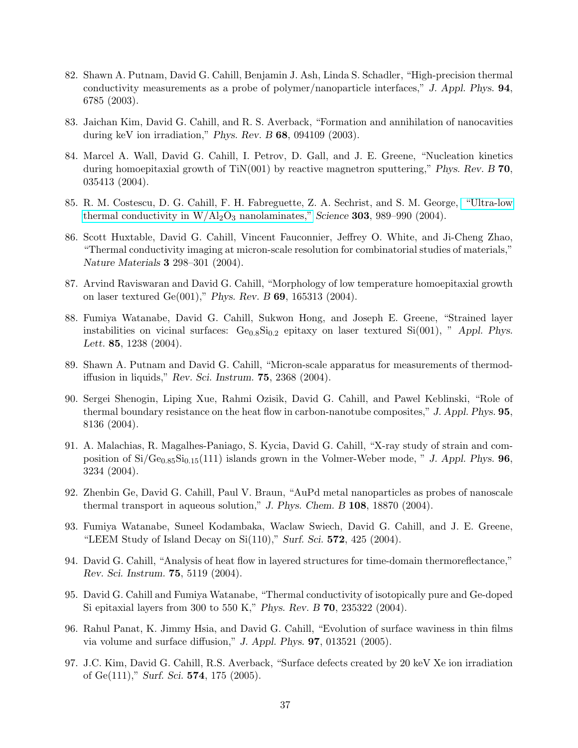- 82. Shawn A. Putnam, David G. Cahill, Benjamin J. Ash, Linda S. Schadler, "High-precision thermal conductivity measurements as a probe of polymer/nanoparticle interfaces," J. Appl. Phys. 94, 6785 (2003).
- 83. Jaichan Kim, David G. Cahill, and R. S. Averback, "Formation and annihilation of nanocavities during keV ion irradiation," Phys. Rev. B 68, 094109 (2003).
- 84. Marcel A. Wall, David G. Cahill, I. Petrov, D. Gall, and J. E. Greene, "Nucleation kinetics during homoepitaxial growth of  $TiN(001)$  by reactive magnetron sputtering," Phys. Rev. B 70, 035413 (2004).
- 85. R. M. Costescu, D. G. Cahill, F. H. Fabreguette, Z. A. Sechrist, and S. M. George, ["Ultra-low](http://www.sciencemag.org/cgi/content/full/303/5660/989?ijkey=UXS3sdoAroSJ.&ke%%@ ytype=ref&siteid=sci) thermal conductivity in  $W/A_2O_3$  nanolaminates," Science 303, 989–990 (2004).
- 86. Scott Huxtable, David G. Cahill, Vincent Fauconnier, Jeffrey O. White, and Ji-Cheng Zhao, "Thermal conductivity imaging at micron-scale resolution for combinatorial studies of materials," Nature Materials 3 298–301 (2004).
- 87. Arvind Raviswaran and David G. Cahill, "Morphology of low temperature homoepitaxial growth on laser textured Ge(001)," Phys. Rev. B 69, 165313 (2004).
- 88. Fumiya Watanabe, David G. Cahill, Sukwon Hong, and Joseph E. Greene, "Strained layer instabilities on vicinal surfaces:  $Ge_{0.8}Si_{0.2}$  epitaxy on laser textured  $Si(001)$ , "Appl. Phys. Lett. **85**, 1238 (2004).
- 89. Shawn A. Putnam and David G. Cahill, "Micron-scale apparatus for measurements of thermodiffusion in liquids," Rev. Sci. Instrum. 75, 2368 (2004).
- 90. Sergei Shenogin, Liping Xue, Rahmi Ozisik, David G. Cahill, and Pawel Keblinski, "Role of thermal boundary resistance on the heat flow in carbon-nanotube composites," J. Appl. Phys. 95, 8136 (2004).
- 91. A. Malachias, R. Magalhes-Paniago, S. Kycia, David G. Cahill, "X-ray study of strain and composition of  $Si/Ge_{0.85}Si_{0.15}(111)$  islands grown in the Volmer-Weber mode, " J. Appl. Phys. **96**, 3234 (2004).
- 92. Zhenbin Ge, David G. Cahill, Paul V. Braun, "AuPd metal nanoparticles as probes of nanoscale thermal transport in aqueous solution," J. Phys. Chem. B 108, 18870 (2004).
- 93. Fumiya Watanabe, Suneel Kodambaka, Waclaw Swiech, David G. Cahill, and J. E. Greene, "LEEM Study of Island Decay on Si(110)," Surf. Sci. 572, 425 (2004).
- 94. David G. Cahill, "Analysis of heat flow in layered structures for time-domain thermoreflectance," Rev. Sci. Instrum. 75, 5119 (2004).
- 95. David G. Cahill and Fumiya Watanabe, "Thermal conductivity of isotopically pure and Ge-doped Si epitaxial layers from 300 to 550 K," Phys. Rev. B 70, 235322 (2004).
- 96. Rahul Panat, K. Jimmy Hsia, and David G. Cahill, "Evolution of surface waviness in thin films via volume and surface diffusion," J. Appl. Phys. 97, 013521 (2005).
- 97. J.C. Kim, David G. Cahill, R.S. Averback, "Surface defects created by 20 keV Xe ion irradiation of Ge(111)," Surf. Sci. 574, 175 (2005).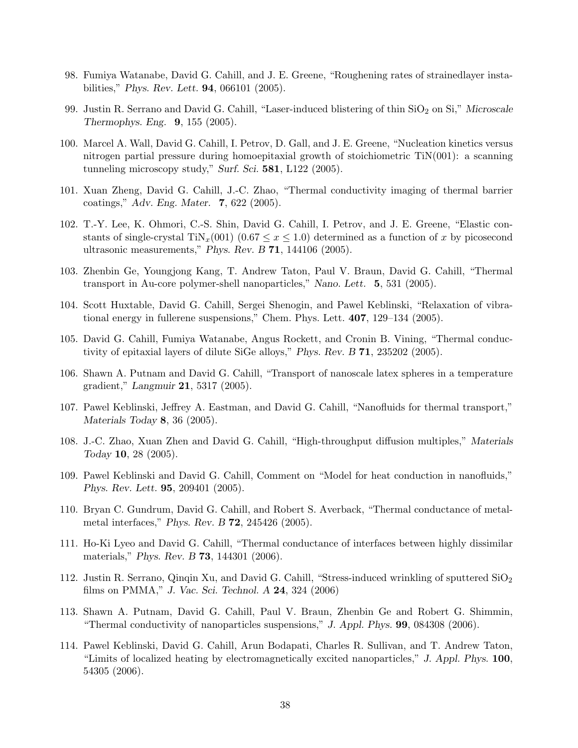- 98. Fumiya Watanabe, David G. Cahill, and J. E. Greene, "Roughening rates of strainedlayer instabilities," Phys. Rev. Lett. 94, 066101 (2005).
- 99. Justin R. Serrano and David G. Cahill, "Laser-induced blistering of thin SiO<sub>2</sub> on Si," Microscale Thermophys. Eng. 9, 155 (2005).
- 100. Marcel A. Wall, David G. Cahill, I. Petrov, D. Gall, and J. E. Greene, "Nucleation kinetics versus nitrogen partial pressure during homoepitaxial growth of stoichiometric TiN(001): a scanning tunneling microscopy study," Surf. Sci. 581, L122 (2005).
- 101. Xuan Zheng, David G. Cahill, J.-C. Zhao, "Thermal conductivity imaging of thermal barrier coatings," Adv. Eng. Mater. 7, 622 (2005).
- 102. T.-Y. Lee, K. Ohmori, C.-S. Shin, David G. Cahill, I. Petrov, and J. E. Greene, "Elastic constants of single-crystal TiN<sub>x</sub>(001) (0.67  $\leq x \leq 1.0$ ) determined as a function of x by picosecond ultrasonic measurements," Phys. Rev. B 71, 144106 (2005).
- 103. Zhenbin Ge, Youngjong Kang, T. Andrew Taton, Paul V. Braun, David G. Cahill, "Thermal transport in Au-core polymer-shell nanoparticles," Nano. Lett. 5, 531 (2005).
- 104. Scott Huxtable, David G. Cahill, Sergei Shenogin, and Pawel Keblinski, "Relaxation of vibrational energy in fullerene suspensions," Chem. Phys. Lett. 407, 129–134 (2005).
- 105. David G. Cahill, Fumiya Watanabe, Angus Rockett, and Cronin B. Vining, "Thermal conductivity of epitaxial layers of dilute SiGe alloys," Phys. Rev. B 71, 235202 (2005).
- 106. Shawn A. Putnam and David G. Cahill, "Transport of nanoscale latex spheres in a temperature gradient," Langmuir 21, 5317 (2005).
- 107. Pawel Keblinski, Jeffrey A. Eastman, and David G. Cahill, "Nanofluids for thermal transport," Materials Today 8, 36 (2005).
- 108. J.-C. Zhao, Xuan Zhen and David G. Cahill, "High-throughput diffusion multiples," Materials Today 10, 28 (2005).
- 109. Pawel Keblinski and David G. Cahill, Comment on "Model for heat conduction in nanofluids," Phys. Rev. Lett. 95, 209401 (2005).
- 110. Bryan C. Gundrum, David G. Cahill, and Robert S. Averback, "Thermal conductance of metalmetal interfaces," Phys. Rev. B 72, 245426 (2005).
- 111. Ho-Ki Lyeo and David G. Cahill, "Thermal conductance of interfaces between highly dissimilar materials," Phys. Rev. B 73, 144301 (2006).
- 112. Justin R. Serrano, Qinqin Xu, and David G. Cahill, "Stress-induced wrinkling of sputtered  $\rm SiO<sub>2</sub>$ films on PMMA," J. Vac. Sci. Technol. A 24, 324 (2006)
- 113. Shawn A. Putnam, David G. Cahill, Paul V. Braun, Zhenbin Ge and Robert G. Shimmin, "Thermal conductivity of nanoparticles suspensions,"  $J.$  Appl. Phys. **99**, 084308 (2006).
- 114. Pawel Keblinski, David G. Cahill, Arun Bodapati, Charles R. Sullivan, and T. Andrew Taton, "Limits of localized heating by electromagnetically excited nanoparticles," J. Appl. Phys. 100, 54305 (2006).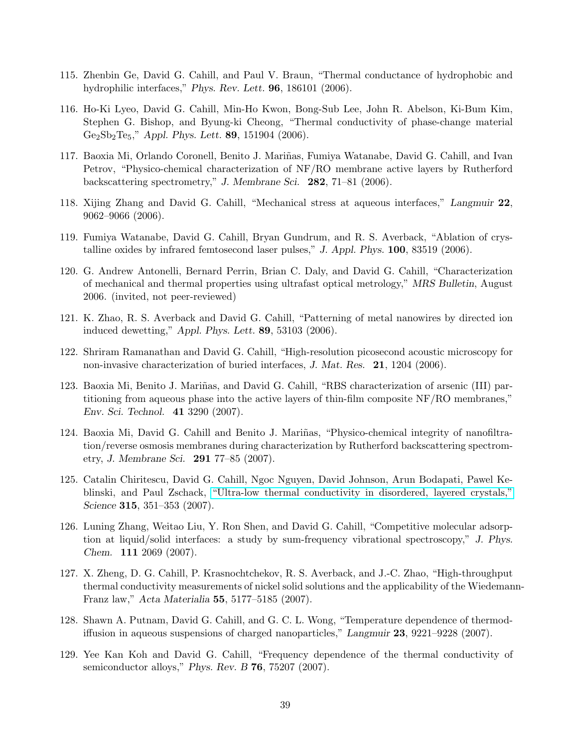- 115. Zhenbin Ge, David G. Cahill, and Paul V. Braun, "Thermal conductance of hydrophobic and hydrophilic interfaces," Phys. Rev. Lett. **96**, 186101 (2006).
- 116. Ho-Ki Lyeo, David G. Cahill, Min-Ho Kwon, Bong-Sub Lee, John R. Abelson, Ki-Bum Kim, Stephen G. Bishop, and Byung-ki Cheong, "Thermal conductivity of phase-change material  $Ge_2Sb_2Te_5$ ," Appl. Phys. Lett. 89, 151904 (2006).
- 117. Baoxia Mi, Orlando Coronell, Benito J. Mariñas, Fumiya Watanabe, David G. Cahill, and Ivan Petrov, "Physico-chemical characterization of NF/RO membrane active layers by Rutherford backscattering spectrometry," J. Membrane Sci. 282, 71–81 (2006).
- 118. Xijing Zhang and David G. Cahill, "Mechanical stress at aqueous interfaces," Langmuir 22, 9062–9066 (2006).
- 119. Fumiya Watanabe, David G. Cahill, Bryan Gundrum, and R. S. Averback, "Ablation of crystalline oxides by infrared femtosecond laser pulses," J. Appl. Phys. 100, 83519 (2006).
- 120. G. Andrew Antonelli, Bernard Perrin, Brian C. Daly, and David G. Cahill, "Characterization of mechanical and thermal properties using ultrafast optical metrology," MRS Bulletin, August 2006. (invited, not peer-reviewed)
- 121. K. Zhao, R. S. Averback and David G. Cahill, "Patterning of metal nanowires by directed ion induced dewetting," Appl. Phys. Lett. 89, 53103 (2006).
- 122. Shriram Ramanathan and David G. Cahill, "High-resolution picosecond acoustic microscopy for non-invasive characterization of buried interfaces, J. Mat. Res. 21, 1204 (2006).
- 123. Baoxia Mi, Benito J. Mariñas, and David G. Cahill, "RBS characterization of arsenic (III) partitioning from aqueous phase into the active layers of thin-film composite NF/RO membranes," Env. Sci. Technol. 41 3290 (2007).
- 124. Baoxia Mi, David G. Cahill and Benito J. Mariñas, "Physico-chemical integrity of nanofiltration/reverse osmosis membranes during characterization by Rutherford backscattering spectrometry, J. Membrane Sci. 291 77–85 (2007).
- 125. Catalin Chiritescu, David G. Cahill, Ngoc Nguyen, David Johnson, Arun Bodapati, Pawel Keblinski, and Paul Zschack, ["Ultra-low thermal conductivity in disordered, layered crystals,"](http://www.sciencemag.org/cgi/rapidpdf/1136494?ijkey=QnnW7PxwRCqEU&keytype=ref&siteid=sci) Science 315, 351–353 (2007).
- 126. Luning Zhang, Weitao Liu, Y. Ron Shen, and David G. Cahill, "Competitive molecular adsorption at liquid/solid interfaces: a study by sum-frequency vibrational spectroscopy," J. Phys. Chem. 111 2069 (2007).
- 127. X. Zheng, D. G. Cahill, P. Krasnochtchekov, R. S. Averback, and J.-C. Zhao, "High-throughput thermal conductivity measurements of nickel solid solutions and the applicability of the Wiedemann-Franz law," Acta Materialia 55, 5177–5185 (2007).
- 128. Shawn A. Putnam, David G. Cahill, and G. C. L. Wong, "Temperature dependence of thermodiffusion in aqueous suspensions of charged nanoparticles," Langmuir 23, 9221–9228 (2007).
- 129. Yee Kan Koh and David G. Cahill, "Frequency dependence of the thermal conductivity of semiconductor alloys," Phys. Rev. B 76, 75207 (2007).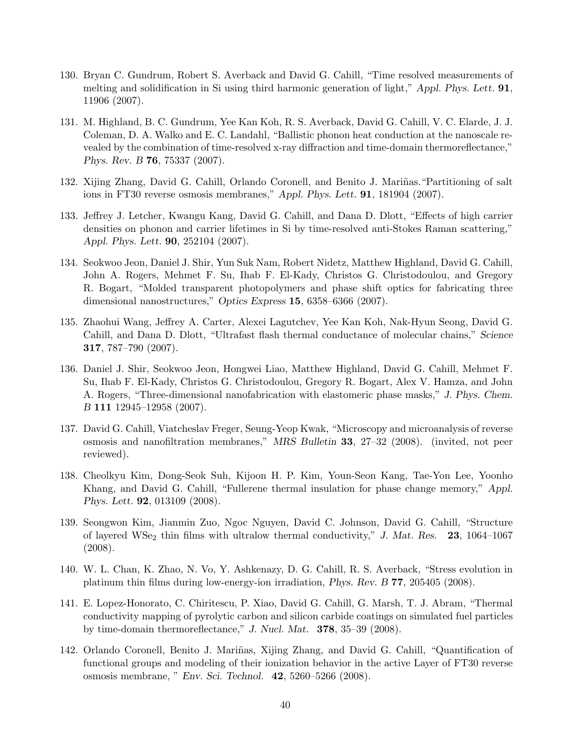- 130. Bryan C. Gundrum, Robert S. Averback and David G. Cahill, "Time resolved measurements of melting and solidification in Si using third harmonic generation of light," Appl. Phys. Lett. 91, 11906 (2007).
- 131. M. Highland, B. C. Gundrum, Yee Kan Koh, R. S. Averback, David G. Cahill, V. C. Elarde, J. J. Coleman, D. A. Walko and E. C. Landahl, "Ballistic phonon heat conduction at the nanoscale revealed by the combination of time-resolved x-ray diffraction and time-domain thermoreflectance," Phys. Rev. B 76, 75337 (2007).
- 132. Xijing Zhang, David G. Cahill, Orlando Coronell, and Benito J. Mariñas. "Partitioning of salt ions in FT30 reverse osmosis membranes," Appl. Phys. Lett. 91, 181904 (2007).
- 133. Jeffrey J. Letcher, Kwangu Kang, David G. Cahill, and Dana D. Dlott, "Effects of high carrier densities on phonon and carrier lifetimes in Si by time-resolved anti-Stokes Raman scattering," Appl. Phys. Lett. 90, 252104 (2007).
- 134. Seokwoo Jeon, Daniel J. Shir, Yun Suk Nam, Robert Nidetz, Matthew Highland, David G. Cahill, John A. Rogers, Mehmet F. Su, Ihab F. El-Kady, Christos G. Christodoulou, and Gregory R. Bogart, "Molded transparent photopolymers and phase shift optics for fabricating three dimensional nanostructures," Optics Express 15, 6358–6366 (2007).
- 135. Zhaohui Wang, Jeffrey A. Carter, Alexei Lagutchev, Yee Kan Koh, Nak-Hyun Seong, David G. Cahill, and Dana D. Dlott, "Ultrafast flash thermal conductance of molecular chains," Science 317, 787–790 (2007).
- 136. Daniel J. Shir, Seokwoo Jeon, Hongwei Liao, Matthew Highland, David G. Cahill, Mehmet F. Su, Ihab F. El-Kady, Christos G. Christodoulou, Gregory R. Bogart, Alex V. Hamza, and John A. Rogers, "Three-dimensional nanofabrication with elastomeric phase masks," J. Phys. Chem. B 111 12945–12958 (2007).
- 137. David G. Cahill, Viatcheslav Freger, Seung-Yeop Kwak, "Microscopy and microanalysis of reverse osmosis and nanofiltration membranes," MRS Bulletin 33, 27–32 (2008). (invited, not peer reviewed).
- 138. Cheolkyu Kim, Dong-Seok Suh, Kijoon H. P. Kim, Youn-Seon Kang, Tae-Yon Lee, Yoonho Khang, and David G. Cahill, "Fullerene thermal insulation for phase change memory," Appl. Phys. Lett. 92, 013109 (2008).
- 139. Seongwon Kim, Jianmin Zuo, Ngoc Nguyen, David C. Johnson, David G. Cahill, "Structure of layered WSe<sub>2</sub> thin films with ultralow thermal conductivity," J. Mat. Res. 23, 1064–1067 (2008).
- 140. W. L. Chan, K. Zhao, N. Vo, Y. Ashkenazy, D. G. Cahill, R. S. Averback, "Stress evolution in platinum thin films during low-energy-ion irradiation, Phys. Rev. B 77, 205405 (2008).
- 141. E. Lopez-Honorato, C. Chiritescu, P. Xiao, David G. Cahill, G. Marsh, T. J. Abram, "Thermal conductivity mapping of pyrolytic carbon and silicon carbide coatings on simulated fuel particles by time-domain thermoreflectance," J. Nucl. Mat. 378, 35–39 (2008).
- 142. Orlando Coronell, Benito J. Mariñas, Xijing Zhang, and David G. Cahill, "Quantification of functional groups and modeling of their ionization behavior in the active Layer of FT30 reverse osmosis membrane, " Env. Sci. Technol. 42, 5260–5266 (2008).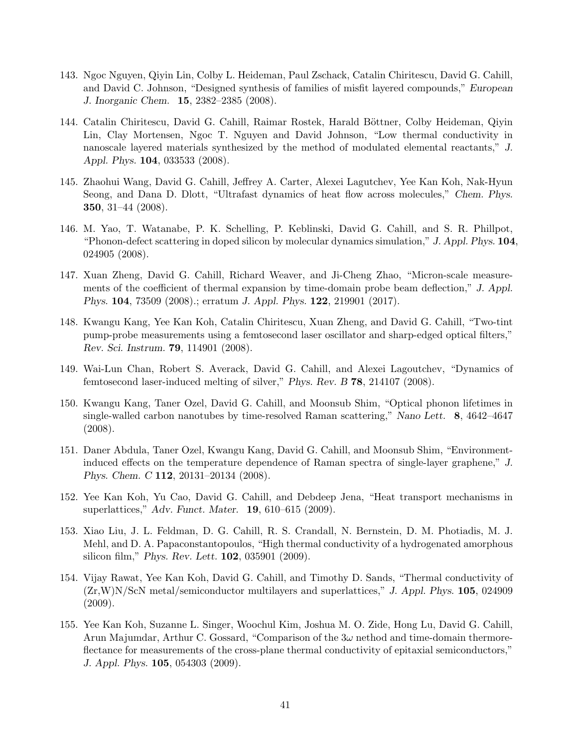- 143. Ngoc Nguyen, Qiyin Lin, Colby L. Heideman, Paul Zschack, Catalin Chiritescu, David G. Cahill, and David C. Johnson, "Designed synthesis of families of misfit layered compounds," European J. Inorganic Chem. 15, 2382–2385 (2008).
- 144. Catalin Chiritescu, David G. Cahill, Raimar Rostek, Harald Böttner, Colby Heideman, Qiyin Lin, Clay Mortensen, Ngoc T. Nguyen and David Johnson, "Low thermal conductivity in nanoscale layered materials synthesized by the method of modulated elemental reactants," J. Appl. Phys. 104, 033533 (2008).
- 145. Zhaohui Wang, David G. Cahill, Jeffrey A. Carter, Alexei Lagutchev, Yee Kan Koh, Nak-Hyun Seong, and Dana D. Dlott, "Ultrafast dynamics of heat flow across molecules," Chem. Phys. 350, 31–44 (2008).
- 146. M. Yao, T. Watanabe, P. K. Schelling, P. Keblinski, David G. Cahill, and S. R. Phillpot, "Phonon-defect scattering in doped silicon by molecular dynamics simulation," J. Appl. Phys. 104, 024905 (2008).
- 147. Xuan Zheng, David G. Cahill, Richard Weaver, and Ji-Cheng Zhao, "Micron-scale measurements of the coefficient of thermal expansion by time-domain probe beam deflection," J. Appl. Phys. 104, 73509 (2008).; erratum J. Appl. Phys. 122, 219901 (2017).
- 148. Kwangu Kang, Yee Kan Koh, Catalin Chiritescu, Xuan Zheng, and David G. Cahill, "Two-tint pump-probe measurements using a femtosecond laser oscillator and sharp-edged optical filters," Rev. Sci. Instrum. 79, 114901 (2008).
- 149. Wai-Lun Chan, Robert S. Averack, David G. Cahill, and Alexei Lagoutchev, "Dynamics of femtosecond laser-induced melting of silver," Phys. Rev. B 78, 214107 (2008).
- 150. Kwangu Kang, Taner Ozel, David G. Cahill, and Moonsub Shim, "Optical phonon lifetimes in single-walled carbon nanotubes by time-resolved Raman scattering," Nano Lett. 8, 4642–4647 (2008).
- 151. Daner Abdula, Taner Ozel, Kwangu Kang, David G. Cahill, and Moonsub Shim, "Environmentinduced effects on the temperature dependence of Raman spectra of single-layer graphene," J. Phys. Chem. C 112, 20131–20134 (2008).
- 152. Yee Kan Koh, Yu Cao, David G. Cahill, and Debdeep Jena, "Heat transport mechanisms in superlattices," Adv. Funct. Mater. 19, 610–615 (2009).
- 153. Xiao Liu, J. L. Feldman, D. G. Cahill, R. S. Crandall, N. Bernstein, D. M. Photiadis, M. J. Mehl, and D. A. Papaconstantopoulos, "High thermal conductivity of a hydrogenated amorphous silicon film," Phys. Rev. Lett. 102, 035901 (2009).
- 154. Vijay Rawat, Yee Kan Koh, David G. Cahill, and Timothy D. Sands, "Thermal conductivity of  $(Zr,W)N/ScN$  metal/semiconductor multilayers and superlattices," J. Appl. Phys. 105, 024909 (2009).
- 155. Yee Kan Koh, Suzanne L. Singer, Woochul Kim, Joshua M. O. Zide, Hong Lu, David G. Cahill, Arun Majumdar, Arthur C. Gossard, "Comparison of the  $3\omega$  nethod and time-domain thermoreflectance for measurements of the cross-plane thermal conductivity of epitaxial semiconductors," J. Appl. Phys. 105, 054303 (2009).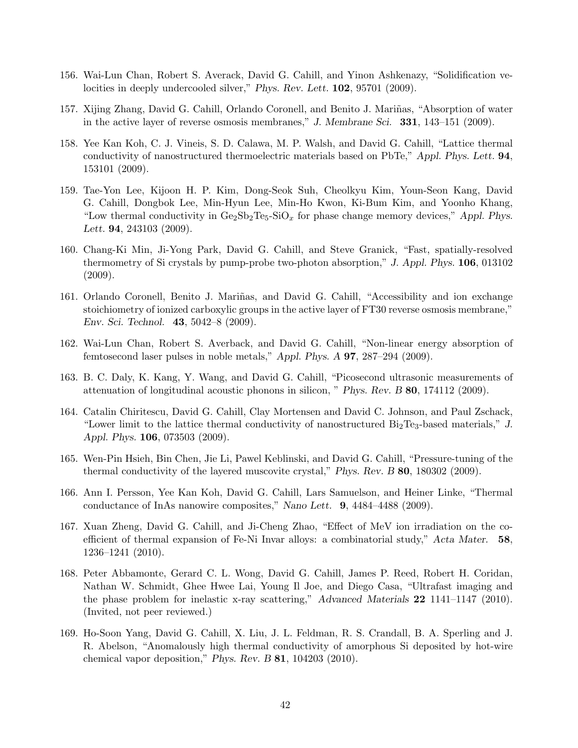- 156. Wai-Lun Chan, Robert S. Averack, David G. Cahill, and Yinon Ashkenazy, "Solidification velocities in deeply undercooled silver," Phys. Rev. Lett. **102**, 95701 (2009).
- 157. Xijing Zhang, David G. Cahill, Orlando Coronell, and Benito J. Mariñas, "Absorption of water in the active layer of reverse osmosis membranes," J. Membrane Sci. 331, 143–151 (2009).
- 158. Yee Kan Koh, C. J. Vineis, S. D. Calawa, M. P. Walsh, and David G. Cahill, "Lattice thermal conductivity of nanostructured thermoelectric materials based on PbTe," Appl. Phys. Lett. 94, 153101 (2009).
- 159. Tae-Yon Lee, Kijoon H. P. Kim, Dong-Seok Suh, Cheolkyu Kim, Youn-Seon Kang, David G. Cahill, Dongbok Lee, Min-Hyun Lee, Min-Ho Kwon, Ki-Bum Kim, and Yoonho Khang, "Low thermal conductivity in  $Ge_2Sb_2Te_5-SiO_x$  for phase change memory devices," Appl. Phys. Lett. **94**, 243103 (2009).
- 160. Chang-Ki Min, Ji-Yong Park, David G. Cahill, and Steve Granick, "Fast, spatially-resolved thermometry of Si crystals by pump-probe two-photon absorption," J. Appl. Phys. 106, 013102 (2009).
- 161. Orlando Coronell, Benito J. Mariñas, and David G. Cahill, "Accessibility and ion exchange stoichiometry of ionized carboxylic groups in the active layer of FT30 reverse osmosis membrane," Env. Sci. Technol. 43, 5042–8 (2009).
- 162. Wai-Lun Chan, Robert S. Averback, and David G. Cahill, "Non-linear energy absorption of femtosecond laser pulses in noble metals," Appl. Phys. A 97, 287–294 (2009).
- 163. B. C. Daly, K. Kang, Y. Wang, and David G. Cahill, "Picosecond ultrasonic measurements of attenuation of longitudinal acoustic phonons in silicon, " Phys. Rev. B 80, 174112 (2009).
- 164. Catalin Chiritescu, David G. Cahill, Clay Mortensen and David C. Johnson, and Paul Zschack, "Lower limit to the lattice thermal conductivity of nanostructured  $\rm{Bi}_2\rm{Te}_3$ -based materials," J. Appl. Phys. 106, 073503 (2009).
- 165. Wen-Pin Hsieh, Bin Chen, Jie Li, Pawel Keblinski, and David G. Cahill, "Pressure-tuning of the thermal conductivity of the layered muscovite crystal," Phys. Rev. B 80, 180302 (2009).
- 166. Ann I. Persson, Yee Kan Koh, David G. Cahill, Lars Samuelson, and Heiner Linke, "Thermal conductance of InAs nanowire composites," Nano Lett. 9, 4484–4488 (2009).
- 167. Xuan Zheng, David G. Cahill, and Ji-Cheng Zhao, "Effect of MeV ion irradiation on the coefficient of thermal expansion of Fe-Ni Invar alloys: a combinatorial study," Acta Mater. 58, 1236–1241 (2010).
- 168. Peter Abbamonte, Gerard C. L. Wong, David G. Cahill, James P. Reed, Robert H. Coridan, Nathan W. Schmidt, Ghee Hwee Lai, Young Il Joe, and Diego Casa, "Ultrafast imaging and the phase problem for inelastic x-ray scattering," Advanced Materials 22 1141–1147 (2010). (Invited, not peer reviewed.)
- 169. Ho-Soon Yang, David G. Cahill, X. Liu, J. L. Feldman, R. S. Crandall, B. A. Sperling and J. R. Abelson, "Anomalously high thermal conductivity of amorphous Si deposited by hot-wire chemical vapor deposition," Phys. Rev. B 81, 104203 (2010).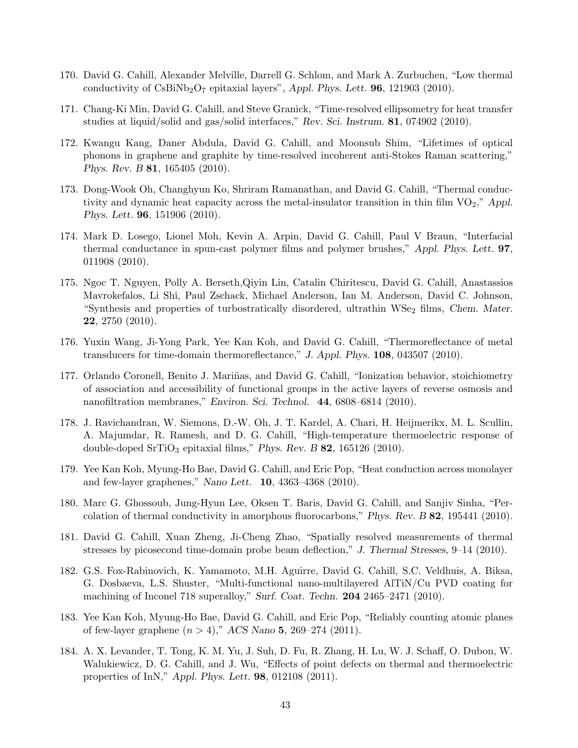- 170. David G. Cahill, Alexander Melville, Darrell G. Schlom, and Mark A. Zurbuchen, "Low thermal conductivity of  $\text{CsBiNb}_2\text{O}_7$  epitaxial layers", Appl. Phys. Lett. **96**, 121903 (2010).
- 171. Chang-Ki Min, David G. Cahill, and Steve Granick, "Time-resolved ellipsometry for heat transfer studies at liquid/solid and gas/solid interfaces," Rev. Sci. Instrum. 81, 074902 (2010).
- 172. Kwangu Kang, Daner Abdula, David G. Cahill, and Moonsub Shim, "Lifetimes of optical phonons in graphene and graphite by time-resolved incoherent anti-Stokes Raman scattering," Phys. Rev. B 81, 165405 (2010).
- 173. Dong-Wook Oh, Changhyun Ko, Shriram Ramanathan, and David G. Cahill, "Thermal conductivity and dynamic heat capacity across the metal-insulator transition in thin film  $VO_2$ ," Appl. Phys. Lett. 96, 151906 (2010).
- 174. Mark D. Losego, Lionel Moh, Kevin A. Arpin, David G. Cahill, Paul V Braun, "Interfacial thermal conductance in spun-cast polymer films and polymer brushes," Appl. Phys. Lett. 97, 011908 (2010).
- 175. Ngoc T. Nguyen, Polly A. Berseth,Qiyin Lin, Catalin Chiritescu, David G. Cahill, Anastassios Mavrokefalos, Li Shi, Paul Zschack, Michael Anderson, Ian M. Anderson, David C. Johnson, "Synthesis and properties of turbostratically disordered, ultrathin WSe<sub>2</sub> films, Chem. Mater. 22, 2750 (2010).
- 176. Yuxin Wang, Ji-Yong Park, Yee Kan Koh, and David G. Cahill, "Thermoreflectance of metal transducers for time-domain thermoreflectance," J. Appl. Phys. 108, 043507 (2010).
- 177. Orlando Coronell, Benito J. Mariñas, and David G. Cahill, "Ionization behavior, stoichiometry of association and accessibility of functional groups in the active layers of reverse osmosis and nanofiltration membranes," Environ. Sci. Technol. 44, 6808–6814 (2010).
- 178. J. Ravichandran, W. Siemons, D.-W. Oh, J. T. Kardel, A. Chari, H. Heijmerikx, M. L. Scullin, A. Majumdar, R. Ramesh, and D. G. Cahill, "High-temperature thermoelectric response of double-doped SrTiO<sub>3</sub> epitaxial films," Phys. Rev. B  $82$ , 165126 (2010).
- 179. Yee Kan Koh, Myung-Ho Bae, David G. Cahill, and Eric Pop, "Heat conduction across monolayer and few-layer graphenes," Nano Lett. 10, 4363–4368 (2010).
- 180. Marc G. Ghossoub, Jung-Hyun Lee, Oksen T. Baris, David G. Cahill, and Sanjiv Sinha, "Percolation of thermal conductivity in amorphous fluorocarbons," Phys. Rev. B 82, 195441 (2010).
- 181. David G. Cahill, Xuan Zheng, Ji-Cheng Zhao, "Spatially resolved measurements of thermal stresses by picosecond time-domain probe beam deflection," J. Thermal Stresses, 9–14 (2010).
- 182. G.S. Fox-Rabinovich, K. Yamamoto, M.H. Aguirre, David G. Cahill, S.C. Veldhuis, A. Biksa, G. Dosbaeva, L.S. Shuster, "Multi-functional nano-multilayered AlTiN/Cu PVD coating for machining of Inconel 718 superalloy," Surf. Coat. Techn. 204 2465–2471 (2010).
- 183. Yee Kan Koh, Myung-Ho Bae, David G. Cahill, and Eric Pop, "Reliably counting atomic planes of few-layer graphene  $(n > 4)$ ," ACS Nano 5, 269–274 (2011).
- 184. A. X. Levander, T. Tong, K. M. Yu, J. Suh, D. Fu, R. Zhang, H. Lu, W. J. Schaff, O. Dubon, W. Walukiewicz, D. G. Cahill, and J. Wu, "Effects of point defects on thermal and thermoelectric properties of InN," Appl. Phys. Lett. 98, 012108 (2011).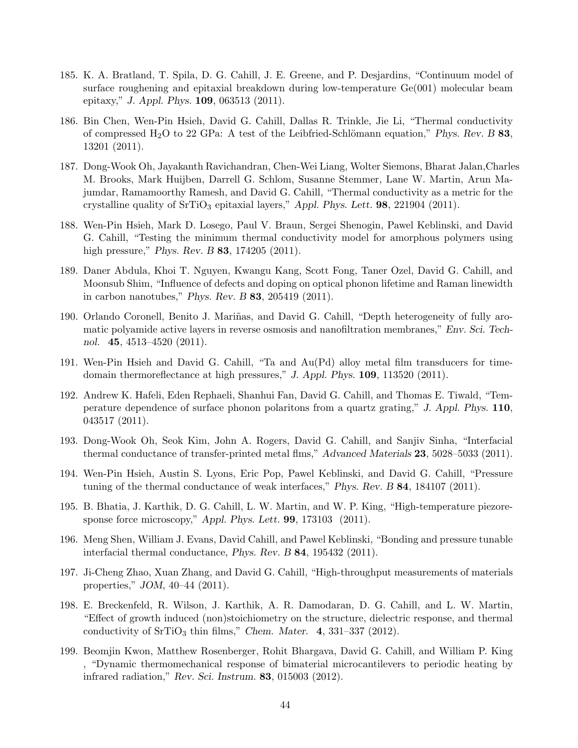- 185. K. A. Bratland, T. Spila, D. G. Cahill, J. E. Greene, and P. Desjardins, "Continuum model of surface roughening and epitaxial breakdown during low-temperature Ge(001) molecular beam epitaxy," J. Appl. Phys. 109, 063513 (2011).
- 186. Bin Chen, Wen-Pin Hsieh, David G. Cahill, Dallas R. Trinkle, Jie Li, "Thermal conductivity of compressed H<sub>2</sub>O to 22 GPa: A test of the Leibfried-Schlömann equation," Phys. Rev. B 83, 13201 (2011).
- 187. Dong-Wook Oh, Jayakanth Ravichandran, Chen-Wei Liang, Wolter Siemons, Bharat Jalan,Charles M. Brooks, Mark Huijben, Darrell G. Schlom, Susanne Stemmer, Lane W. Martin, Arun Majumdar, Ramamoorthy Ramesh, and David G. Cahill, "Thermal conductivity as a metric for the crystalline quality of  $SrTiO<sub>3</sub>$  epitaxial layers," Appl. Phys. Lett. **98**, 221904 (2011).
- 188. Wen-Pin Hsieh, Mark D. Losego, Paul V. Braun, Sergei Shenogin, Pawel Keblinski, and David G. Cahill, "Testing the minimum thermal conductivity model for amorphous polymers using high pressure," *Phys. Rev. B* **83**, 174205 (2011).
- 189. Daner Abdula, Khoi T. Nguyen, Kwangu Kang, Scott Fong, Taner Ozel, David G. Cahill, and Moonsub Shim, "Influence of defects and doping on optical phonon lifetime and Raman linewidth in carbon nanotubes," Phys. Rev. B 83, 205419 (2011).
- 190. Orlando Coronell, Benito J. Mariñas, and David G. Cahill, "Depth heterogeneity of fully aromatic polyamide active layers in reverse osmosis and nanofiltration membranes," Env. Sci. Technol. 45, 4513–4520 (2011).
- 191. Wen-Pin Hsieh and David G. Cahill, "Ta and Au(Pd) alloy metal film transducers for timedomain thermoreflectance at high pressures," J. Appl. Phys. 109, 113520 (2011).
- 192. Andrew K. Hafeli, Eden Rephaeli, Shanhui Fan, David G. Cahill, and Thomas E. Tiwald, "Temperature dependence of surface phonon polaritons from a quartz grating," J. Appl. Phys. 110, 043517 (2011).
- 193. Dong-Wook Oh, Seok Kim, John A. Rogers, David G. Cahill, and Sanjiv Sinha, "Interfacial thermal conductance of transfer-printed metal flms," Advanced Materials 23, 5028–5033 (2011).
- 194. Wen-Pin Hsieh, Austin S. Lyons, Eric Pop, Pawel Keblinski, and David G. Cahill, "Pressure tuning of the thermal conductance of weak interfaces," Phys. Rev. B 84, 184107 (2011).
- 195. B. Bhatia, J. Karthik, D. G. Cahill, L. W. Martin, and W. P. King, "High-temperature piezoresponse force microscopy," Appl. Phys. Lett. **99**, 173103 (2011).
- 196. Meng Shen, William J. Evans, David Cahill, and Pawel Keblinski, "Bonding and pressure tunable interfacial thermal conductance, Phys. Rev. B 84, 195432 (2011).
- 197. Ji-Cheng Zhao, Xuan Zhang, and David G. Cahill, "High-throughput measurements of materials properties," JOM, 40–44 (2011).
- 198. E. Breckenfeld, R. Wilson, J. Karthik, A. R. Damodaran, D. G. Cahill, and L. W. Martin, "Effect of growth induced (non)stoichiometry on the structure, dielectric response, and thermal conductivity of  $SrTiO<sub>3</sub>$  thin films," Chem. Mater. 4, 331–337 (2012).
- 199. Beomjin Kwon, Matthew Rosenberger, Rohit Bhargava, David G. Cahill, and William P. King , "Dynamic thermomechanical response of bimaterial microcantilevers to periodic heating by infrared radiation," Rev. Sci. Instrum. 83, 015003 (2012).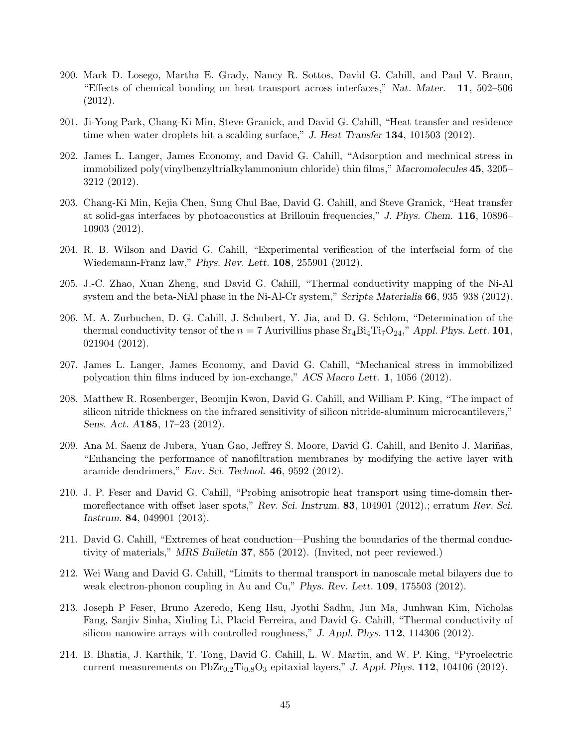- 200. Mark D. Losego, Martha E. Grady, Nancy R. Sottos, David G. Cahill, and Paul V. Braun, "Effects of chemical bonding on heat transport across interfaces," Nat. Mater. 11, 502–506 (2012).
- 201. Ji-Yong Park, Chang-Ki Min, Steve Granick, and David G. Cahill, "Heat transfer and residence time when water droplets hit a scalding surface," J. Heat Transfer 134, 101503 (2012).
- 202. James L. Langer, James Economy, and David G. Cahill, "Adsorption and mechnical stress in immobilized poly(vinylbenzyltrialkylammonium chloride) thin films," Macromolecules 45, 3205– 3212 (2012).
- 203. Chang-Ki Min, Kejia Chen, Sung Chul Bae, David G. Cahill, and Steve Granick, "Heat transfer at solid-gas interfaces by photoacoustics at Brillouin frequencies," J. Phys. Chem. 116, 10896– 10903 (2012).
- 204. R. B. Wilson and David G. Cahill, "Experimental verification of the interfacial form of the Wiedemann-Franz law," Phys. Rev. Lett. 108, 255901 (2012).
- 205. J.-C. Zhao, Xuan Zheng, and David G. Cahill, "Thermal conductivity mapping of the Ni-Al system and the beta-NiAl phase in the Ni-Al-Cr system," Scripta Materialia 66, 935–938 (2012).
- 206. M. A. Zurbuchen, D. G. Cahill, J. Schubert, Y. Jia, and D. G. Schlom, "Determination of the thermal conductivity tensor of the  $n = 7$  Aurivillius phase  $Sr_4Bi_4Ti_7O_{24}$ ," Appl. Phys. Lett. 101, 021904 (2012).
- 207. James L. Langer, James Economy, and David G. Cahill, "Mechanical stress in immobilized polycation thin films induced by ion-exchange," ACS Macro Lett. 1, 1056 (2012).
- 208. Matthew R. Rosenberger, Beomjin Kwon, David G. Cahill, and William P. King, "The impact of silicon nitride thickness on the infrared sensitivity of silicon nitride-aluminum microcantilevers," Sens. Act. A185, 17–23 (2012).
- 209. Ana M. Saenz de Jubera, Yuan Gao, Jeffrey S. Moore, David G. Cahill, and Benito J. Mariñas, "Enhancing the performance of nanofiltration membranes by modifying the active layer with aramide dendrimers," Env. Sci. Technol. 46, 9592 (2012).
- 210. J. P. Feser and David G. Cahill, "Probing anisotropic heat transport using time-domain thermoreflectance with offset laser spots," Rev. Sci. Instrum. 83, 104901 (2012).; erratum Rev. Sci. Instrum. 84, 049901 (2013).
- 211. David G. Cahill, "Extremes of heat conduction—Pushing the boundaries of the thermal conductivity of materials," MRS Bulletin 37, 855 (2012). (Invited, not peer reviewed.)
- 212. Wei Wang and David G. Cahill, "Limits to thermal transport in nanoscale metal bilayers due to weak electron-phonon coupling in Au and Cu," Phys. Rev. Lett. 109, 175503 (2012).
- 213. Joseph P Feser, Bruno Azeredo, Keng Hsu, Jyothi Sadhu, Jun Ma, Junhwan Kim, Nicholas Fang, Sanjiv Sinha, Xiuling Li, Placid Ferreira, and David G. Cahill, "Thermal conductivity of silicon nanowire arrays with controlled roughness," J. Appl. Phys. 112, 114306 (2012).
- 214. B. Bhatia, J. Karthik, T. Tong, David G. Cahill, L. W. Martin, and W. P. King, "Pyroelectric current measurements on  $PbZr_{0.2}Ti_{0.8}O_3$  epitaxial layers," J. Appl. Phys. 112, 104106 (2012).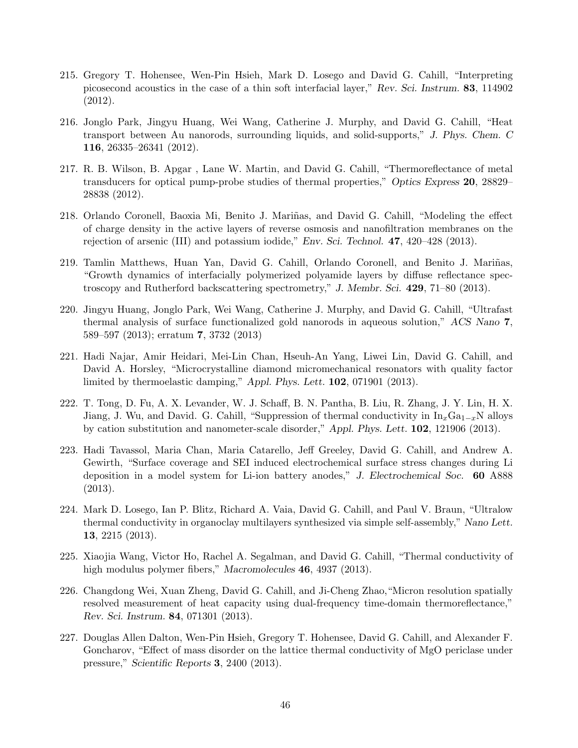- 215. Gregory T. Hohensee, Wen-Pin Hsieh, Mark D. Losego and David G. Cahill, "Interpreting picosecond acoustics in the case of a thin soft interfacial layer," Rev. Sci. Instrum. 83, 114902 (2012).
- 216. Jonglo Park, Jingyu Huang, Wei Wang, Catherine J. Murphy, and David G. Cahill, "Heat transport between Au nanorods, surrounding liquids, and solid-supports," J. Phys. Chem. C 116, 26335–26341 (2012).
- 217. R. B. Wilson, B. Apgar , Lane W. Martin, and David G. Cahill, "Thermoreflectance of metal transducers for optical pump-probe studies of thermal properties," Optics Express 20, 28829– 28838 (2012).
- 218. Orlando Coronell, Baoxia Mi, Benito J. Mariñas, and David G. Cahill, "Modeling the effect of charge density in the active layers of reverse osmosis and nanofiltration membranes on the rejection of arsenic (III) and potassium iodide," Env. Sci. Technol. 47, 420–428 (2013).
- 219. Tamlin Matthews, Huan Yan, David G. Cahill, Orlando Coronell, and Benito J. Mariñas, "Growth dynamics of interfacially polymerized polyamide layers by diffuse reflectance spectroscopy and Rutherford backscattering spectrometry," J. Membr. Sci. 429, 71–80 (2013).
- 220. Jingyu Huang, Jonglo Park, Wei Wang, Catherine J. Murphy, and David G. Cahill, "Ultrafast thermal analysis of surface functionalized gold nanorods in aqueous solution," ACS Nano 7, 589–597 (2013); erratum 7, 3732 (2013)
- 221. Hadi Najar, Amir Heidari, Mei-Lin Chan, Hseuh-An Yang, Liwei Lin, David G. Cahill, and David A. Horsley, "Microcrystalline diamond micromechanical resonators with quality factor limited by thermoelastic damping," Appl. Phys. Lett. 102, 071901 (2013).
- 222. T. Tong, D. Fu, A. X. Levander, W. J. Schaff, B. N. Pantha, B. Liu, R. Zhang, J. Y. Lin, H. X. Jiang, J. Wu, and David. G. Cahill, "Suppression of thermal conductivity in  $\text{In}_x\text{Ga}_{1-x}N$  alloys by cation substitution and nanometer-scale disorder," Appl. Phys. Lett. 102, 121906 (2013).
- 223. Hadi Tavassol, Maria Chan, Maria Catarello, Jeff Greeley, David G. Cahill, and Andrew A. Gewirth, "Surface coverage and SEI induced electrochemical surface stress changes during Li deposition in a model system for Li-ion battery anodes," J. Electrochemical Soc. 60 A888 (2013).
- 224. Mark D. Losego, Ian P. Blitz, Richard A. Vaia, David G. Cahill, and Paul V. Braun, "Ultralow thermal conductivity in organoclay multilayers synthesized via simple self-assembly," Nano Lett. 13, 2215 (2013).
- 225. Xiaojia Wang, Victor Ho, Rachel A. Segalman, and David G. Cahill, "Thermal conductivity of high modulus polymer fibers," Macromolecules **46**, 4937 (2013).
- 226. Changdong Wei, Xuan Zheng, David G. Cahill, and Ji-Cheng Zhao,"Micron resolution spatially resolved measurement of heat capacity using dual-frequency time-domain thermoreflectance," Rev. Sci. Instrum. 84, 071301 (2013).
- 227. Douglas Allen Dalton, Wen-Pin Hsieh, Gregory T. Hohensee, David G. Cahill, and Alexander F. Goncharov, "Effect of mass disorder on the lattice thermal conductivity of MgO periclase under pressure," Scientific Reports 3, 2400 (2013).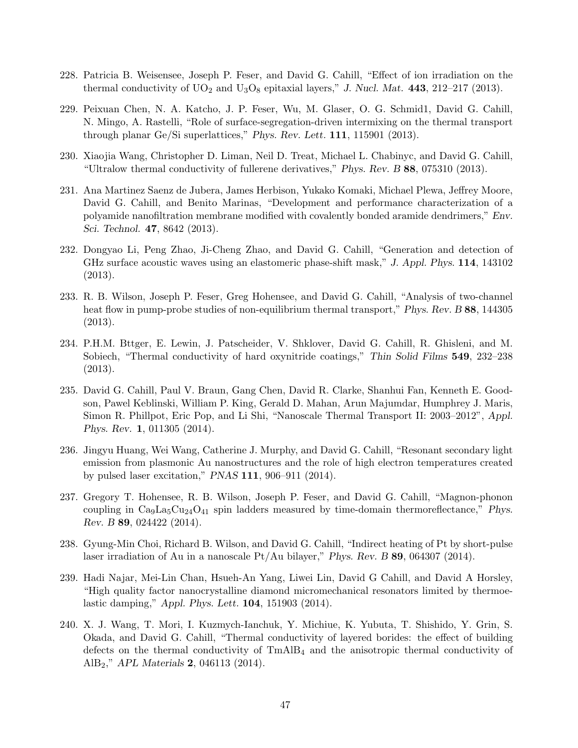- 228. Patricia B. Weisensee, Joseph P. Feser, and David G. Cahill, "Effect of ion irradiation on the thermal conductivity of  $UO_2$  and  $U_3O_8$  epitaxial layers," J. Nucl. Mat. 443, 212–217 (2013).
- 229. Peixuan Chen, N. A. Katcho, J. P. Feser, Wu, M. Glaser, O. G. Schmid1, David G. Cahill, N. Mingo, A. Rastelli, "Role of surface-segregation-driven intermixing on the thermal transport through planar Ge/Si superlattices," Phys. Rev. Lett. 111, 115901 (2013).
- 230. Xiaojia Wang, Christopher D. Liman, Neil D. Treat, Michael L. Chabinyc, and David G. Cahill, "Ultralow thermal conductivity of fullerene derivatives," Phys. Rev. B 88, 075310 (2013).
- 231. Ana Martinez Saenz de Jubera, James Herbison, Yukako Komaki, Michael Plewa, Jeffrey Moore, David G. Cahill, and Benito Marinas, "Development and performance characterization of a polyamide nanofiltration membrane modified with covalently bonded aramide dendrimers," Env. Sci. Technol. 47, 8642 (2013).
- 232. Dongyao Li, Peng Zhao, Ji-Cheng Zhao, and David G. Cahill, "Generation and detection of GHz surface acoustic waves using an elastomeric phase-shift mask," J. Appl. Phys. 114, 143102 (2013).
- 233. R. B. Wilson, Joseph P. Feser, Greg Hohensee, and David G. Cahill, "Analysis of two-channel heat flow in pump-probe studies of non-equilibrium thermal transport," Phys. Rev. B 88, 144305 (2013).
- 234. P.H.M. Bttger, E. Lewin, J. Patscheider, V. Shklover, David G. Cahill, R. Ghisleni, and M. Sobiech, "Thermal conductivity of hard oxynitride coatings," Thin Solid Films 549, 232–238 (2013).
- 235. David G. Cahill, Paul V. Braun, Gang Chen, David R. Clarke, Shanhui Fan, Kenneth E. Goodson, Pawel Keblinski, William P. King, Gerald D. Mahan, Arun Majumdar, Humphrey J. Maris, Simon R. Phillpot, Eric Pop, and Li Shi, "Nanoscale Thermal Transport II: 2003–2012", Appl. Phys. Rev. 1, 011305 (2014).
- 236. Jingyu Huang, Wei Wang, Catherine J. Murphy, and David G. Cahill, "Resonant secondary light emission from plasmonic Au nanostructures and the role of high electron temperatures created by pulsed laser excitation," PNAS 111, 906–911 (2014).
- 237. Gregory T. Hohensee, R. B. Wilson, Joseph P. Feser, and David G. Cahill, "Magnon-phonon coupling in  $\text{Ca}_9\text{La}_5\text{Cu}_{24}\text{O}_{41}$  spin ladders measured by time-domain thermoreflectance," Phys. Rev. B 89, 024422 (2014).
- 238. Gyung-Min Choi, Richard B. Wilson, and David G. Cahill, "Indirect heating of Pt by short-pulse laser irradiation of Au in a nanoscale  $Pt/Au$  bilayer," Phys. Rev. B 89, 064307 (2014).
- 239. Hadi Najar, Mei-Lin Chan, Hsueh-An Yang, Liwei Lin, David G Cahill, and David A Horsley, "High quality factor nanocrystalline diamond micromechanical resonators limited by thermoelastic damping," Appl. Phys. Lett. 104, 151903 (2014).
- 240. X. J. Wang, T. Mori, I. Kuzmych-Ianchuk, Y. Michiue, K. Yubuta, T. Shishido, Y. Grin, S. Okada, and David G. Cahill, "Thermal conductivity of layered borides: the effect of building defects on the thermal conductivity of  $TmAlB<sub>4</sub>$  and the anisotropic thermal conductivity of AlB2," APL Materials 2, 046113 (2014).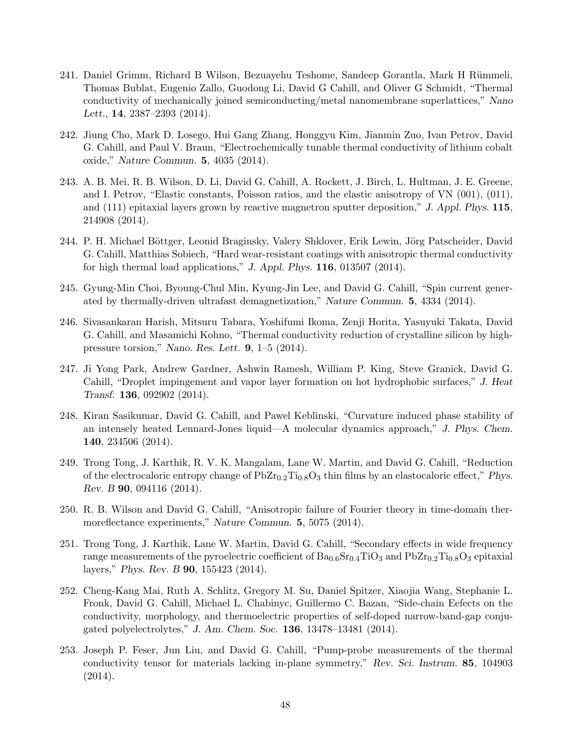- 241. Daniel Grimm, Richard B Wilson, Bezuayehu Teshome, Sandeep Gorantla, Mark H Rümmeli, Thomas Bublat, Eugenio Zallo, Guodong Li, David G Cahill, and Oliver G Schmidt, "Thermal conductivity of mechanically joined semiconducting/metal nanomembrane superlattices," Nano Lett., 14, 2387–2393 (2014).
- 242. Jiung Cho, Mark D. Losego, Hui Gang Zhang, Honggyu Kim, Jianmin Zuo, Ivan Petrov, David G. Cahill, and Paul V. Braun, "Electrochemically tunable thermal conductivity of lithium cobalt oxide," Nature Commun. 5, 4035 (2014).
- 243. A. B. Mei, R. B. Wilson, D. Li, David G. Cahill, A. Rockett, J. Birch, L. Hultman, J. E. Greene, and I. Petrov, "Elastic constants, Poisson ratios, and the elastic anisotropy of VN (001), (011), and (111) epitaxial layers grown by reactive magnetron sputter deposition," J. Appl. Phys. 115, 214908 (2014).
- 244. P. H. Michael Böttger, Leonid Braginsky, Valery Shklover, Erik Lewin, Jörg Patscheider, David G. Cahill, Matthias Sobiech, "Hard wear-resistant coatings with anisotropic thermal conductivity for high thermal load applications," J. Appl. Phys. 116, 013507 (2014).
- 245. Gyung-Min Choi, Byoung-Chul Min, Kyung-Jin Lee, and David G. Cahill, "Spin current generated by thermally-driven ultrafast demagnetization," Nature Commun. 5, 4334 (2014).
- 246. Sivasankaran Harish, Mitsuru Tabara, Yoshifumi Ikoma, Zenji Horita, Yasuyuki Takata, David G. Cahill, and Masamichi Kohno, "Thermal conductivity reduction of crystalline silicon by highpressure torsion," Nano. Res. Lett. 9, 1–5 (2014).
- 247. Ji Yong Park, Andrew Gardner, Ashwin Ramesh, William P. King, Steve Granick, David G. Cahill, "Droplet impingement and vapor layer formation on hot hydrophobic surfaces," J. Heat Transf. 136, 092902 (2014).
- 248. Kiran Sasikumar, David G. Cahill, and Pawel Keblinski, "Curvature induced phase stability of an intensely heated Lennard-Jones liquid—A molecular dynamics approach," J. Phys. Chem. 140, 234506 (2014).
- 249. Trong Tong, J. Karthik, R. V. K. Mangalam, Lane W. Martin, and David G. Cahill, "Reduction of the electrocaloric entropy change of  $PbZr_{0.2}Ti_{0.8}O_3$  thin films by an elastocaloric effect," Phys. Rev. B 90, 094116 (2014).
- 250. R. B. Wilson and David G. Cahill, "Anisotropic failure of Fourier theory in time-domain thermoreflectance experiments," Nature Commun. 5, 5075 (2014).
- 251. Trong Tong, J. Karthik, Lane W. Martin, David G. Cahill, "Secondary effects in wide frequency range measurements of the pyroelectric coefficient of  $Ba_{0.6}Sr_{0.4}TiO_3$  and  $PbZr_{0.2}Ti_{0.8}O_3$  epitaxial layers," Phys. Rev. B 90, 155423 (2014).
- 252. Cheng-Kang Mai, Ruth A. Schlitz, Gregory M. Su, Daniel Spitzer, Xiaojia Wang, Stephanie L. Fronk, David G. Cahill, Michael L. Chabinyc, Guillermo C. Bazan, "Side-chain Eefects on the conductivity, morphology, and thermoelectric properties of self-doped narrow-band-gap conjugated polyelectrolytes," J. Am. Chem. Soc. 136, 13478–13481 (2014).
- 253. Joseph P. Feser, Jun Liu, and David G. Cahill, "Pump-probe measurements of the thermal conductivity tensor for materials lacking in-plane symmetry," Rev. Sci. Instrum. 85, 104903 (2014).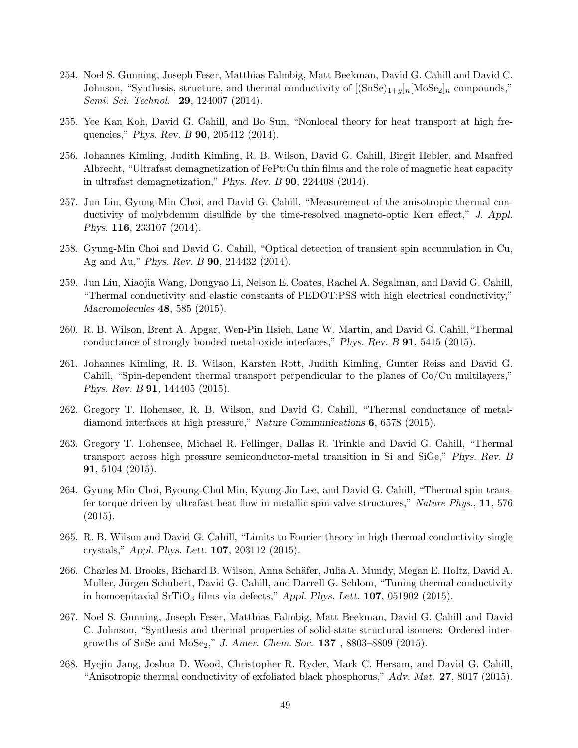- 254. Noel S. Gunning, Joseph Feser, Matthias Falmbig, Matt Beekman, David G. Cahill and David C. Johnson, "Synthesis, structure, and thermal conductivity of  $[(SnSe)_{1+y}]_n[MoSe_2]_n$  compounds," Semi. Sci. Technol. **29**, 124007 (2014).
- 255. Yee Kan Koh, David G. Cahill, and Bo Sun, "Nonlocal theory for heat transport at high frequencies," Phys. Rev. B 90, 205412 (2014).
- 256. Johannes Kimling, Judith Kimling, R. B. Wilson, David G. Cahill, Birgit Hebler, and Manfred Albrecht, "Ultrafast demagnetization of FePt:Cu thin films and the role of magnetic heat capacity in ultrafast demagnetization," Phys. Rev. B 90, 224408 (2014).
- 257. Jun Liu, Gyung-Min Choi, and David G. Cahill, "Measurement of the anisotropic thermal conductivity of molybdenum disulfide by the time-resolved magneto-optic Kerr effect," J. Appl. Phys. 116, 233107 (2014).
- 258. Gyung-Min Choi and David G. Cahill, "Optical detection of transient spin accumulation in Cu, Ag and Au," Phys. Rev. B 90, 214432 (2014).
- 259. Jun Liu, Xiaojia Wang, Dongyao Li, Nelson E. Coates, Rachel A. Segalman, and David G. Cahill, "Thermal conductivity and elastic constants of PEDOT:PSS with high electrical conductivity," Macromolecules 48, 585 (2015).
- 260. R. B. Wilson, Brent A. Apgar, Wen-Pin Hsieh, Lane W. Martin, and David G. Cahill,"Thermal conductance of strongly bonded metal-oxide interfaces," Phys. Rev. B 91, 5415 (2015).
- 261. Johannes Kimling, R. B. Wilson, Karsten Rott, Judith Kimling, Gunter Reiss and David G. Cahill, "Spin-dependent thermal transport perpendicular to the planes of Co/Cu multilayers," Phys. Rev. B 91, 144405 (2015).
- 262. Gregory T. Hohensee, R. B. Wilson, and David G. Cahill, "Thermal conductance of metaldiamond interfaces at high pressure," Nature Communications 6, 6578 (2015).
- 263. Gregory T. Hohensee, Michael R. Fellinger, Dallas R. Trinkle and David G. Cahill, "Thermal transport across high pressure semiconductor-metal transition in Si and SiGe," Phys. Rev. B 91, 5104 (2015).
- 264. Gyung-Min Choi, Byoung-Chul Min, Kyung-Jin Lee, and David G. Cahill, "Thermal spin transfer torque driven by ultrafast heat flow in metallic spin-valve structures," Nature Phys., 11, 576  $(2015).$
- 265. R. B. Wilson and David G. Cahill, "Limits to Fourier theory in high thermal conductivity single crystals," Appl. Phys. Lett. 107, 203112 (2015).
- 266. Charles M. Brooks, Richard B. Wilson, Anna Schäfer, Julia A. Mundy, Megan E. Holtz, David A. Muller, Jürgen Schubert, David G. Cahill, and Darrell G. Schlom, "Tuning thermal conductivity in homoepitaxial  $SrTiO<sub>3</sub>$  films via defects," Appl. Phys. Lett. **107**, 051902 (2015).
- 267. Noel S. Gunning, Joseph Feser, Matthias Falmbig, Matt Beekman, David G. Cahill and David C. Johnson, "Synthesis and thermal properties of solid-state structural isomers: Ordered intergrowths of SnSe and MoSe<sub>2</sub>," J. Amer. Chem. Soc. 137, 8803-8809 (2015).
- 268. Hyejin Jang, Joshua D. Wood, Christopher R. Ryder, Mark C. Hersam, and David G. Cahill, "Anisotropic thermal conductivity of exfoliated black phosphorus," Adv. Mat. 27, 8017 (2015).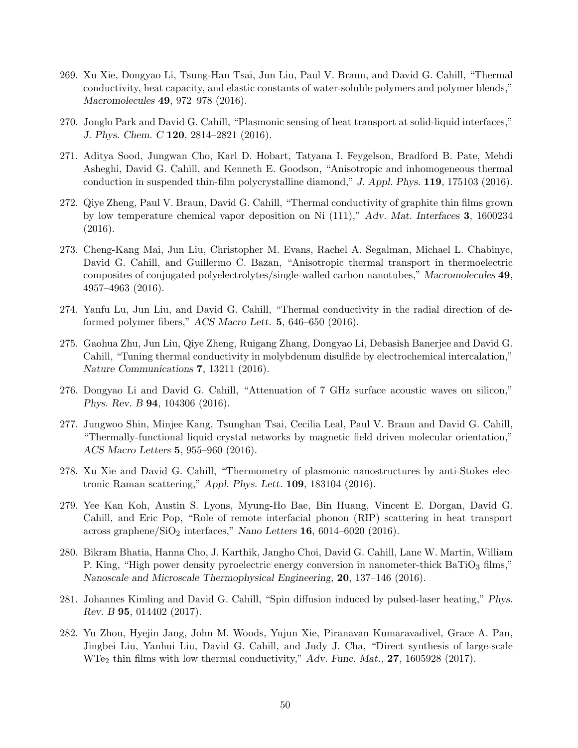- 269. Xu Xie, Dongyao Li, Tsung-Han Tsai, Jun Liu, Paul V. Braun, and David G. Cahill, "Thermal conductivity, heat capacity, and elastic constants of water-soluble polymers and polymer blends," Macromolecules 49, 972–978 (2016).
- 270. Jonglo Park and David G. Cahill, "Plasmonic sensing of heat transport at solid-liquid interfaces," J. Phys. Chem. C 120, 2814–2821 (2016).
- 271. Aditya Sood, Jungwan Cho, Karl D. Hobart, Tatyana I. Feygelson, Bradford B. Pate, Mehdi Asheghi, David G. Cahill, and Kenneth E. Goodson, "Anisotropic and inhomogeneous thermal conduction in suspended thin-film polycrystalline diamond," J. Appl. Phys. 119, 175103 (2016).
- 272. Qiye Zheng, Paul V. Braun, David G. Cahill, "Thermal conductivity of graphite thin films grown by low temperature chemical vapor deposition on Ni (111)," Adv. Mat. Interfaces 3, 1600234 (2016).
- 273. Cheng-Kang Mai, Jun Liu, Christopher M. Evans, Rachel A. Segalman, Michael L. Chabinyc, David G. Cahill, and Guillermo C. Bazan, "Anisotropic thermal transport in thermoelectric composites of conjugated polyelectrolytes/single-walled carbon nanotubes," Macromolecules 49, 4957–4963 (2016).
- 274. Yanfu Lu, Jun Liu, and David G. Cahill, "Thermal conductivity in the radial direction of deformed polymer fibers," ACS Macro Lett. 5, 646–650 (2016).
- 275. Gaohua Zhu, Jun Liu, Qiye Zheng, Ruigang Zhang, Dongyao Li, Debasish Banerjee and David G. Cahill, "Tuning thermal conductivity in molybdenum disulfide by electrochemical intercalation," Nature Communications 7, 13211 (2016).
- 276. Dongyao Li and David G. Cahill, "Attenuation of 7 GHz surface acoustic waves on silicon," Phys. Rev. B 94, 104306 (2016).
- 277. Jungwoo Shin, Minjee Kang, Tsunghan Tsai, Cecilia Leal, Paul V. Braun and David G. Cahill, "Thermally-functional liquid crystal networks by magnetic field driven molecular orientation," ACS Macro Letters 5, 955–960 (2016).
- 278. Xu Xie and David G. Cahill, "Thermometry of plasmonic nanostructures by anti-Stokes electronic Raman scattering," Appl. Phys. Lett. 109, 183104 (2016).
- 279. Yee Kan Koh, Austin S. Lyons, Myung-Ho Bae, Bin Huang, Vincent E. Dorgan, David G. Cahill, and Eric Pop, "Role of remote interfacial phonon (RIP) scattering in heat transport across graphene/ $\text{SiO}_2$  interfaces," Nano Letters 16, 6014–6020 (2016).
- 280. Bikram Bhatia, Hanna Cho, J. Karthik, Jangho Choi, David G. Cahill, Lane W. Martin, William P. King, "High power density pyroelectric energy conversion in nanometer-thick  $BaTiO<sub>3</sub>$  films," Nanoscale and Microscale Thermophysical Engineering, 20, 137–146 (2016).
- 281. Johannes Kimling and David G. Cahill, "Spin diffusion induced by pulsed-laser heating," Phys. Rev. B 95, 014402 (2017).
- 282. Yu Zhou, Hyejin Jang, John M. Woods, Yujun Xie, Piranavan Kumaravadivel, Grace A. Pan, Jingbei Liu, Yanhui Liu, David G. Cahill, and Judy J. Cha, "Direct synthesis of large-scale WTe<sub>2</sub> thin films with low thermal conductivity," Adv. Func. Mat., 27, 1605928 (2017).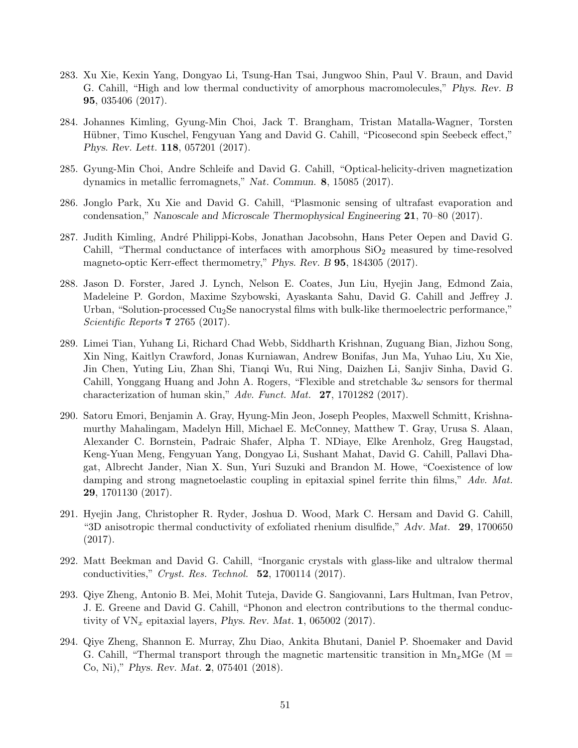- 283. Xu Xie, Kexin Yang, Dongyao Li, Tsung-Han Tsai, Jungwoo Shin, Paul V. Braun, and David G. Cahill, "High and low thermal conductivity of amorphous macromolecules," Phys. Rev. B 95, 035406 (2017).
- 284. Johannes Kimling, Gyung-Min Choi, Jack T. Brangham, Tristan Matalla-Wagner, Torsten Hübner, Timo Kuschel, Fengyuan Yang and David G. Cahill, "Picosecond spin Seebeck effect," Phys. Rev. Lett. 118, 057201 (2017).
- 285. Gyung-Min Choi, Andre Schleife and David G. Cahill, "Optical-helicity-driven magnetization dynamics in metallic ferromagnets," Nat. Commun. 8, 15085 (2017).
- 286. Jonglo Park, Xu Xie and David G. Cahill, "Plasmonic sensing of ultrafast evaporation and condensation," Nanoscale and Microscale Thermophysical Engineering 21, 70–80 (2017).
- 287. Judith Kimling, André Philippi-Kobs, Jonathan Jacobsohn, Hans Peter Oepen and David G. Cahill, "Thermal conductance of interfaces with amorphous  $SiO<sub>2</sub>$  measured by time-resolved magneto-optic Kerr-effect thermometry," Phys. Rev. B 95, 184305 (2017).
- 288. Jason D. Forster, Jared J. Lynch, Nelson E. Coates, Jun Liu, Hyejin Jang, Edmond Zaia, Madeleine P. Gordon, Maxime Szybowski, Ayaskanta Sahu, David G. Cahill and Jeffrey J. Urban, "Solution-processed  $Cu<sub>2</sub>Se$  nanocrystal films with bulk-like thermoelectric performance," Scientific Reports **7** 2765 (2017).
- 289. Limei Tian, Yuhang Li, Richard Chad Webb, Siddharth Krishnan, Zuguang Bian, Jizhou Song, Xin Ning, Kaitlyn Crawford, Jonas Kurniawan, Andrew Bonifas, Jun Ma, Yuhao Liu, Xu Xie, Jin Chen, Yuting Liu, Zhan Shi, Tianqi Wu, Rui Ning, Daizhen Li, Sanjiv Sinha, David G. Cahill, Yonggang Huang and John A. Rogers, "Flexible and stretchable  $3\omega$  sensors for thermal characterization of human skin," Adv. Funct. Mat. 27, 1701282 (2017).
- 290. Satoru Emori, Benjamin A. Gray, Hyung-Min Jeon, Joseph Peoples, Maxwell Schmitt, Krishnamurthy Mahalingam, Madelyn Hill, Michael E. McConney, Matthew T. Gray, Urusa S. Alaan, Alexander C. Bornstein, Padraic Shafer, Alpha T. NDiaye, Elke Arenholz, Greg Haugstad, Keng-Yuan Meng, Fengyuan Yang, Dongyao Li, Sushant Mahat, David G. Cahill, Pallavi Dhagat, Albrecht Jander, Nian X. Sun, Yuri Suzuki and Brandon M. Howe, "Coexistence of low damping and strong magnetoelastic coupling in epitaxial spinel ferrite thin films," Adv. Mat. 29, 1701130 (2017).
- 291. Hyejin Jang, Christopher R. Ryder, Joshua D. Wood, Mark C. Hersam and David G. Cahill, "3D anisotropic thermal conductivity of exfoliated rhenium disulfide," Adv. Mat. 29, 1700650 (2017).
- 292. Matt Beekman and David G. Cahill, "Inorganic crystals with glass-like and ultralow thermal conductivities," Cryst. Res. Technol. 52, 1700114 (2017).
- 293. Qiye Zheng, Antonio B. Mei, Mohit Tuteja, Davide G. Sangiovanni, Lars Hultman, Ivan Petrov, J. E. Greene and David G. Cahill, "Phonon and electron contributions to the thermal conductivity of  $VN_x$  epitaxial layers, *Phys. Rev. Mat.* 1, 065002 (2017).
- 294. Qiye Zheng, Shannon E. Murray, Zhu Diao, Ankita Bhutani, Daniel P. Shoemaker and David G. Cahill, "Thermal transport through the magnetic martensitic transition in  $Mn_xMGe$  (M = Co, Ni)," Phys. Rev. Mat. 2, 075401 (2018).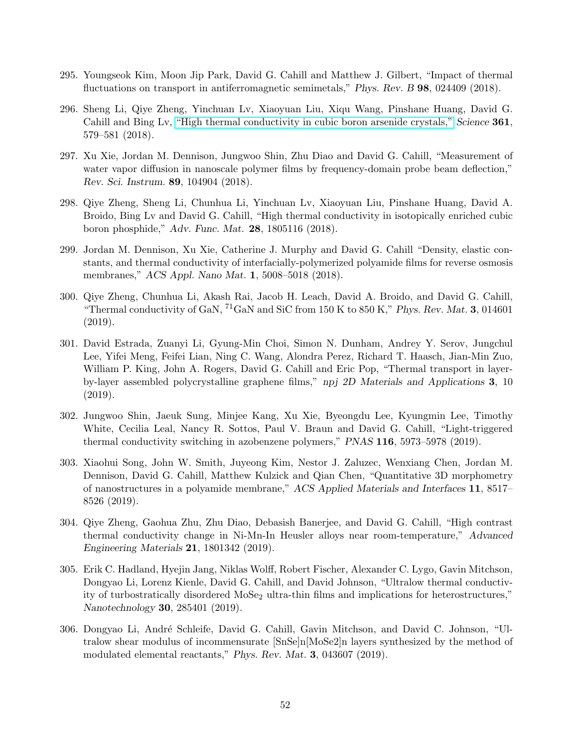- 295. Youngseok Kim, Moon Jip Park, David G. Cahill and Matthew J. Gilbert, "Impact of thermal fluctuations on transport in antiferromagnetic semimetals," Phys. Rev. B 98, 024409 (2018).
- 296. Sheng Li, Qiye Zheng, Yinchuan Lv, Xiaoyuan Liu, Xiqu Wang, Pinshane Huang, David G. Cahill and Bing Lv, ["High thermal conductivity in cubic boron arsenide crystals,"](http://science.sciencemag.org/cgi/content/full/science.aat8982?ijkey=EgoPXnWHHhTWc&keytype=ref&siteid=sci) Science 361, 579–581 (2018).
- 297. Xu Xie, Jordan M. Dennison, Jungwoo Shin, Zhu Diao and David G. Cahill, "Measurement of water vapor diffusion in nanoscale polymer films by frequency-domain probe beam deflection," Rev. Sci. Instrum. 89, 104904 (2018).
- 298. Qiye Zheng, Sheng Li, Chunhua Li, Yinchuan Lv, Xiaoyuan Liu, Pinshane Huang, David A. Broido, Bing Lv and David G. Cahill, "High thermal conductivity in isotopically enriched cubic boron phosphide," Adv. Func. Mat. 28, 1805116 (2018).
- 299. Jordan M. Dennison, Xu Xie, Catherine J. Murphy and David G. Cahill "Density, elastic constants, and thermal conductivity of interfacially-polymerized polyamide films for reverse osmosis membranes," ACS Appl. Nano Mat. 1, 5008–5018 (2018).
- 300. Qiye Zheng, Chunhua Li, Akash Rai, Jacob H. Leach, David A. Broido, and David G. Cahill, "Thermal conductivity of GaN,  ${}^{71}$ GaN and SiC from 150 K to 850 K," Phys. Rev. Mat. 3, 014601 (2019).
- 301. David Estrada, Zuanyi Li, Gyung-Min Choi, Simon N. Dunham, Andrey Y. Serov, Jungchul Lee, Yifei Meng, Feifei Lian, Ning C. Wang, Alondra Perez, Richard T. Haasch, Jian-Min Zuo, William P. King, John A. Rogers, David G. Cahill and Eric Pop, "Thermal transport in layerby-layer assembled polycrystalline graphene films," npj 2D Materials and Applications 3, 10 (2019).
- 302. Jungwoo Shin, Jaeuk Sung, Minjee Kang, Xu Xie, Byeongdu Lee, Kyungmin Lee, Timothy White, Cecilia Leal, Nancy R. Sottos, Paul V. Braun and David G. Cahill, "Light-triggered thermal conductivity switching in azobenzene polymers," PNAS 116, 5973–5978 (2019).
- 303. Xiaohui Song, John W. Smith, Juyeong Kim, Nestor J. Zaluzec, Wenxiang Chen, Jordan M. Dennison, David G. Cahill, Matthew Kulzick and Qian Chen, "Quantitative 3D morphometry of nanostructures in a polyamide membrane," ACS Applied Materials and Interfaces 11, 8517– 8526 (2019).
- 304. Qiye Zheng, Gaohua Zhu, Zhu Diao, Debasish Banerjee, and David G. Cahill, "High contrast thermal conductivity change in Ni-Mn-In Heusler alloys near room-temperature," Advanced Engineering Materials 21, 1801342 (2019).
- 305. Erik C. Hadland, Hyejin Jang, Niklas Wolff, Robert Fischer, Alexander C. Lygo, Gavin Mitchson, Dongyao Li, Lorenz Kienle, David G. Cahill, and David Johnson, "Ultralow thermal conductivity of turbostratically disordered  $Mose<sub>2</sub>$  ultra-thin films and implications for heterostructures," Nanotechnology 30, 285401 (2019).
- 306. Dongyao Li, André Schleife, David G. Cahill, Gavin Mitchson, and David C. Johnson, "Ultralow shear modulus of incommensurate  $\left[\text{SnSe} \right] \text{n} \left[\text{MoSe} \right]$  layers synthesized by the method of modulated elemental reactants," Phys. Rev. Mat. 3, 043607 (2019).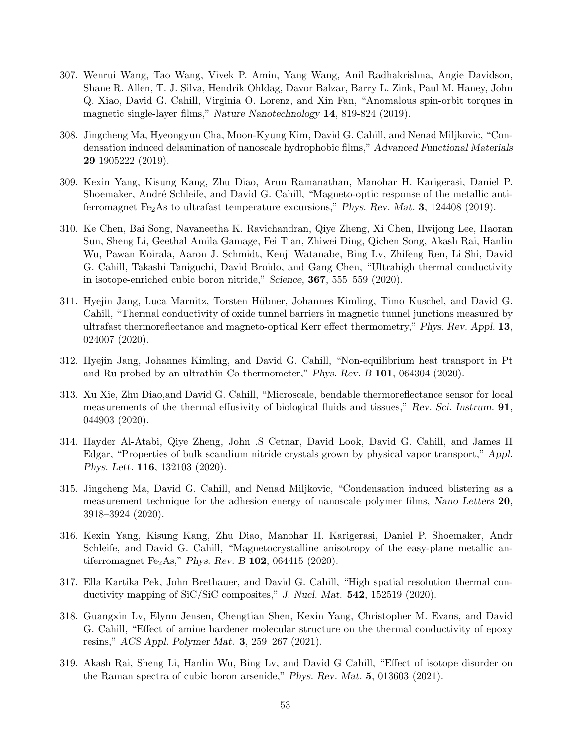- 307. Wenrui Wang, Tao Wang, Vivek P. Amin, Yang Wang, Anil Radhakrishna, Angie Davidson, Shane R. Allen, T. J. Silva, Hendrik Ohldag, Davor Balzar, Barry L. Zink, Paul M. Haney, John Q. Xiao, David G. Cahill, Virginia O. Lorenz, and Xin Fan, "Anomalous spin-orbit torques in magnetic single-layer films," Nature Nanotechnology 14, 819-824 (2019).
- 308. Jingcheng Ma, Hyeongyun Cha, Moon-Kyung Kim, David G. Cahill, and Nenad Miljkovic, "Condensation induced delamination of nanoscale hydrophobic films," Advanced Functional Materials 29 1905222 (2019).
- 309. Kexin Yang, Kisung Kang, Zhu Diao, Arun Ramanathan, Manohar H. Karigerasi, Daniel P. Shoemaker, André Schleife, and David G. Cahill, "Magneto-optic response of the metallic antiferromagnet Fe<sub>2</sub>As to ultrafast temperature excursions," Phys. Rev. Mat. 3, 124408 (2019).
- 310. Ke Chen, Bai Song, Navaneetha K. Ravichandran, Qiye Zheng, Xi Chen, Hwijong Lee, Haoran Sun, Sheng Li, Geethal Amila Gamage, Fei Tian, Zhiwei Ding, Qichen Song, Akash Rai, Hanlin Wu, Pawan Koirala, Aaron J. Schmidt, Kenji Watanabe, Bing Lv, Zhifeng Ren, Li Shi, David G. Cahill, Takashi Taniguchi, David Broido, and Gang Chen, "Ultrahigh thermal conductivity in isotope-enriched cubic boron nitride," Science, 367, 555–559 (2020).
- 311. Hyejin Jang, Luca Marnitz, Torsten Hübner, Johannes Kimling, Timo Kuschel, and David G. Cahill, "Thermal conductivity of oxide tunnel barriers in magnetic tunnel junctions measured by ultrafast thermoreflectance and magneto-optical Kerr effect thermometry," Phys. Rev. Appl. 13, 024007 (2020).
- 312. Hyejin Jang, Johannes Kimling, and David G. Cahill, "Non-equilibrium heat transport in Pt and Ru probed by an ultrathin Co thermometer," Phys. Rev. B 101, 064304 (2020).
- 313. Xu Xie, Zhu Diao,and David G. Cahill, "Microscale, bendable thermoreflectance sensor for local measurements of the thermal effusivity of biological fluids and tissues," Rev. Sci. Instrum. 91, 044903 (2020).
- 314. Hayder Al-Atabi, Qiye Zheng, John .S Cetnar, David Look, David G. Cahill, and James H Edgar, "Properties of bulk scandium nitride crystals grown by physical vapor transport," Appl. Phys. Lett. 116, 132103 (2020).
- 315. Jingcheng Ma, David G. Cahill, and Nenad Miljkovic, "Condensation induced blistering as a measurement technique for the adhesion energy of nanoscale polymer films, Nano Letters 20, 3918–3924 (2020).
- 316. Kexin Yang, Kisung Kang, Zhu Diao, Manohar H. Karigerasi, Daniel P. Shoemaker, Andr Schleife, and David G. Cahill, "Magnetocrystalline anisotropy of the easy-plane metallic antiferromagnet Fe<sub>2</sub>As," Phys. Rev. B  $102$ , 064415 (2020).
- 317. Ella Kartika Pek, John Brethauer, and David G. Cahill, "High spatial resolution thermal conductivity mapping of SiC/SiC composites," J. Nucl. Mat. 542, 152519 (2020).
- 318. Guangxin Lv, Elynn Jensen, Chengtian Shen, Kexin Yang, Christopher M. Evans, and David G. Cahill, "Effect of amine hardener molecular structure on the thermal conductivity of epoxy resins," ACS Appl. Polymer Mat. 3, 259–267 (2021).
- 319. Akash Rai, Sheng Li, Hanlin Wu, Bing Lv, and David G Cahill, "Effect of isotope disorder on the Raman spectra of cubic boron arsenide," Phys. Rev. Mat. 5, 013603 (2021).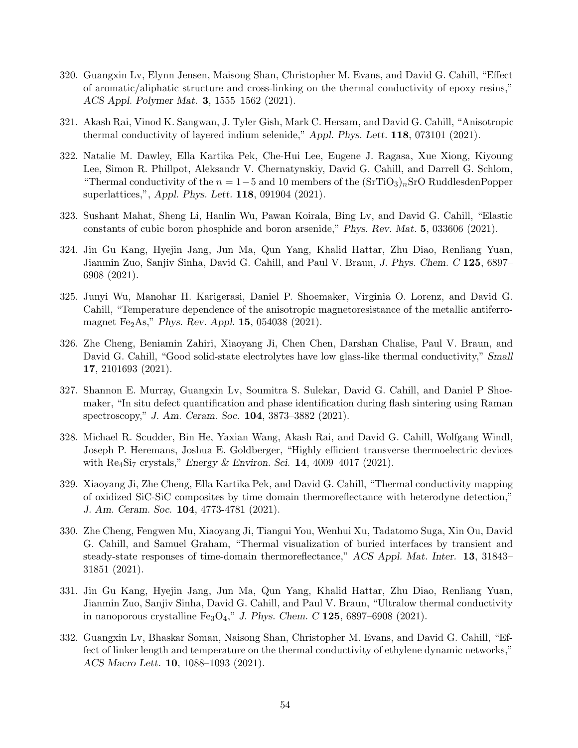- 320. Guangxin Lv, Elynn Jensen, Maisong Shan, Christopher M. Evans, and David G. Cahill, "Effect of aromatic/aliphatic structure and cross-linking on the thermal conductivity of epoxy resins," ACS Appl. Polymer Mat. 3, 1555–1562 (2021).
- 321. Akash Rai, Vinod K. Sangwan, J. Tyler Gish, Mark C. Hersam, and David G. Cahill, "Anisotropic thermal conductivity of layered indium selenide," Appl. Phys. Lett. 118, 073101 (2021).
- 322. Natalie M. Dawley, Ella Kartika Pek, Che-Hui Lee, Eugene J. Ragasa, Xue Xiong, Kiyoung Lee, Simon R. Phillpot, Aleksandr V. Chernatynskiy, David G. Cahill, and Darrell G. Schlom, "Thermal conductivity of the  $n = 1-5$  and 10 members of the  $(SrTiO_3)_nSrO$  RuddlesdenPopper superlattices,", Appl. Phys. Lett. 118, 091904 (2021).
- 323. Sushant Mahat, Sheng Li, Hanlin Wu, Pawan Koirala, Bing Lv, and David G. Cahill, "Elastic constants of cubic boron phosphide and boron arsenide," Phys. Rev. Mat. 5, 033606 (2021).
- 324. Jin Gu Kang, Hyejin Jang, Jun Ma, Qun Yang, Khalid Hattar, Zhu Diao, Renliang Yuan, Jianmin Zuo, Sanjiv Sinha, David G. Cahill, and Paul V. Braun, J. Phys. Chem. C 125, 6897– 6908 (2021).
- 325. Junyi Wu, Manohar H. Karigerasi, Daniel P. Shoemaker, Virginia O. Lorenz, and David G. Cahill, "Temperature dependence of the anisotropic magnetoresistance of the metallic antiferromagnet Fe<sub>2</sub>As," Phys. Rev. Appl. **15**, 054038 (2021).
- 326. Zhe Cheng, Beniamin Zahiri, Xiaoyang Ji, Chen Chen, Darshan Chalise, Paul V. Braun, and David G. Cahill, "Good solid-state electrolytes have low glass-like thermal conductivity," Small 17, 2101693 (2021).
- 327. Shannon E. Murray, Guangxin Lv, Soumitra S. Sulekar, David G. Cahill, and Daniel P Shoemaker, "In situ defect quantification and phase identification during flash sintering using Raman spectroscopy," J. Am. Ceram. Soc. 104, 3873–3882 (2021).
- 328. Michael R. Scudder, Bin He, Yaxian Wang, Akash Rai, and David G. Cahill, Wolfgang Windl, Joseph P. Heremans, Joshua E. Goldberger, "Highly efficient transverse thermoelectric devices with  $\text{Re}_4\text{Si}_7$  crystals," Energy & Environ. Sci. 14, 4009–4017 (2021).
- 329. Xiaoyang Ji, Zhe Cheng, Ella Kartika Pek, and David G. Cahill, "Thermal conductivity mapping of oxidized SiC-SiC composites by time domain thermoreflectance with heterodyne detection," J. Am. Ceram. Soc. 104, 4773-4781 (2021).
- 330. Zhe Cheng, Fengwen Mu, Xiaoyang Ji, Tiangui You, Wenhui Xu, Tadatomo Suga, Xin Ou, David G. Cahill, and Samuel Graham, "Thermal visualization of buried interfaces by transient and steady-state responses of time-domain thermoreflectance," ACS Appl. Mat. Inter. 13, 31843– 31851 (2021).
- 331. Jin Gu Kang, Hyejin Jang, Jun Ma, Qun Yang, Khalid Hattar, Zhu Diao, Renliang Yuan, Jianmin Zuo, Sanjiv Sinha, David G. Cahill, and Paul V. Braun, "Ultralow thermal conductivity in nanoporous crystalline  $Fe<sub>3</sub>O<sub>4</sub>$ ," J. Phys. Chem. C 125, 6897–6908 (2021).
- 332. Guangxin Lv, Bhaskar Soman, Naisong Shan, Christopher M. Evans, and David G. Cahill, "Effect of linker length and temperature on the thermal conductivity of ethylene dynamic networks," ACS Macro Lett. 10, 1088–1093 (2021).